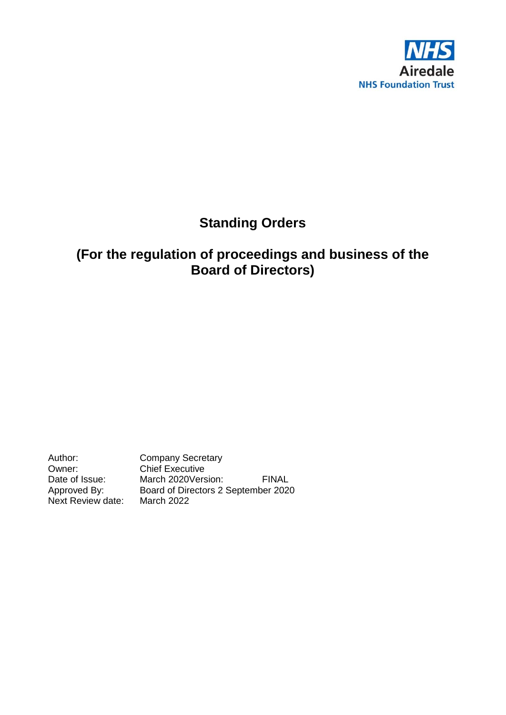

# **Standing Orders**

# **(For the regulation of proceedings and business of the Board of Directors)**

Author: Company Secretary<br>
Owner: Chief Executive Owner: Chief Executive<br>Date of Issue: March 2020Vers Date of Issue: March 2020Version: FINAL<br>Approved By: Board of Directors 2 September 2020 Board of Directors 2 September 2020<br>March 2022 Next Review date: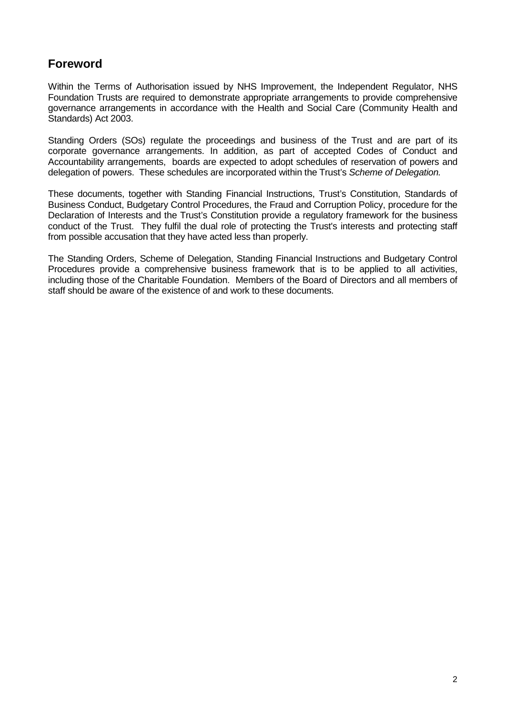## **Foreword**

Within the Terms of Authorisation issued by NHS Improvement, the Independent Regulator, NHS Foundation Trusts are required to demonstrate appropriate arrangements to provide comprehensive governance arrangements in accordance with the Health and Social Care (Community Health and Standards) Act 2003.

Standing Orders (SOs) regulate the proceedings and business of the Trust and are part of its corporate governance arrangements. In addition, as part of accepted Codes of Conduct and Accountability arrangements, boards are expected to adopt schedules of reservation of powers and delegation of powers. These schedules are incorporated within the Trust's *Scheme of Delegation.*

These documents, together with Standing Financial Instructions, Trust's Constitution, Standards of Business Conduct, Budgetary Control Procedures, the Fraud and Corruption Policy, procedure for the Declaration of Interests and the Trust's Constitution provide a regulatory framework for the business conduct of the Trust. They fulfil the dual role of protecting the Trust's interests and protecting staff from possible accusation that they have acted less than properly.

The Standing Orders, Scheme of Delegation, Standing Financial Instructions and Budgetary Control Procedures provide a comprehensive business framework that is to be applied to all activities, including those of the Charitable Foundation. Members of the Board of Directors and all members of staff should be aware of the existence of and work to these documents.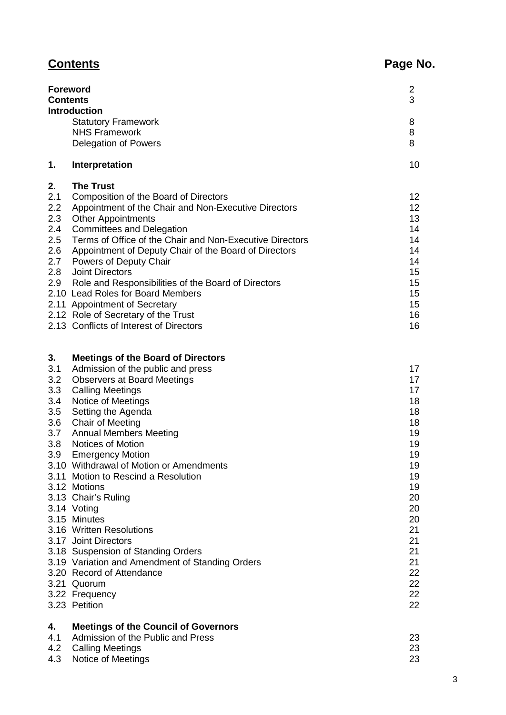# **Contents Page No.**

|         | <b>Foreword</b><br><b>Contents</b><br><b>Introduction</b>                                | $\mathbf{2}$<br>3 |
|---------|------------------------------------------------------------------------------------------|-------------------|
|         | <b>Statutory Framework</b>                                                               | 8                 |
|         | <b>NHS Framework</b>                                                                     | 8                 |
|         | Delegation of Powers                                                                     | 8                 |
| 1.      | Interpretation                                                                           | 10                |
| 2.      | <b>The Trust</b>                                                                         |                   |
| 2.1     | Composition of the Board of Directors                                                    | 12                |
| 2.2     | Appointment of the Chair and Non-Executive Directors                                     | 12                |
| 2.3     | <b>Other Appointments</b>                                                                | 13                |
| 2.4     | <b>Committees and Delegation</b>                                                         | 14                |
| 2.5     | Terms of Office of the Chair and Non-Executive Directors                                 | 14                |
| 2.6     | Appointment of Deputy Chair of the Board of Directors                                    | 14                |
| $2.7\,$ | Powers of Deputy Chair                                                                   | 14                |
| 2.8     | <b>Joint Directors</b>                                                                   | 15                |
| 2.9     | Role and Responsibilities of the Board of Directors<br>2.10 Lead Roles for Board Members | 15<br>15          |
|         | 2.11 Appointment of Secretary                                                            | 15                |
|         | 2.12 Role of Secretary of the Trust                                                      | 16                |
|         | 2.13 Conflicts of Interest of Directors                                                  | 16                |
|         |                                                                                          |                   |
| 3.      | <b>Meetings of the Board of Directors</b>                                                |                   |
| 3.1     | Admission of the public and press                                                        | 17                |
| 3.2     | <b>Observers at Board Meetings</b>                                                       | 17                |
| 3.3     | <b>Calling Meetings</b>                                                                  | 17                |
| 3.4     | Notice of Meetings                                                                       | 18                |
| 3.5     | Setting the Agenda                                                                       | 18                |
| 3.6     | <b>Chair of Meeting</b>                                                                  | 18                |
| 3.7     | <b>Annual Members Meeting</b>                                                            | 19                |
| 3.8     | <b>Notices of Motion</b>                                                                 | 19                |
| 3.9     | <b>Emergency Motion</b>                                                                  | 19                |
|         | 3.10 Withdrawal of Motion or Amendments                                                  | 19                |
|         | 3.11 Motion to Rescind a Resolution<br>3.12 Motions                                      | 19<br>19          |
|         | 3.13 Chair's Ruling                                                                      | 20                |
|         | 3.14 Voting                                                                              | 20                |
|         | 3.15 Minutes                                                                             | 20                |
|         | 3.16 Written Resolutions                                                                 | 21                |
|         | 3.17 Joint Directors                                                                     | 21                |
|         | 3.18 Suspension of Standing Orders                                                       | 21                |
|         | 3.19 Variation and Amendment of Standing Orders                                          | 21                |
|         | 3.20 Record of Attendance                                                                | 22                |

3.21 Quorum 22<br>3.22 Frequency 22 3.22 Frequency 22<br>3.23 Petition 22<br>22

| 3.23 Petition |  |
|---------------|--|
|               |  |

## **4. Meetings of the Council of Governors**

| 4.1 Admission of the Public and Press |    |
|---------------------------------------|----|
| 4.2 Calling Meetings                  | 23 |
| 4.3 Notice of Meetings                |    |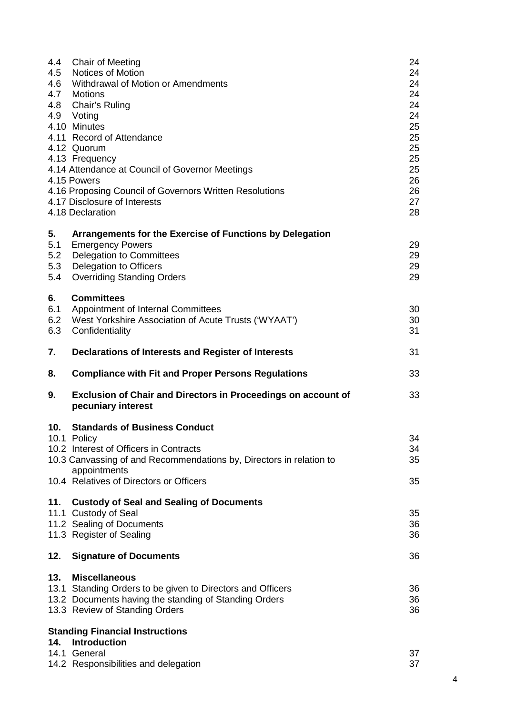| 4.4<br>4.5<br>4.6       | <b>Chair of Meeting</b><br><b>Notices of Motion</b><br>Withdrawal of Motion or Amendments<br>4.7 Motions<br>4.8 Chair's Ruling<br>4.9 Voting<br>4.10 Minutes<br>4.11 Record of Attendance<br>4.12 Quorum<br>4.13 Frequency<br>4.14 Attendance at Council of Governor Meetings<br>4.15 Powers<br>4.16 Proposing Council of Governors Written Resolutions<br>4.17 Disclosure of Interests<br>4.18 Declaration | 24<br>24<br>24<br>24<br>24<br>24<br>25<br>25<br>25<br>25<br>25<br>26<br>26<br>27<br>28 |
|-------------------------|-------------------------------------------------------------------------------------------------------------------------------------------------------------------------------------------------------------------------------------------------------------------------------------------------------------------------------------------------------------------------------------------------------------|----------------------------------------------------------------------------------------|
| 5.<br>5.1<br>5.2<br>5.3 | Arrangements for the Exercise of Functions by Delegation<br><b>Emergency Powers</b><br><b>Delegation to Committees</b><br>Delegation to Officers                                                                                                                                                                                                                                                            | 29<br>29<br>29                                                                         |
| 5.4                     | <b>Overriding Standing Orders</b>                                                                                                                                                                                                                                                                                                                                                                           | 29                                                                                     |
| 6.<br>6.1<br>6.2<br>6.3 | <b>Committees</b><br>Appointment of Internal Committees<br>West Yorkshire Association of Acute Trusts ('WYAAT')<br>Confidentiality                                                                                                                                                                                                                                                                          | 30<br>30<br>31                                                                         |
| 7.                      | Declarations of Interests and Register of Interests                                                                                                                                                                                                                                                                                                                                                         | 31                                                                                     |
|                         |                                                                                                                                                                                                                                                                                                                                                                                                             |                                                                                        |
| 8.                      | <b>Compliance with Fit and Proper Persons Regulations</b>                                                                                                                                                                                                                                                                                                                                                   | 33                                                                                     |
| 9.                      | <b>Exclusion of Chair and Directors in Proceedings on account of</b><br>pecuniary interest                                                                                                                                                                                                                                                                                                                  | 33                                                                                     |
| 10.                     | <b>Standards of Business Conduct</b>                                                                                                                                                                                                                                                                                                                                                                        |                                                                                        |
|                         | 10.1 Policy                                                                                                                                                                                                                                                                                                                                                                                                 | 34                                                                                     |
|                         | 10.2 Interest of Officers in Contracts                                                                                                                                                                                                                                                                                                                                                                      | 34                                                                                     |
|                         | 10.3 Canvassing of and Recommendations by, Directors in relation to<br>appointments                                                                                                                                                                                                                                                                                                                         | 35                                                                                     |
|                         | 10.4 Relatives of Directors or Officers                                                                                                                                                                                                                                                                                                                                                                     | 35                                                                                     |
| 11.                     | <b>Custody of Seal and Sealing of Documents</b>                                                                                                                                                                                                                                                                                                                                                             |                                                                                        |
|                         | 11.1 Custody of Seal<br>11.2 Sealing of Documents                                                                                                                                                                                                                                                                                                                                                           | 35<br>36                                                                               |
|                         | 11.3 Register of Sealing                                                                                                                                                                                                                                                                                                                                                                                    | 36                                                                                     |
| 12.                     | <b>Signature of Documents</b>                                                                                                                                                                                                                                                                                                                                                                               | 36                                                                                     |
| 13.                     | <b>Miscellaneous</b><br>13.1 Standing Orders to be given to Directors and Officers<br>13.2 Documents having the standing of Standing Orders<br>13.3 Review of Standing Orders                                                                                                                                                                                                                               | 36<br>36<br>36                                                                         |
|                         | <b>Standing Financial Instructions</b>                                                                                                                                                                                                                                                                                                                                                                      |                                                                                        |
| 14.                     | <b>Introduction</b>                                                                                                                                                                                                                                                                                                                                                                                         |                                                                                        |
|                         | 14.1 General<br>14.2 Responsibilities and delegation                                                                                                                                                                                                                                                                                                                                                        | 37<br>37                                                                               |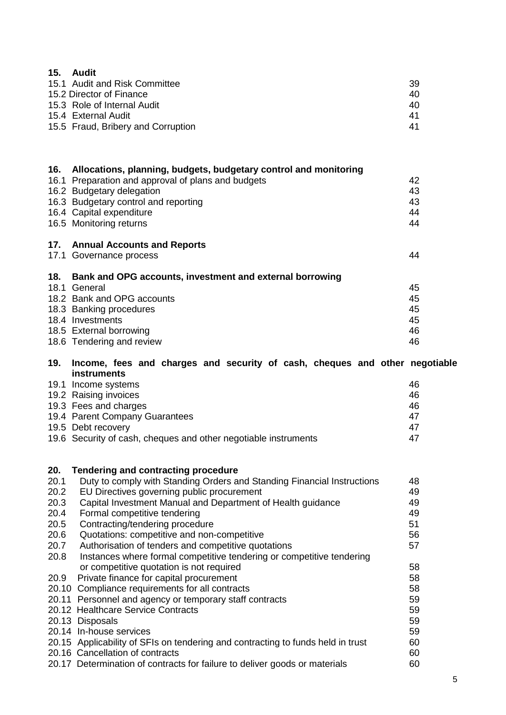| 15.          | <b>Audit</b>                                                                                                       |          |
|--------------|--------------------------------------------------------------------------------------------------------------------|----------|
|              | 15.1 Audit and Risk Committee                                                                                      | 39       |
|              | 15.2 Director of Finance                                                                                           | 40       |
|              | 15.3 Role of Internal Audit                                                                                        | 40       |
|              | 15.4 External Audit                                                                                                | 41       |
|              | 15.5 Fraud, Bribery and Corruption                                                                                 | 41       |
|              |                                                                                                                    |          |
| 16.          | Allocations, planning, budgets, budgetary control and monitoring                                                   |          |
|              | 16.1 Preparation and approval of plans and budgets                                                                 | 42       |
|              | 16.2 Budgetary delegation                                                                                          | 43       |
|              | 16.3 Budgetary control and reporting                                                                               | 43       |
|              | 16.4 Capital expenditure                                                                                           | 44       |
|              | 16.5 Monitoring returns                                                                                            | 44       |
| 17.          | <b>Annual Accounts and Reports</b>                                                                                 |          |
|              | 17.1 Governance process                                                                                            | 44       |
| 18.          | Bank and OPG accounts, investment and external borrowing                                                           |          |
|              | 18.1 General                                                                                                       | 45       |
|              | 18.2 Bank and OPG accounts                                                                                         | 45<br>45 |
|              | 18.3 Banking procedures<br>18.4 Investments                                                                        | 45       |
|              | 18.5 External borrowing                                                                                            | 46       |
|              | 18.6 Tendering and review                                                                                          | 46       |
|              |                                                                                                                    |          |
| 19.          | Income, fees and charges and security of cash, cheques and other negotiable                                        |          |
|              | <b>instruments</b>                                                                                                 |          |
|              | 19.1 Income systems                                                                                                | 46       |
|              | 19.2 Raising invoices                                                                                              | 46       |
|              | 19.3 Fees and charges                                                                                              | 46       |
|              | 19.4 Parent Company Guarantees                                                                                     | 47       |
|              | 19.5 Debt recovery                                                                                                 | 47       |
|              | 19.6 Security of cash, cheques and other negotiable instruments                                                    | 47       |
|              |                                                                                                                    |          |
| 20.          | Tendering and contracting procedure                                                                                |          |
| 20.1         | Duty to comply with Standing Orders and Standing Financial Instructions                                            | 48       |
| 20.2<br>20.3 | EU Directives governing public procurement<br>Capital Investment Manual and Department of Health guidance          | 49<br>49 |
| 20.4         | Formal competitive tendering                                                                                       | 49       |
| 20.5         | Contracting/tendering procedure                                                                                    | 51       |
| 20.6         | Quotations: competitive and non-competitive                                                                        | 56       |
| 20.7         | Authorisation of tenders and competitive quotations                                                                | 57       |
| 20.8         | Instances where formal competitive tendering or competitive tendering                                              |          |
|              | or competitive quotation is not required                                                                           | 58       |
| 20.9         | Private finance for capital procurement                                                                            | 58       |
|              | 20.10 Compliance requirements for all contracts                                                                    | 58       |
|              | 20.11 Personnel and agency or temporary staff contracts                                                            | 59       |
|              | 20.12 Healthcare Service Contracts                                                                                 | 59       |
|              | 20.13 Disposals                                                                                                    | 59       |
|              | 20.14 In-house services                                                                                            | 59       |
|              | 20.15 Applicability of SFIs on tendering and contracting to funds held in trust<br>20.16 Cancellation of contracts | 60<br>60 |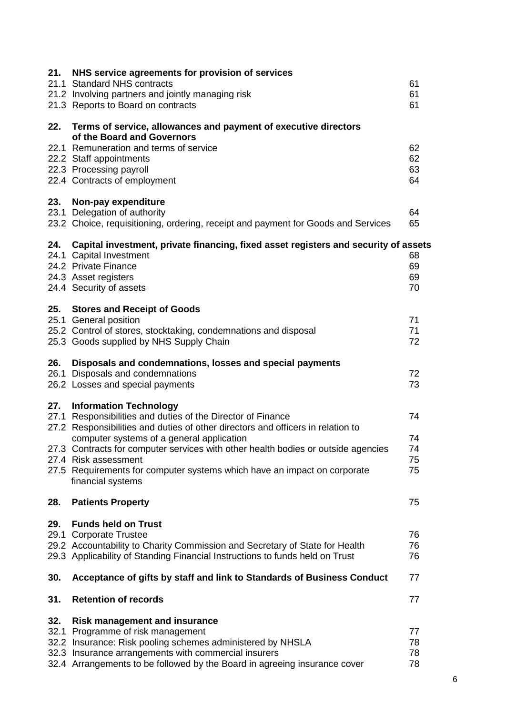| 21.                         | NHS service agreements for provision of services<br>21.1 Standard NHS contracts<br>21.2 Involving partners and jointly managing risk<br>21.3 Reports to Board on contracts                                                                                                                                                                                                                                                                 | 61<br>61<br>61             |
|-----------------------------|--------------------------------------------------------------------------------------------------------------------------------------------------------------------------------------------------------------------------------------------------------------------------------------------------------------------------------------------------------------------------------------------------------------------------------------------|----------------------------|
| 22.                         | Terms of service, allowances and payment of executive directors                                                                                                                                                                                                                                                                                                                                                                            |                            |
|                             | of the Board and Governors<br>22.1 Remuneration and terms of service<br>22.2 Staff appointments<br>22.3 Processing payroll<br>22.4 Contracts of employment                                                                                                                                                                                                                                                                                 | 62<br>62<br>63<br>64       |
| 23.                         | Non-pay expenditure<br>23.1 Delegation of authority<br>23.2 Choice, requisitioning, ordering, receipt and payment for Goods and Services                                                                                                                                                                                                                                                                                                   | 64<br>65                   |
| 24.                         | Capital investment, private financing, fixed asset registers and security of assets<br>24.1 Capital Investment<br>24.2 Private Finance<br>24.3 Asset registers<br>24.4 Security of assets                                                                                                                                                                                                                                                  | 68<br>69<br>69<br>70       |
| 25.                         | <b>Stores and Receipt of Goods</b><br>25.1 General position<br>25.2 Control of stores, stocktaking, condemnations and disposal<br>25.3 Goods supplied by NHS Supply Chain                                                                                                                                                                                                                                                                  | 71<br>71<br>72             |
| 26.                         | Disposals and condemnations, losses and special payments<br>26.1 Disposals and condemnations<br>26.2 Losses and special payments                                                                                                                                                                                                                                                                                                           | 72<br>73                   |
| 27.                         | <b>Information Technology</b><br>27.1 Responsibilities and duties of the Director of Finance<br>27.2 Responsibilities and duties of other directors and officers in relation to<br>computer systems of a general application<br>27.3 Contracts for computer services with other health bodies or outside agencies<br>27.4 Risk assessment<br>27.5 Requirements for computer systems which have an impact on corporate<br>financial systems | 74<br>74<br>74<br>75<br>75 |
| 28.                         | <b>Patients Property</b>                                                                                                                                                                                                                                                                                                                                                                                                                   | 75                         |
| 29.<br>29.1                 | <b>Funds held on Trust</b><br><b>Corporate Trustee</b><br>29.2 Accountability to Charity Commission and Secretary of State for Health<br>29.3 Applicability of Standing Financial Instructions to funds held on Trust                                                                                                                                                                                                                      | 76<br>76<br>76             |
| 30.                         | Acceptance of gifts by staff and link to Standards of Business Conduct                                                                                                                                                                                                                                                                                                                                                                     | 77                         |
| 31.                         | <b>Retention of records</b>                                                                                                                                                                                                                                                                                                                                                                                                                | 77                         |
| 32.<br>32.1<br>32.2<br>32.3 | <b>Risk management and insurance</b><br>Programme of risk management<br>Insurance: Risk pooling schemes administered by NHSLA<br>Insurance arrangements with commercial insurers<br>32.4 Arrangements to be followed by the Board in agreeing insurance cover                                                                                                                                                                              | 77<br>78<br>78<br>78       |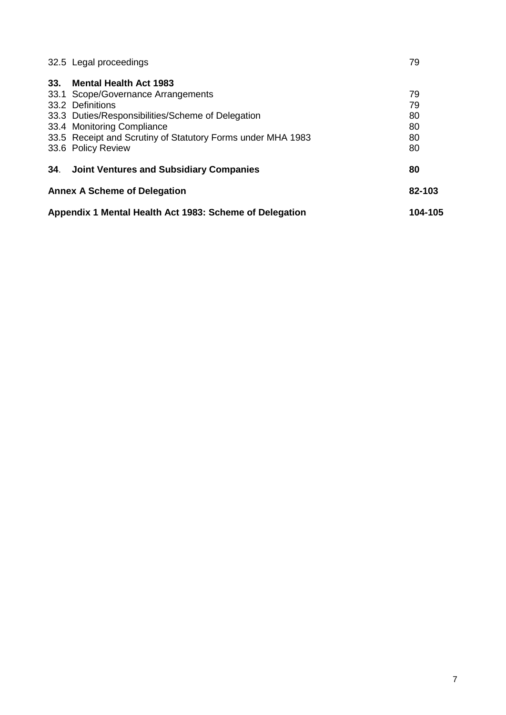|     | <b>Annex A Scheme of Delegation</b>                         | 82-103 |
|-----|-------------------------------------------------------------|--------|
| 34. | <b>Joint Ventures and Subsidiary Companies</b>              | 80     |
|     | 33.6 Policy Review                                          | 80     |
|     | 33.5 Receipt and Scrutiny of Statutory Forms under MHA 1983 | 80     |
|     | 33.4 Monitoring Compliance                                  | 80     |
|     | 33.3 Duties/Responsibilities/Scheme of Delegation           | 80     |
|     | 33.2 Definitions                                            | 79     |
|     | 33.1 Scope/Governance Arrangements                          | 79     |
| 33. | <b>Mental Health Act 1983</b>                               |        |
|     | 32.5 Legal proceedings                                      | 79     |
|     |                                                             |        |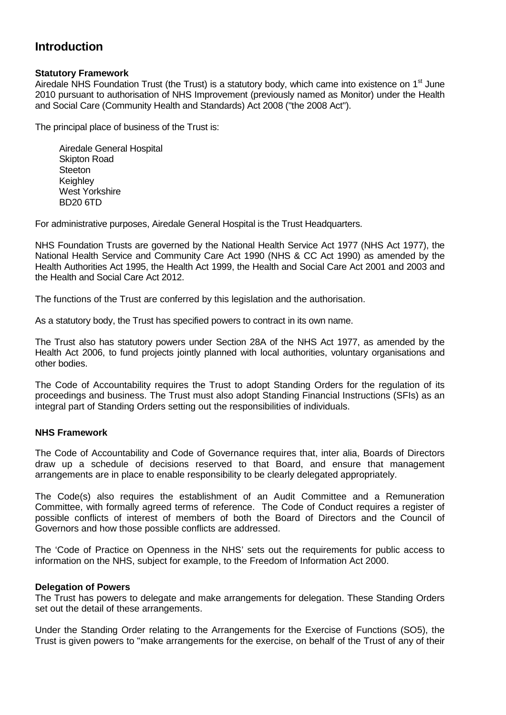## **Introduction**

#### **Statutory Framework**

Airedale NHS Foundation Trust (the Trust) is a statutory body, which came into existence on  $1<sup>st</sup>$  June 2010 pursuant to authorisation of NHS Improvement (previously named as Monitor) under the Health and Social Care (Community Health and Standards) Act 2008 ("the 2008 Act").

The principal place of business of the Trust is:

Airedale General Hospital Skipton Road **Steeton Keighley** West Yorkshire BD20 6TD

For administrative purposes, Airedale General Hospital is the Trust Headquarters.

NHS Foundation Trusts are governed by the National Health Service Act 1977 (NHS Act 1977), the National Health Service and Community Care Act 1990 (NHS & CC Act 1990) as amended by the Health Authorities Act 1995, the Health Act 1999, the Health and Social Care Act 2001 and 2003 and the Health and Social Care Act 2012.

The functions of the Trust are conferred by this legislation and the authorisation.

As a statutory body, the Trust has specified powers to contract in its own name.

The Trust also has statutory powers under Section 28A of the NHS Act 1977, as amended by the Health Act 2006, to fund projects jointly planned with local authorities, voluntary organisations and other bodies.

The Code of Accountability requires the Trust to adopt Standing Orders for the regulation of its proceedings and business. The Trust must also adopt Standing Financial Instructions (SFIs) as an integral part of Standing Orders setting out the responsibilities of individuals.

### **NHS Framework**

The Code of Accountability and Code of Governance requires that, inter alia, Boards of Directors draw up a schedule of decisions reserved to that Board, and ensure that management arrangements are in place to enable responsibility to be clearly delegated appropriately.

The Code(s) also requires the establishment of an Audit Committee and a Remuneration Committee, with formally agreed terms of reference. The Code of Conduct requires a register of possible conflicts of interest of members of both the Board of Directors and the Council of Governors and how those possible conflicts are addressed.

The 'Code of Practice on Openness in the NHS' sets out the requirements for public access to information on the NHS, subject for example, to the Freedom of Information Act 2000.

#### **Delegation of Powers**

The Trust has powers to delegate and make arrangements for delegation. These Standing Orders set out the detail of these arrangements.

Under the Standing Order relating to the Arrangements for the Exercise of Functions (SO5), the Trust is given powers to "make arrangements for the exercise, on behalf of the Trust of any of their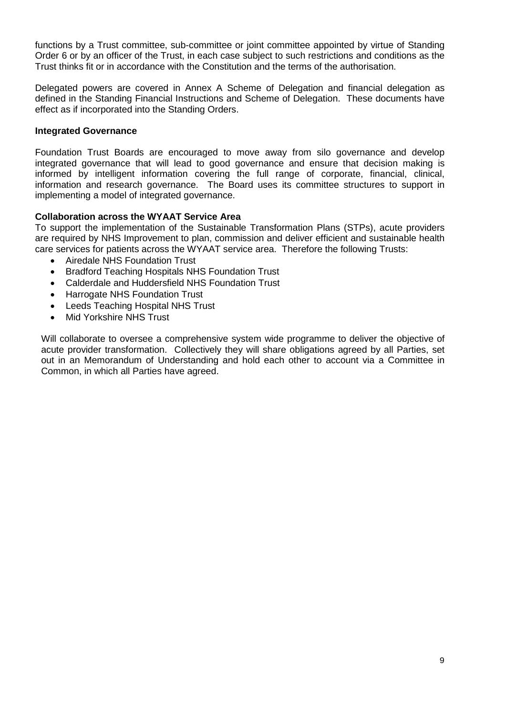functions by a Trust committee, sub-committee or joint committee appointed by virtue of Standing Order 6 or by an officer of the Trust, in each case subject to such restrictions and conditions as the Trust thinks fit or in accordance with the Constitution and the terms of the authorisation.

Delegated powers are covered in Annex A Scheme of Delegation and financial delegation as defined in the Standing Financial Instructions and Scheme of Delegation. These documents have effect as if incorporated into the Standing Orders.

#### **Integrated Governance**

Foundation Trust Boards are encouraged to move away from silo governance and develop integrated governance that will lead to good governance and ensure that decision making is informed by intelligent information covering the full range of corporate, financial, clinical, information and research governance. The Board uses its committee structures to support in implementing a model of integrated governance.

#### **Collaboration across the WYAAT Service Area**

To support the implementation of the Sustainable Transformation Plans (STPs), acute providers are required by NHS Improvement to plan, commission and deliver efficient and sustainable health care services for patients across the WYAAT service area. Therefore the following Trusts:

- Airedale NHS Foundation Trust
- Bradford Teaching Hospitals NHS Foundation Trust
- Calderdale and Huddersfield NHS Foundation Trust
- Harrogate NHS Foundation Trust
- Leeds Teaching Hospital NHS Trust
- Mid Yorkshire NHS Trust

Will collaborate to oversee a comprehensive system wide programme to deliver the objective of acute provider transformation. Collectively they will share obligations agreed by all Parties, set out in an Memorandum of Understanding and hold each other to account via a Committee in Common, in which all Parties have agreed.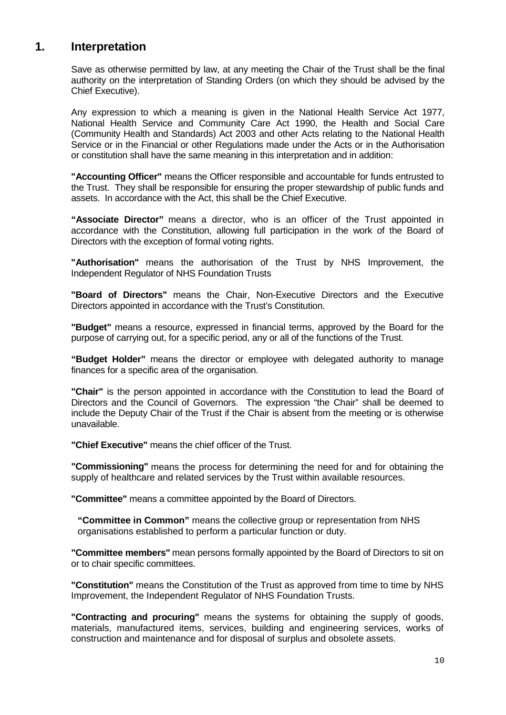## **1. Interpretation**

Save as otherwise permitted by law, at any meeting the Chair of the Trust shall be the final authority on the interpretation of Standing Orders (on which they should be advised by the Chief Executive).

Any expression to which a meaning is given in the National Health Service Act 1977, National Health Service and Community Care Act 1990, the Health and Social Care (Community Health and Standards) Act 2003 and other Acts relating to the National Health Service or in the Financial or other Regulations made under the Acts or in the Authorisation or constitution shall have the same meaning in this interpretation and in addition:

**"Accounting Officer"** means the Officer responsible and accountable for funds entrusted to the Trust. They shall be responsible for ensuring the proper stewardship of public funds and assets. In accordance with the Act, this shall be the Chief Executive.

**"Associate Director"** means a director, who is an officer of the Trust appointed in accordance with the Constitution, allowing full participation in the work of the Board of Directors with the exception of formal voting rights.

**"Authorisation"** means the authorisation of the Trust by NHS Improvement, the Independent Regulator of NHS Foundation Trusts

**"Board of Directors"** means the Chair, Non-Executive Directors and the Executive Directors appointed in accordance with the Trust's Constitution.

**"Budget"** means a resource, expressed in financial terms, approved by the Board for the purpose of carrying out, for a specific period, any or all of the functions of the Trust.

**"Budget Holder"** means the director or employee with delegated authority to manage finances for a specific area of the organisation.

**"Chair"** is the person appointed in accordance with the Constitution to lead the Board of Directors and the Council of Governors. The expression "the Chair" shall be deemed to include the Deputy Chair of the Trust if the Chair is absent from the meeting or is otherwise unavailable.

**"Chief Executive"** means the chief officer of the Trust.

**"Commissioning"** means the process for determining the need for and for obtaining the supply of healthcare and related services by the Trust within available resources.

**"Committee"** means a committee appointed by the Board of Directors.

**"Committee in Common"** means the collective group or representation from NHS organisations established to perform a particular function or duty.

**"Committee members"** mean persons formally appointed by the Board of Directors to sit on or to chair specific committees.

**"Constitution"** means the Constitution of the Trust as approved from time to time by NHS Improvement, the Independent Regulator of NHS Foundation Trusts.

**"Contracting and procuring"** means the systems for obtaining the supply of goods, materials, manufactured items, services, building and engineering services, works of construction and maintenance and for disposal of surplus and obsolete assets.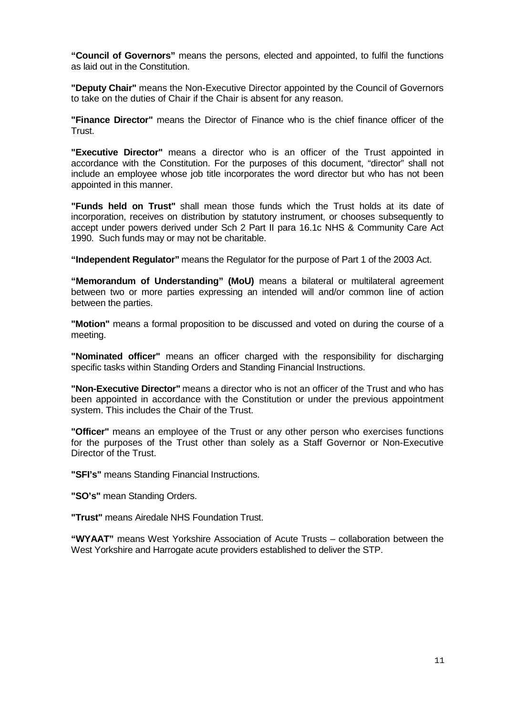**"Council of Governors"** means the persons, elected and appointed, to fulfil the functions as laid out in the Constitution.

**"Deputy Chair"** means the Non-Executive Director appointed by the Council of Governors to take on the duties of Chair if the Chair is absent for any reason.

**"Finance Director"** means the Director of Finance who is the chief finance officer of the Trust.

**"Executive Director"** means a director who is an officer of the Trust appointed in accordance with the Constitution. For the purposes of this document, "director" shall not include an employee whose job title incorporates the word director but who has not been appointed in this manner.

**"Funds held on Trust"** shall mean those funds which the Trust holds at its date of incorporation, receives on distribution by statutory instrument, or chooses subsequently to accept under powers derived under Sch 2 Part II para 16.1c NHS & Community Care Act 1990. Such funds may or may not be charitable.

**"Independent Regulator"** means the Regulator for the purpose of Part 1 of the 2003 Act.

**"Memorandum of Understanding" (MoU)** means a bilateral or multilateral agreement between two or more parties expressing an intended will and/or common line of action between the parties.

**"Motion"** means a formal proposition to be discussed and voted on during the course of a meeting.

**"Nominated officer"** means an officer charged with the responsibility for discharging specific tasks within Standing Orders and Standing Financial Instructions.

**"Non-Executive Director"** means a director who is not an officer of the Trust and who has been appointed in accordance with the Constitution or under the previous appointment system. This includes the Chair of the Trust.

**"Officer"** means an employee of the Trust or any other person who exercises functions for the purposes of the Trust other than solely as a Staff Governor or Non-Executive Director of the Trust.

**"SFI's"** means Standing Financial Instructions.

**"SO's"** mean Standing Orders.

**"Trust"** means Airedale NHS Foundation Trust.

**"WYAAT"** means West Yorkshire Association of Acute Trusts – collaboration between the West Yorkshire and Harrogate acute providers established to deliver the STP.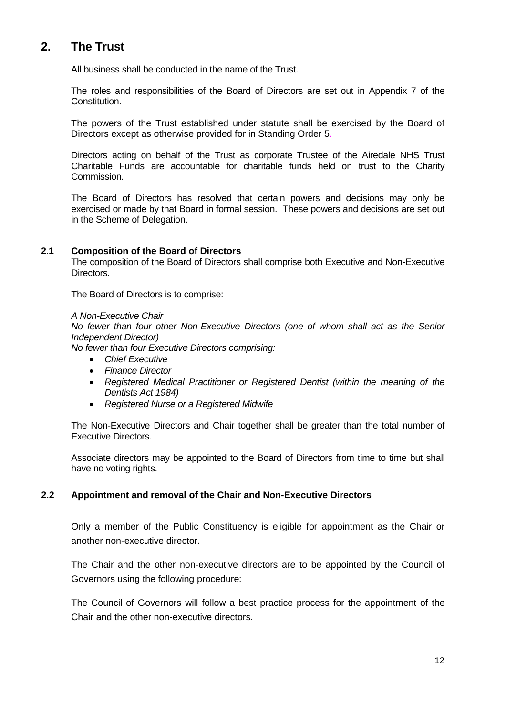## **2. The Trust**

All business shall be conducted in the name of the Trust.

The roles and responsibilities of the Board of Directors are set out in Appendix 7 of the Constitution.

The powers of the Trust established under statute shall be exercised by the Board of Directors except as otherwise provided for in Standing Order 5.

Directors acting on behalf of the Trust as corporate Trustee of the Airedale NHS Trust Charitable Funds are accountable for charitable funds held on trust to the Charity Commission.

The Board of Directors has resolved that certain powers and decisions may only be exercised or made by that Board in formal session. These powers and decisions are set out in the Scheme of Delegation.

#### **2.1 Composition of the Board of Directors**

The composition of the Board of Directors shall comprise both Executive and Non-Executive Directors.

The Board of Directors is to comprise:

*A Non-Executive Chair*

*No fewer than four other Non-Executive Directors (one of whom shall act as the Senior Independent Director)*

*No fewer than four Executive Directors comprising:*

- *Chief Executive*
- *Finance Director*
- *Registered Medical Practitioner or Registered Dentist (within the meaning of the Dentists Act 1984)*
- *Registered Nurse or a Registered Midwife*

The Non-Executive Directors and Chair together shall be greater than the total number of Executive Directors.

Associate directors may be appointed to the Board of Directors from time to time but shall have no voting rights.

#### **2.2 Appointment and removal of the Chair and Non-Executive Directors**

Only a member of the Public Constituency is eligible for appointment as the Chair or another non-executive director.

The Chair and the other non-executive directors are to be appointed by the Council of Governors using the following procedure:

The Council of Governors will follow a best practice process for the appointment of the Chair and the other non-executive directors.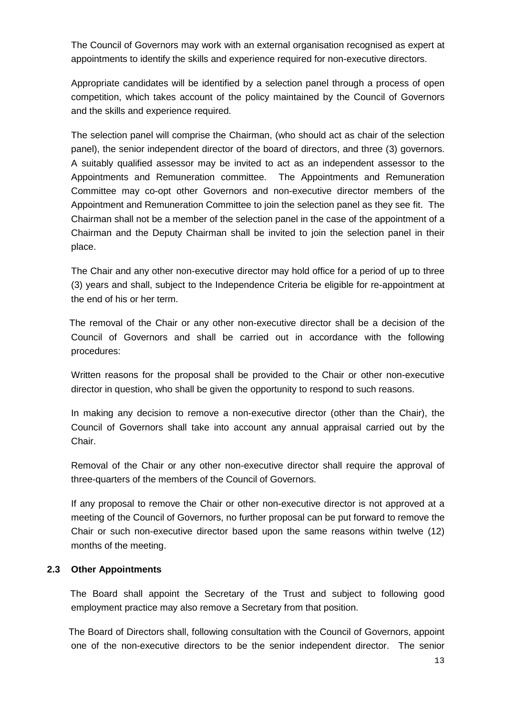The Council of Governors may work with an external organisation recognised as expert at appointments to identify the skills and experience required for non-executive directors.

Appropriate candidates will be identified by a selection panel through a process of open competition, which takes account of the policy maintained by the Council of Governors and the skills and experience required.

The selection panel will comprise the Chairman, (who should act as chair of the selection panel), the senior independent director of the board of directors, and three (3) governors. A suitably qualified assessor may be invited to act as an independent assessor to the Appointments and Remuneration committee. The Appointments and Remuneration Committee may co-opt other Governors and non-executive director members of the Appointment and Remuneration Committee to join the selection panel as they see fit. The Chairman shall not be a member of the selection panel in the case of the appointment of a Chairman and the Deputy Chairman shall be invited to join the selection panel in their place.

The Chair and any other non-executive director may hold office for a period of up to three (3) years and shall, subject to the Independence Criteria be eligible for re-appointment at the end of his or her term.

 The removal of the Chair or any other non-executive director shall be a decision of the Council of Governors and shall be carried out in accordance with the following procedures:

Written reasons for the proposal shall be provided to the Chair or other non-executive director in question, who shall be given the opportunity to respond to such reasons.

In making any decision to remove a non-executive director (other than the Chair), the Council of Governors shall take into account any annual appraisal carried out by the Chair.

Removal of the Chair or any other non-executive director shall require the approval of three-quarters of the members of the Council of Governors.

If any proposal to remove the Chair or other non-executive director is not approved at a meeting of the Council of Governors, no further proposal can be put forward to remove the Chair or such non-executive director based upon the same reasons within twelve (12) months of the meeting.

### **2.3 Other Appointments**

 The Board shall appoint the Secretary of the Trust and subject to following good employment practice may also remove a Secretary from that position.

 The Board of Directors shall, following consultation with the Council of Governors, appoint one of the non-executive directors to be the senior independent director. The senior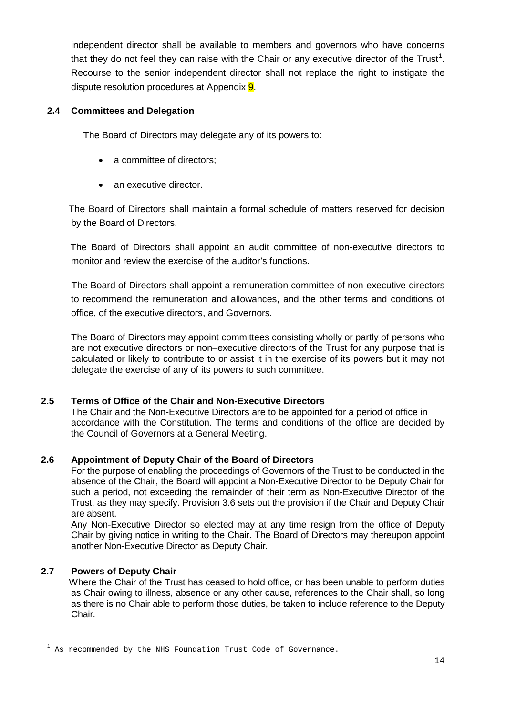independent director shall be available to members and governors who have concerns that they do not feel they can raise with the Chair or any executive director of the Trust<sup>[1](#page-13-0)</sup>. Recourse to the senior independent director shall not replace the right to instigate the dispute resolution procedures at Appendix **9**.

#### **2.4 Committees and Delegation**

The Board of Directors may delegate any of its powers to:

- a committee of directors:
- an executive director

 The Board of Directors shall maintain a formal schedule of matters reserved for decision by the Board of Directors.

 The Board of Directors shall appoint an audit committee of non-executive directors to monitor and review the exercise of the auditor's functions.

 The Board of Directors shall appoint a remuneration committee of non-executive directors to recommend the remuneration and allowances, and the other terms and conditions of office, of the executive directors, and Governors.

The Board of Directors may appoint committees consisting wholly or partly of persons who are not executive directors or non–executive directors of the Trust for any purpose that is calculated or likely to contribute to or assist it in the exercise of its powers but it may not delegate the exercise of any of its powers to such committee.

### **2.5 Terms of Office of the Chair and Non-Executive Directors**

The Chair and the Non-Executive Directors are to be appointed for a period of office in accordance with the Constitution. The terms and conditions of the office are decided by the Council of Governors at a General Meeting.

### **2.6 Appointment of Deputy Chair of the Board of Directors**

For the purpose of enabling the proceedings of Governors of the Trust to be conducted in the absence of the Chair, the Board will appoint a Non-Executive Director to be Deputy Chair for such a period, not exceeding the remainder of their term as Non-Executive Director of the Trust, as they may specify. Provision 3.6 sets out the provision if the Chair and Deputy Chair are absent.

Any Non-Executive Director so elected may at any time resign from the office of Deputy Chair by giving notice in writing to the Chair. The Board of Directors may thereupon appoint another Non-Executive Director as Deputy Chair.

### **2.7 Powers of Deputy Chair**

 Where the Chair of the Trust has ceased to hold office, or has been unable to perform duties as Chair owing to illness, absence or any other cause, references to the Chair shall, so long as there is no Chair able to perform those duties, be taken to include reference to the Deputy Chair.

<span id="page-13-0"></span><sup>1</sup> As recommended by the NHS Foundation Trust Code of Governance.  $\overline{1}$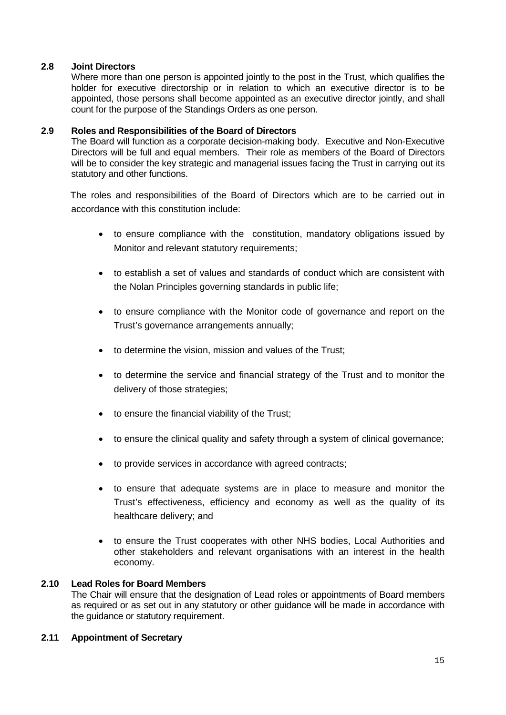#### **2.8 Joint Directors**

Where more than one person is appointed jointly to the post in the Trust, which qualifies the holder for executive directorship or in relation to which an executive director is to be appointed, those persons shall become appointed as an executive director jointly, and shall count for the purpose of the Standings Orders as one person.

#### **2.9 Roles and Responsibilities of the Board of Directors**

The Board will function as a corporate decision-making body. Executive and Non-Executive Directors will be full and equal members. Their role as members of the Board of Directors will be to consider the key strategic and managerial issues facing the Trust in carrying out its statutory and other functions.

 The roles and responsibilities of the Board of Directors which are to be carried out in accordance with this constitution include:

- to ensure compliance with the constitution, mandatory obligations issued by Monitor and relevant statutory requirements;
- to establish a set of values and standards of conduct which are consistent with the Nolan Principles governing standards in public life;
- to ensure compliance with the Monitor code of governance and report on the Trust's governance arrangements annually;
- to determine the vision, mission and values of the Trust;
- to determine the service and financial strategy of the Trust and to monitor the delivery of those strategies;
- to ensure the financial viability of the Trust;
- to ensure the clinical quality and safety through a system of clinical governance;
- to provide services in accordance with agreed contracts;
- to ensure that adequate systems are in place to measure and monitor the Trust's effectiveness, efficiency and economy as well as the quality of its healthcare delivery; and
- to ensure the Trust cooperates with other NHS bodies, Local Authorities and other stakeholders and relevant organisations with an interest in the health economy.

#### **2.10 Lead Roles for Board Members**

The Chair will ensure that the designation of Lead roles or appointments of Board members as required or as set out in any statutory or other guidance will be made in accordance with the guidance or statutory requirement.

#### **2.11 Appointment of Secretary**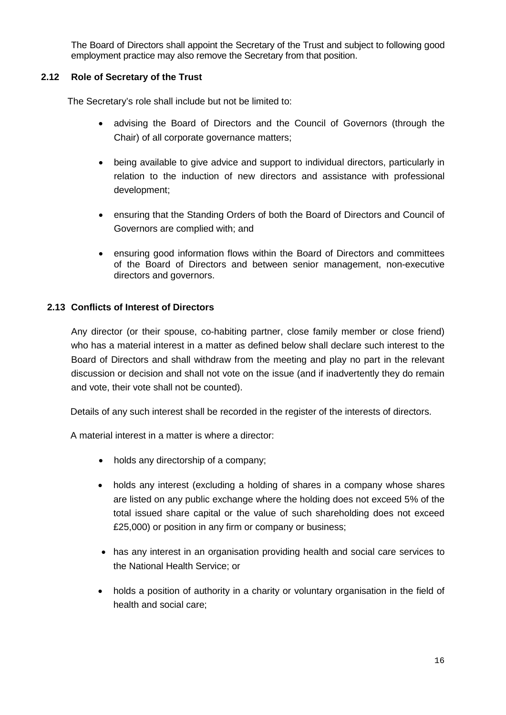The Board of Directors shall appoint the Secretary of the Trust and subject to following good employment practice may also remove the Secretary from that position.

#### **2.12 Role of Secretary of the Trust**

The Secretary's role shall include but not be limited to:

- advising the Board of Directors and the Council of Governors (through the Chair) of all corporate governance matters;
- being available to give advice and support to individual directors, particularly in relation to the induction of new directors and assistance with professional development;
- ensuring that the Standing Orders of both the Board of Directors and Council of Governors are complied with; and
- ensuring good information flows within the Board of Directors and committees of the Board of Directors and between senior management, non-executive directors and governors.

### **2.13 Conflicts of Interest of Directors**

Any director (or their spouse, co-habiting partner, close family member or close friend) who has a material interest in a matter as defined below shall declare such interest to the Board of Directors and shall withdraw from the meeting and play no part in the relevant discussion or decision and shall not vote on the issue (and if inadvertently they do remain and vote, their vote shall not be counted).

Details of any such interest shall be recorded in the register of the interests of directors.

A material interest in a matter is where a director:

- holds any directorship of a company:
- holds any interest (excluding a holding of shares in a company whose shares are listed on any public exchange where the holding does not exceed 5% of the total issued share capital or the value of such shareholding does not exceed £25,000) or position in any firm or company or business;
- has any interest in an organisation providing health and social care services to the National Health Service; or
- holds a position of authority in a charity or voluntary organisation in the field of health and social care;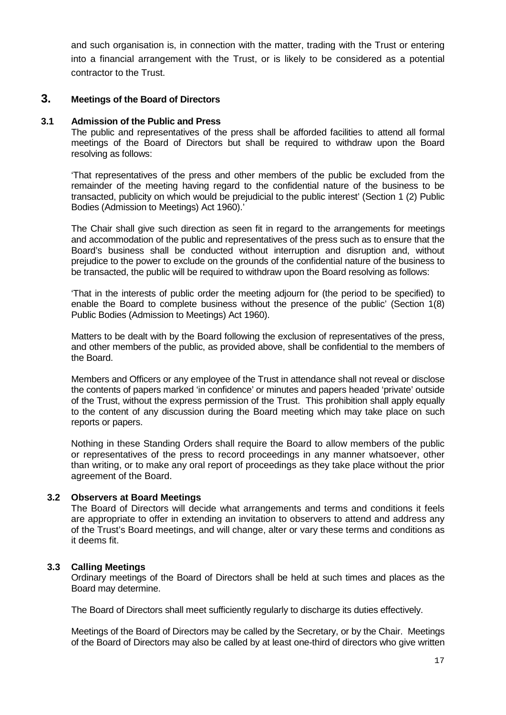and such organisation is, in connection with the matter, trading with the Trust or entering into a financial arrangement with the Trust, or is likely to be considered as a potential contractor to the Trust.

### **3. Meetings of the Board of Directors**

#### **3.1 Admission of the Public and Press**

The public and representatives of the press shall be afforded facilities to attend all formal meetings of the Board of Directors but shall be required to withdraw upon the Board resolving as follows:

'That representatives of the press and other members of the public be excluded from the remainder of the meeting having regard to the confidential nature of the business to be transacted, publicity on which would be prejudicial to the public interest' (Section 1 (2) Public Bodies (Admission to Meetings) Act 1960).'

The Chair shall give such direction as seen fit in regard to the arrangements for meetings and accommodation of the public and representatives of the press such as to ensure that the Board's business shall be conducted without interruption and disruption and, without prejudice to the power to exclude on the grounds of the confidential nature of the business to be transacted, the public will be required to withdraw upon the Board resolving as follows:

'That in the interests of public order the meeting adjourn for (the period to be specified) to enable the Board to complete business without the presence of the public' (Section 1(8) Public Bodies (Admission to Meetings) Act 1960).

Matters to be dealt with by the Board following the exclusion of representatives of the press, and other members of the public, as provided above, shall be confidential to the members of the Board.

Members and Officers or any employee of the Trust in attendance shall not reveal or disclose the contents of papers marked 'in confidence' or minutes and papers headed 'private' outside of the Trust, without the express permission of the Trust. This prohibition shall apply equally to the content of any discussion during the Board meeting which may take place on such reports or papers.

Nothing in these Standing Orders shall require the Board to allow members of the public or representatives of the press to record proceedings in any manner whatsoever, other than writing, or to make any oral report of proceedings as they take place without the prior agreement of the Board.

#### **3.2 Observers at Board Meetings**

The Board of Directors will decide what arrangements and terms and conditions it feels are appropriate to offer in extending an invitation to observers to attend and address any of the Trust's Board meetings, and will change, alter or vary these terms and conditions as it deems fit.

#### **3.3 Calling Meetings**

Ordinary meetings of the Board of Directors shall be held at such times and places as the Board may determine.

The Board of Directors shall meet sufficiently regularly to discharge its duties effectively.

Meetings of the Board of Directors may be called by the Secretary, or by the Chair. Meetings of the Board of Directors may also be called by at least one-third of directors who give written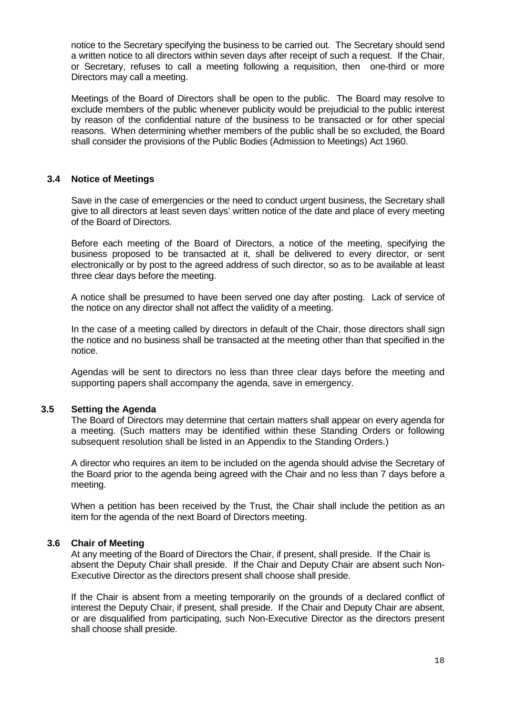notice to the Secretary specifying the business to be carried out. The Secretary should send a written notice to all directors within seven days after receipt of such a request. If the Chair, or Secretary, refuses to call a meeting following a requisition, then one-third or more Directors may call a meeting.

Meetings of the Board of Directors shall be open to the public. The Board may resolve to exclude members of the public whenever publicity would be prejudicial to the public interest by reason of the confidential nature of the business to be transacted or for other special reasons. When determining whether members of the public shall be so excluded, the Board shall consider the provisions of the Public Bodies (Admission to Meetings) Act 1960.

#### **3.4 Notice of Meetings**

Save in the case of emergencies or the need to conduct urgent business, the Secretary shall give to all directors at least seven days' written notice of the date and place of every meeting of the Board of Directors.

Before each meeting of the Board of Directors, a notice of the meeting, specifying the business proposed to be transacted at it, shall be delivered to every director, or sent electronically or by post to the agreed address of such director, so as to be available at least three clear days before the meeting.

A notice shall be presumed to have been served one day after posting. Lack of service of the notice on any director shall not affect the validity of a meeting.

In the case of a meeting called by directors in default of the Chair, those directors shall sign the notice and no business shall be transacted at the meeting other than that specified in the notice.

Agendas will be sent to directors no less than three clear days before the meeting and supporting papers shall accompany the agenda, save in emergency.

#### **3.5 Setting the Agenda**

The Board of Directors may determine that certain matters shall appear on every agenda for a meeting. (Such matters may be identified within these Standing Orders or following subsequent resolution shall be listed in an Appendix to the Standing Orders.)

A director who requires an item to be included on the agenda should advise the Secretary of the Board prior to the agenda being agreed with the Chair and no less than 7 days before a meeting.

When a petition has been received by the Trust, the Chair shall include the petition as an item for the agenda of the next Board of Directors meeting.

#### **3.6 Chair of Meeting**

At any meeting of the Board of Directors the Chair, if present, shall preside. If the Chair is absent the Deputy Chair shall preside. If the Chair and Deputy Chair are absent such Non-Executive Director as the directors present shall choose shall preside.

If the Chair is absent from a meeting temporarily on the grounds of a declared conflict of interest the Deputy Chair, if present, shall preside. If the Chair and Deputy Chair are absent, or are disqualified from participating, such Non-Executive Director as the directors present shall choose shall preside.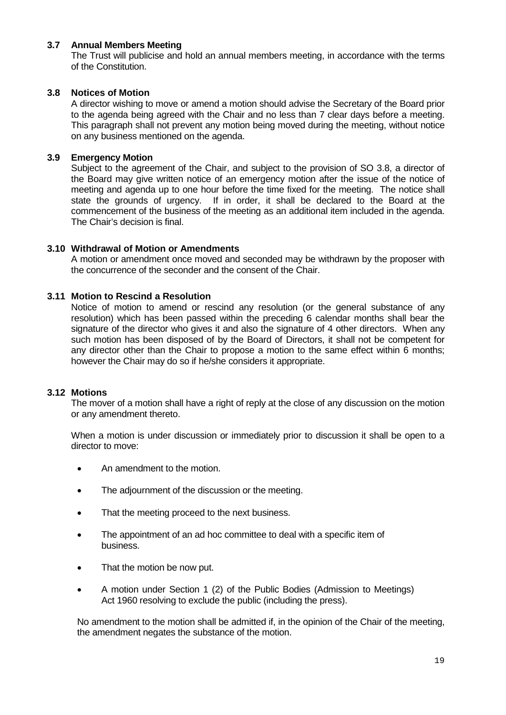#### **3.7 Annual Members Meeting**

The Trust will publicise and hold an annual members meeting, in accordance with the terms of the Constitution.

#### **3.8 Notices of Motion**

A director wishing to move or amend a motion should advise the Secretary of the Board prior to the agenda being agreed with the Chair and no less than 7 clear days before a meeting. This paragraph shall not prevent any motion being moved during the meeting, without notice on any business mentioned on the agenda.

#### **3.9 Emergency Motion**

Subject to the agreement of the Chair, and subject to the provision of SO 3.8, a director of the Board may give written notice of an emergency motion after the issue of the notice of meeting and agenda up to one hour before the time fixed for the meeting. The notice shall state the grounds of urgency. If in order, it shall be declared to the Board at the commencement of the business of the meeting as an additional item included in the agenda. The Chair's decision is final.

#### **3.10 Withdrawal of Motion or Amendments**

A motion or amendment once moved and seconded may be withdrawn by the proposer with the concurrence of the seconder and the consent of the Chair.

#### **3.11 Motion to Rescind a Resolution**

Notice of motion to amend or rescind any resolution (or the general substance of any resolution) which has been passed within the preceding 6 calendar months shall bear the signature of the director who gives it and also the signature of 4 other directors. When any such motion has been disposed of by the Board of Directors, it shall not be competent for any director other than the Chair to propose a motion to the same effect within 6 months; however the Chair may do so if he/she considers it appropriate.

#### **3.12 Motions**

The mover of a motion shall have a right of reply at the close of any discussion on the motion or any amendment thereto.

When a motion is under discussion or immediately prior to discussion it shall be open to a director to move:

- An amendment to the motion.
- The adjournment of the discussion or the meeting.
- That the meeting proceed to the next business.
- The appointment of an ad hoc committee to deal with a specific item of business.
- That the motion be now put.
- A motion under Section 1 (2) of the Public Bodies (Admission to Meetings) Act 1960 resolving to exclude the public (including the press).

No amendment to the motion shall be admitted if, in the opinion of the Chair of the meeting, the amendment negates the substance of the motion.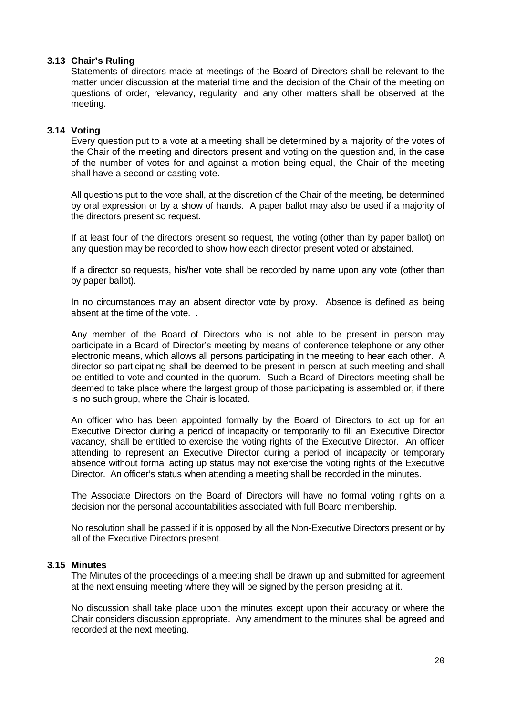#### **3.13 Chair's Ruling**

Statements of directors made at meetings of the Board of Directors shall be relevant to the matter under discussion at the material time and the decision of the Chair of the meeting on questions of order, relevancy, regularity, and any other matters shall be observed at the meeting.

#### **3.14 Voting**

Every question put to a vote at a meeting shall be determined by a majority of the votes of the Chair of the meeting and directors present and voting on the question and, in the case of the number of votes for and against a motion being equal, the Chair of the meeting shall have a second or casting vote.

All questions put to the vote shall, at the discretion of the Chair of the meeting, be determined by oral expression or by a show of hands. A paper ballot may also be used if a majority of the directors present so request.

If at least four of the directors present so request, the voting (other than by paper ballot) on any question may be recorded to show how each director present voted or abstained.

If a director so requests, his/her vote shall be recorded by name upon any vote (other than by paper ballot).

In no circumstances may an absent director vote by proxy. Absence is defined as being absent at the time of the vote. .

Any member of the Board of Directors who is not able to be present in person may participate in a Board of Director's meeting by means of conference telephone or any other electronic means, which allows all persons participating in the meeting to hear each other. A director so participating shall be deemed to be present in person at such meeting and shall be entitled to vote and counted in the quorum. Such a Board of Directors meeting shall be deemed to take place where the largest group of those participating is assembled or, if there is no such group, where the Chair is located.

An officer who has been appointed formally by the Board of Directors to act up for an Executive Director during a period of incapacity or temporarily to fill an Executive Director vacancy, shall be entitled to exercise the voting rights of the Executive Director. An officer attending to represent an Executive Director during a period of incapacity or temporary absence without formal acting up status may not exercise the voting rights of the Executive Director. An officer's status when attending a meeting shall be recorded in the minutes.

The Associate Directors on the Board of Directors will have no formal voting rights on a decision nor the personal accountabilities associated with full Board membership.

No resolution shall be passed if it is opposed by all the Non-Executive Directors present or by all of the Executive Directors present.

#### **3.15 Minutes**

The Minutes of the proceedings of a meeting shall be drawn up and submitted for agreement at the next ensuing meeting where they will be signed by the person presiding at it.

No discussion shall take place upon the minutes except upon their accuracy or where the Chair considers discussion appropriate. Any amendment to the minutes shall be agreed and recorded at the next meeting.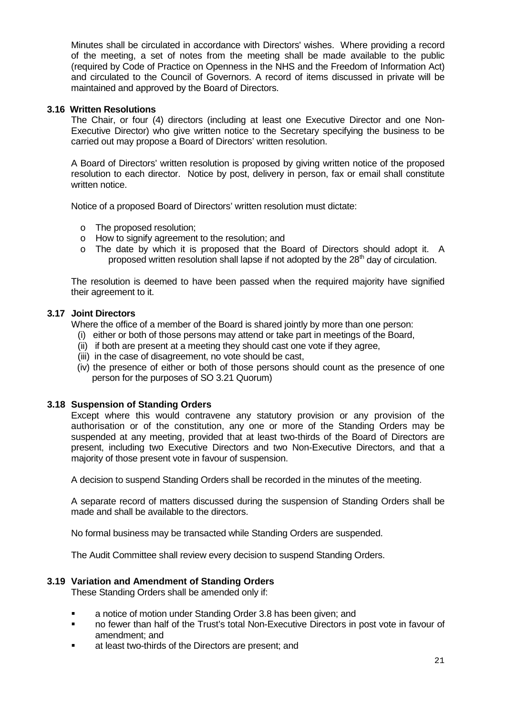Minutes shall be circulated in accordance with Directors' wishes. Where providing a record of the meeting, a set of notes from the meeting shall be made available to the public (required by Code of Practice on Openness in the NHS and the Freedom of Information Act) and circulated to the Council of Governors. A record of items discussed in private will be maintained and approved by the Board of Directors.

#### **3.16 Written Resolutions**

The Chair, or four (4) directors (including at least one Executive Director and one Non-Executive Director) who give written notice to the Secretary specifying the business to be carried out may propose a Board of Directors' written resolution.

A Board of Directors' written resolution is proposed by giving written notice of the proposed resolution to each director. Notice by post, delivery in person, fax or email shall constitute written notice.

Notice of a proposed Board of Directors' written resolution must dictate:

- o The proposed resolution;
- $\circ$  How to signify agreement to the resolution; and
- o The date by which it is proposed that the Board of Directors should adopt it. A proposed written resolution shall lapse if not adopted by the 28<sup>th</sup> day of circulation.

The resolution is deemed to have been passed when the required majority have signified their agreement to it.

### **3.17 Joint Directors**

Where the office of a member of the Board is shared jointly by more than one person:

- (i) either or both of those persons may attend or take part in meetings of the Board,
- (ii) if both are present at a meeting they should cast one vote if they agree,
- (iii) in the case of disagreement, no vote should be cast,
- (iv) the presence of either or both of those persons should count as the presence of one person for the purposes of SO 3.21 Quorum)

#### **3.18 Suspension of Standing Orders**

Except where this would contravene any statutory provision or any provision of the authorisation or of the constitution, any one or more of the Standing Orders may be suspended at any meeting, provided that at least two-thirds of the Board of Directors are present, including two Executive Directors and two Non-Executive Directors, and that a majority of those present vote in favour of suspension.

A decision to suspend Standing Orders shall be recorded in the minutes of the meeting.

A separate record of matters discussed during the suspension of Standing Orders shall be made and shall be available to the directors.

No formal business may be transacted while Standing Orders are suspended.

The Audit Committee shall review every decision to suspend Standing Orders.

#### **3.19 Variation and Amendment of Standing Orders**

These Standing Orders shall be amended only if:

- **EXECT** a notice of motion under Standing Order 3.8 has been given; and
- no fewer than half of the Trust's total Non-Executive Directors in post vote in favour of amendment; and
- at least two-thirds of the Directors are present; and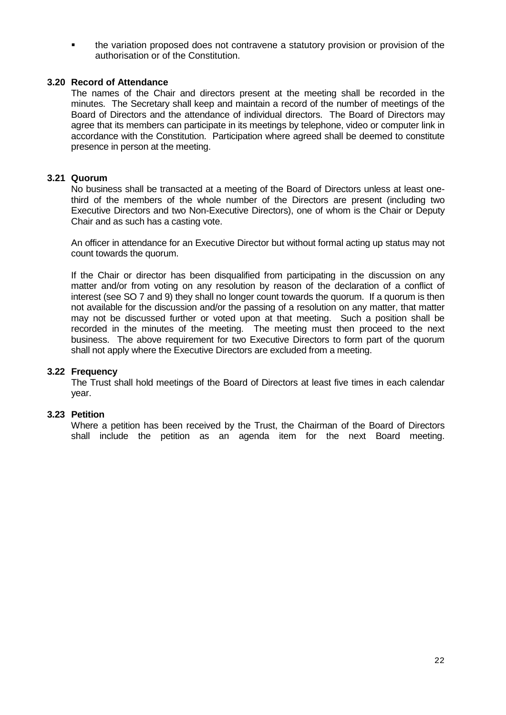the variation proposed does not contravene a statutory provision or provision of the authorisation or of the Constitution.

#### **3.20 Record of Attendance**

The names of the Chair and directors present at the meeting shall be recorded in the minutes. The Secretary shall keep and maintain a record of the number of meetings of the Board of Directors and the attendance of individual directors. The Board of Directors may agree that its members can participate in its meetings by telephone, video or computer link in accordance with the Constitution. Participation where agreed shall be deemed to constitute presence in person at the meeting.

#### **3.21 Quorum**

No business shall be transacted at a meeting of the Board of Directors unless at least onethird of the members of the whole number of the Directors are present (including two Executive Directors and two Non-Executive Directors), one of whom is the Chair or Deputy Chair and as such has a casting vote.

An officer in attendance for an Executive Director but without formal acting up status may not count towards the quorum.

If the Chair or director has been disqualified from participating in the discussion on any matter and/or from voting on any resolution by reason of the declaration of a conflict of interest (see SO 7 and 9) they shall no longer count towards the quorum. If a quorum is then not available for the discussion and/or the passing of a resolution on any matter, that matter may not be discussed further or voted upon at that meeting. Such a position shall be recorded in the minutes of the meeting. The meeting must then proceed to the next business. The above requirement for two Executive Directors to form part of the quorum shall not apply where the Executive Directors are excluded from a meeting.

#### **3.22 Frequency**

The Trust shall hold meetings of the Board of Directors at least five times in each calendar year.

#### **3.23 Petition**

Where a petition has been received by the Trust, the Chairman of the Board of Directors shall include the petition as an agenda item for the next Board meeting.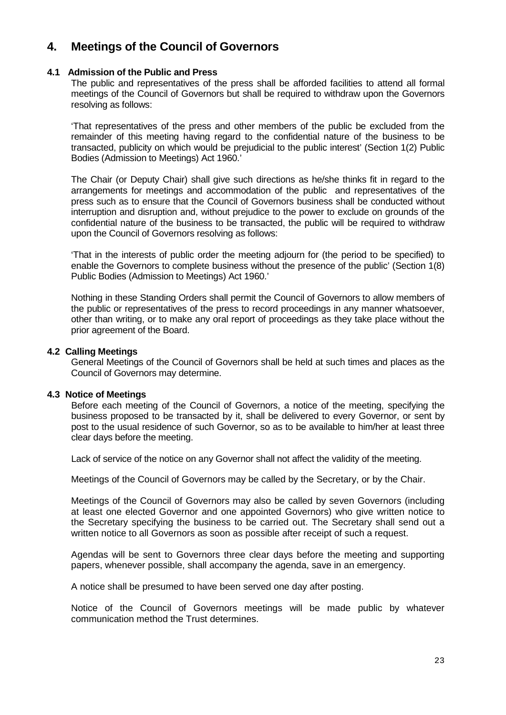## **4. Meetings of the Council of Governors**

#### **4.1 Admission of the Public and Press**

The public and representatives of the press shall be afforded facilities to attend all formal meetings of the Council of Governors but shall be required to withdraw upon the Governors resolving as follows:

'That representatives of the press and other members of the public be excluded from the remainder of this meeting having regard to the confidential nature of the business to be transacted, publicity on which would be prejudicial to the public interest' (Section 1(2) Public Bodies (Admission to Meetings) Act 1960.'

The Chair (or Deputy Chair) shall give such directions as he/she thinks fit in regard to the arrangements for meetings and accommodation of the public and representatives of the press such as to ensure that the Council of Governors business shall be conducted without interruption and disruption and, without prejudice to the power to exclude on grounds of the confidential nature of the business to be transacted, the public will be required to withdraw upon the Council of Governors resolving as follows:

'That in the interests of public order the meeting adjourn for (the period to be specified) to enable the Governors to complete business without the presence of the public' (Section 1(8) Public Bodies (Admission to Meetings) Act 1960.'

Nothing in these Standing Orders shall permit the Council of Governors to allow members of the public or representatives of the press to record proceedings in any manner whatsoever, other than writing, or to make any oral report of proceedings as they take place without the prior agreement of the Board.

#### **4.2 Calling Meetings**

General Meetings of the Council of Governors shall be held at such times and places as the Council of Governors may determine.

#### **4.3 Notice of Meetings**

Before each meeting of the Council of Governors, a notice of the meeting, specifying the business proposed to be transacted by it, shall be delivered to every Governor, or sent by post to the usual residence of such Governor, so as to be available to him/her at least three clear days before the meeting.

Lack of service of the notice on any Governor shall not affect the validity of the meeting.

Meetings of the Council of Governors may be called by the Secretary, or by the Chair.

Meetings of the Council of Governors may also be called by seven Governors (including at least one elected Governor and one appointed Governors) who give written notice to the Secretary specifying the business to be carried out. The Secretary shall send out a written notice to all Governors as soon as possible after receipt of such a request.

Agendas will be sent to Governors three clear days before the meeting and supporting papers, whenever possible, shall accompany the agenda, save in an emergency.

A notice shall be presumed to have been served one day after posting.

Notice of the Council of Governors meetings will be made public by whatever communication method the Trust determines.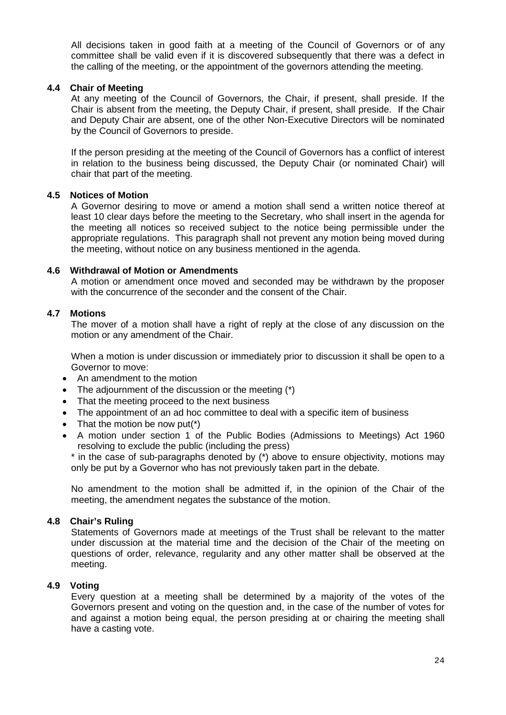All decisions taken in good faith at a meeting of the Council of Governors or of any committee shall be valid even if it is discovered subsequently that there was a defect in the calling of the meeting, or the appointment of the governors attending the meeting.

#### **4.4 Chair of Meeting**

At any meeting of the Council of Governors, the Chair, if present, shall preside. If the Chair is absent from the meeting, the Deputy Chair, if present, shall preside. If the Chair and Deputy Chair are absent, one of the other Non-Executive Directors will be nominated by the Council of Governors to preside.

If the person presiding at the meeting of the Council of Governors has a conflict of interest in relation to the business being discussed, the Deputy Chair (or nominated Chair) will chair that part of the meeting.

#### **4.5 Notices of Motion**

A Governor desiring to move or amend a motion shall send a written notice thereof at least 10 clear days before the meeting to the Secretary, who shall insert in the agenda for the meeting all notices so received subject to the notice being permissible under the appropriate regulations. This paragraph shall not prevent any motion being moved during the meeting, without notice on any business mentioned in the agenda.

#### **4.6 Withdrawal of Motion or Amendments**

A motion or amendment once moved and seconded may be withdrawn by the proposer with the concurrence of the seconder and the consent of the Chair.

#### **4.7 Motions**

The mover of a motion shall have a right of reply at the close of any discussion on the motion or any amendment of the Chair.

When a motion is under discussion or immediately prior to discussion it shall be open to a Governor to move:

- An amendment to the motion
- The adjournment of the discussion or the meeting (\*)
- That the meeting proceed to the next business
- The appointment of an ad hoc committee to deal with a specific item of business
- That the motion be now put( $*)$
- A motion under section 1 of the Public Bodies (Admissions to Meetings) Act 1960 resolving to exclude the public (including the press)

\* in the case of sub-paragraphs denoted by (\*) above to ensure objectivity, motions may only be put by a Governor who has not previously taken part in the debate.

No amendment to the motion shall be admitted if, in the opinion of the Chair of the meeting, the amendment negates the substance of the motion.

#### **4.8 Chair's Ruling**

Statements of Governors made at meetings of the Trust shall be relevant to the matter under discussion at the material time and the decision of the Chair of the meeting on questions of order, relevance, regularity and any other matter shall be observed at the meeting.

#### **4.9 Voting**

Every question at a meeting shall be determined by a majority of the votes of the Governors present and voting on the question and, in the case of the number of votes for and against a motion being equal, the person presiding at or chairing the meeting shall have a casting vote.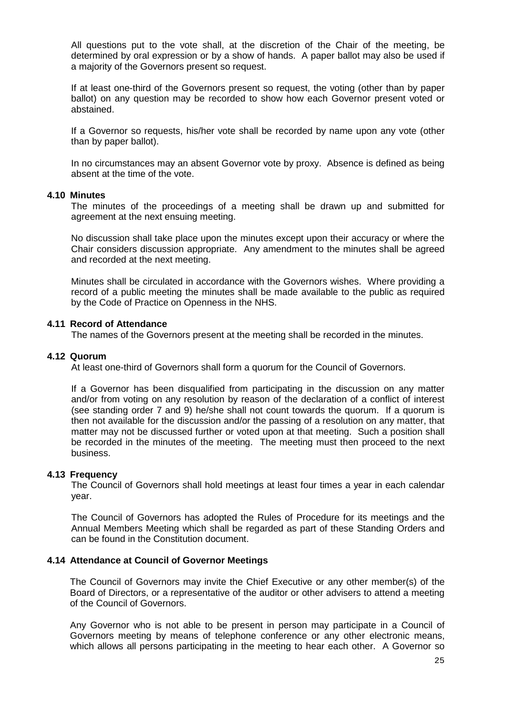All questions put to the vote shall, at the discretion of the Chair of the meeting, be determined by oral expression or by a show of hands. A paper ballot may also be used if a majority of the Governors present so request.

If at least one-third of the Governors present so request, the voting (other than by paper ballot) on any question may be recorded to show how each Governor present voted or abstained.

If a Governor so requests, his/her vote shall be recorded by name upon any vote (other than by paper ballot).

In no circumstances may an absent Governor vote by proxy. Absence is defined as being absent at the time of the vote.

#### **4.10 Minutes**

The minutes of the proceedings of a meeting shall be drawn up and submitted for agreement at the next ensuing meeting.

No discussion shall take place upon the minutes except upon their accuracy or where the Chair considers discussion appropriate. Any amendment to the minutes shall be agreed and recorded at the next meeting.

Minutes shall be circulated in accordance with the Governors wishes. Where providing a record of a public meeting the minutes shall be made available to the public as required by the Code of Practice on Openness in the NHS.

#### **4.11 Record of Attendance**

The names of the Governors present at the meeting shall be recorded in the minutes.

#### **4.12 Quorum**

At least one-third of Governors shall form a quorum for the Council of Governors.

If a Governor has been disqualified from participating in the discussion on any matter and/or from voting on any resolution by reason of the declaration of a conflict of interest (see standing order 7 and 9) he/she shall not count towards the quorum. If a quorum is then not available for the discussion and/or the passing of a resolution on any matter, that matter may not be discussed further or voted upon at that meeting. Such a position shall be recorded in the minutes of the meeting. The meeting must then proceed to the next business.

#### **4.13 Frequency**

The Council of Governors shall hold meetings at least four times a year in each calendar year.

The Council of Governors has adopted the Rules of Procedure for its meetings and the Annual Members Meeting which shall be regarded as part of these Standing Orders and can be found in the Constitution document.

#### **4.14 Attendance at Council of Governor Meetings**

The Council of Governors may invite the Chief Executive or any other member(s) of the Board of Directors, or a representative of the auditor or other advisers to attend a meeting of the Council of Governors.

Any Governor who is not able to be present in person may participate in a Council of Governors meeting by means of telephone conference or any other electronic means, which allows all persons participating in the meeting to hear each other. A Governor so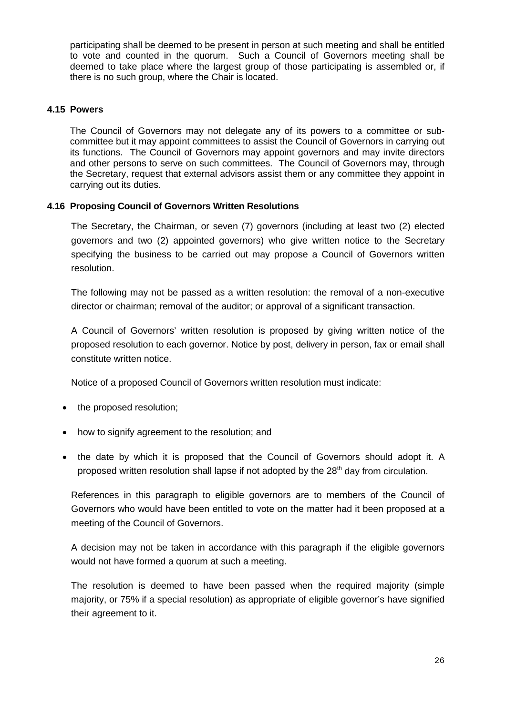participating shall be deemed to be present in person at such meeting and shall be entitled to vote and counted in the quorum. Such a Council of Governors meeting shall be deemed to take place where the largest group of those participating is assembled or, if there is no such group, where the Chair is located.

#### **4.15 Powers**

The Council of Governors may not delegate any of its powers to a committee or subcommittee but it may appoint committees to assist the Council of Governors in carrying out its functions. The Council of Governors may appoint governors and may invite directors and other persons to serve on such committees. The Council of Governors may, through the Secretary, request that external advisors assist them or any committee they appoint in carrying out its duties.

#### **4.16 Proposing Council of Governors Written Resolutions**

The Secretary, the Chairman, or seven (7) governors (including at least two (2) elected governors and two (2) appointed governors) who give written notice to the Secretary specifying the business to be carried out may propose a Council of Governors written resolution.

The following may not be passed as a written resolution: the removal of a non-executive director or chairman; removal of the auditor; or approval of a significant transaction.

A Council of Governors' written resolution is proposed by giving written notice of the proposed resolution to each governor. Notice by post, delivery in person, fax or email shall constitute written notice.

Notice of a proposed Council of Governors written resolution must indicate:

- the proposed resolution;
- how to signify agreement to the resolution; and
- the date by which it is proposed that the Council of Governors should adopt it. A proposed written resolution shall lapse if not adopted by the 28<sup>th</sup> day from circulation.

References in this paragraph to eligible governors are to members of the Council of Governors who would have been entitled to vote on the matter had it been proposed at a meeting of the Council of Governors.

A decision may not be taken in accordance with this paragraph if the eligible governors would not have formed a quorum at such a meeting.

The resolution is deemed to have been passed when the required majority (simple majority, or 75% if a special resolution) as appropriate of eligible governor's have signified their agreement to it.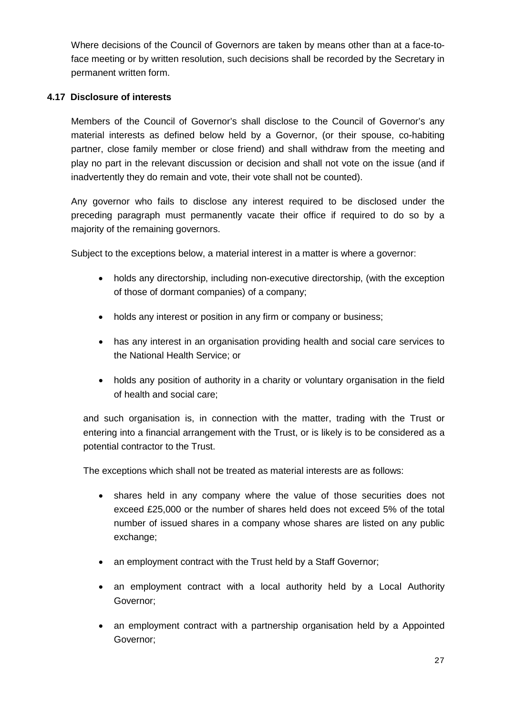Where decisions of the Council of Governors are taken by means other than at a face-toface meeting or by written resolution, such decisions shall be recorded by the Secretary in permanent written form.

### **4.17 Disclosure of interests**

Members of the Council of Governor's shall disclose to the Council of Governor's any material interests as defined below held by a Governor, (or their spouse, co-habiting partner, close family member or close friend) and shall withdraw from the meeting and play no part in the relevant discussion or decision and shall not vote on the issue (and if inadvertently they do remain and vote, their vote shall not be counted).

Any governor who fails to disclose any interest required to be disclosed under the preceding paragraph must permanently vacate their office if required to do so by a majority of the remaining governors.

Subject to the exceptions below, a material interest in a matter is where a governor:

- holds any directorship, including non-executive directorship, (with the exception of those of dormant companies) of a company;
- holds any interest or position in any firm or company or business;
- has any interest in an organisation providing health and social care services to the National Health Service; or
- holds any position of authority in a charity or voluntary organisation in the field of health and social care;

and such organisation is, in connection with the matter, trading with the Trust or entering into a financial arrangement with the Trust, or is likely is to be considered as a potential contractor to the Trust.

The exceptions which shall not be treated as material interests are as follows:

- shares held in any company where the value of those securities does not exceed £25,000 or the number of shares held does not exceed 5% of the total number of issued shares in a company whose shares are listed on any public exchange;
- an employment contract with the Trust held by a Staff Governor;
- an employment contract with a local authority held by a Local Authority Governor;
- an employment contract with a partnership organisation held by a Appointed Governor;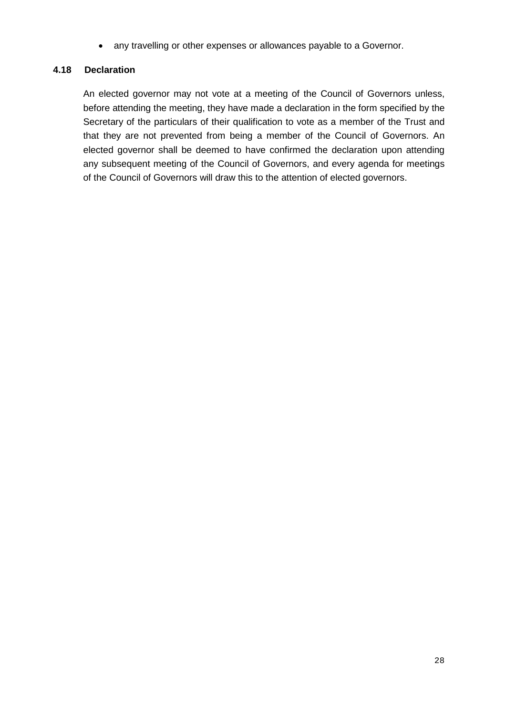• any travelling or other expenses or allowances payable to a Governor.

#### **4.18 Declaration**

An elected governor may not vote at a meeting of the Council of Governors unless, before attending the meeting, they have made a declaration in the form specified by the Secretary of the particulars of their qualification to vote as a member of the Trust and that they are not prevented from being a member of the Council of Governors. An elected governor shall be deemed to have confirmed the declaration upon attending any subsequent meeting of the Council of Governors, and every agenda for meetings of the Council of Governors will draw this to the attention of elected governors.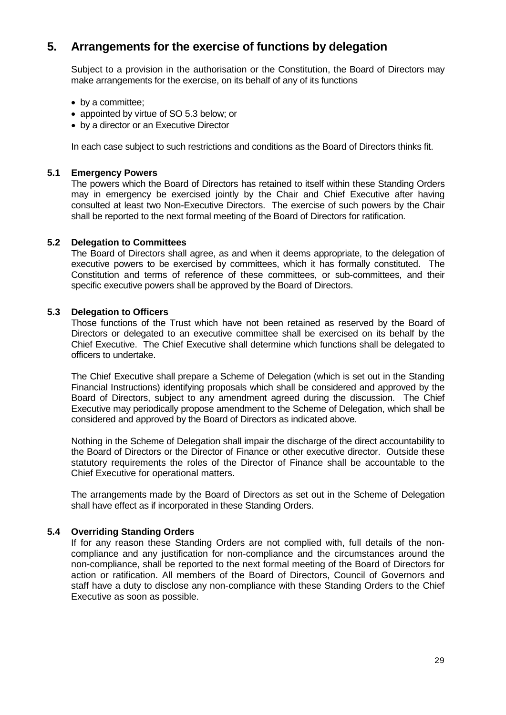## **5. Arrangements for the exercise of functions by delegation**

Subject to a provision in the authorisation or the Constitution, the Board of Directors may make arrangements for the exercise, on its behalf of any of its functions

- by a committee;
- appointed by virtue of SO 5.3 below; or
- by a director or an Executive Director

In each case subject to such restrictions and conditions as the Board of Directors thinks fit.

#### **5.1 Emergency Powers**

The powers which the Board of Directors has retained to itself within these Standing Orders may in emergency be exercised jointly by the Chair and Chief Executive after having consulted at least two Non-Executive Directors. The exercise of such powers by the Chair shall be reported to the next formal meeting of the Board of Directors for ratification.

#### **5.2 Delegation to Committees**

The Board of Directors shall agree, as and when it deems appropriate, to the delegation of executive powers to be exercised by committees, which it has formally constituted. The Constitution and terms of reference of these committees, or sub-committees, and their specific executive powers shall be approved by the Board of Directors.

#### **5.3 Delegation to Officers**

Those functions of the Trust which have not been retained as reserved by the Board of Directors or delegated to an executive committee shall be exercised on its behalf by the Chief Executive. The Chief Executive shall determine which functions shall be delegated to officers to undertake.

The Chief Executive shall prepare a Scheme of Delegation (which is set out in the Standing Financial Instructions) identifying proposals which shall be considered and approved by the Board of Directors, subject to any amendment agreed during the discussion. The Chief Executive may periodically propose amendment to the Scheme of Delegation, which shall be considered and approved by the Board of Directors as indicated above.

Nothing in the Scheme of Delegation shall impair the discharge of the direct accountability to the Board of Directors or the Director of Finance or other executive director. Outside these statutory requirements the roles of the Director of Finance shall be accountable to the Chief Executive for operational matters.

The arrangements made by the Board of Directors as set out in the Scheme of Delegation shall have effect as if incorporated in these Standing Orders.

#### **5.4 Overriding Standing Orders**

If for any reason these Standing Orders are not complied with, full details of the noncompliance and any justification for non-compliance and the circumstances around the non-compliance, shall be reported to the next formal meeting of the Board of Directors for action or ratification. All members of the Board of Directors, Council of Governors and staff have a duty to disclose any non-compliance with these Standing Orders to the Chief Executive as soon as possible.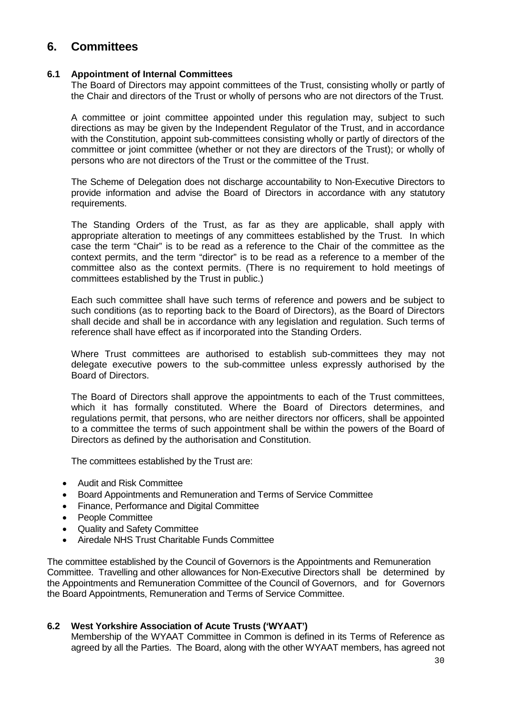## **6. Committees**

#### **6.1 Appointment of Internal Committees**

The Board of Directors may appoint committees of the Trust, consisting wholly or partly of the Chair and directors of the Trust or wholly of persons who are not directors of the Trust.

A committee or joint committee appointed under this regulation may, subject to such directions as may be given by the Independent Regulator of the Trust, and in accordance with the Constitution, appoint sub-committees consisting wholly or partly of directors of the committee or joint committee (whether or not they are directors of the Trust); or wholly of persons who are not directors of the Trust or the committee of the Trust.

The Scheme of Delegation does not discharge accountability to Non-Executive Directors to provide information and advise the Board of Directors in accordance with any statutory requirements.

The Standing Orders of the Trust, as far as they are applicable, shall apply with appropriate alteration to meetings of any committees established by the Trust. In which case the term "Chair" is to be read as a reference to the Chair of the committee as the context permits, and the term "director" is to be read as a reference to a member of the committee also as the context permits. (There is no requirement to hold meetings of committees established by the Trust in public.)

Each such committee shall have such terms of reference and powers and be subject to such conditions (as to reporting back to the Board of Directors), as the Board of Directors shall decide and shall be in accordance with any legislation and regulation. Such terms of reference shall have effect as if incorporated into the Standing Orders.

Where Trust committees are authorised to establish sub-committees they may not delegate executive powers to the sub-committee unless expressly authorised by the Board of Directors.

The Board of Directors shall approve the appointments to each of the Trust committees, which it has formally constituted. Where the Board of Directors determines, and regulations permit, that persons, who are neither directors nor officers, shall be appointed to a committee the terms of such appointment shall be within the powers of the Board of Directors as defined by the authorisation and Constitution.

The committees established by the Trust are:

- Audit and Risk Committee
- Board Appointments and Remuneration and Terms of Service Committee
- Finance, Performance and Digital Committee
- People Committee
- Quality and Safety Committee
- Airedale NHS Trust Charitable Funds Committee

The committee established by the Council of Governors is the Appointments and Remuneration Committee. Travelling and other allowances for Non-Executive Directors shall be determined by the Appointments and Remuneration Committee of the Council of Governors, and for Governors the Board Appointments, Remuneration and Terms of Service Committee.

#### **6.2 West Yorkshire Association of Acute Trusts ('WYAAT')**

Membership of the WYAAT Committee in Common is defined in its Terms of Reference as agreed by all the Parties. The Board, along with the other WYAAT members, has agreed not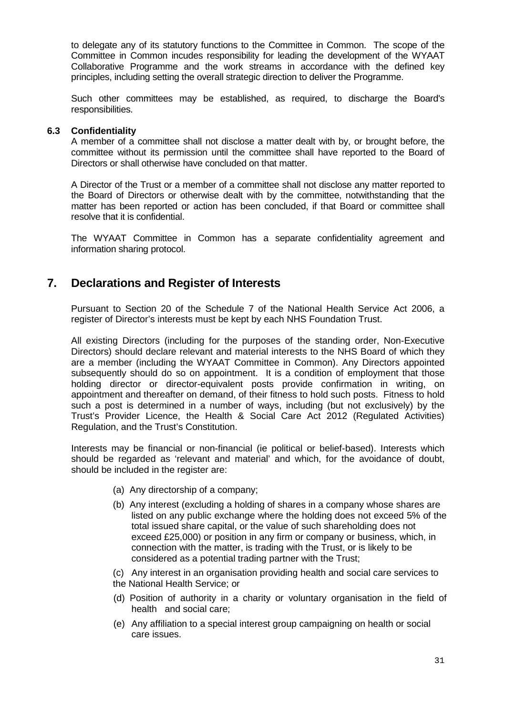to delegate any of its statutory functions to the Committee in Common. The scope of the Committee in Common incudes responsibility for leading the development of the WYAAT Collaborative Programme and the work streams in accordance with the defined key principles, including setting the overall strategic direction to deliver the Programme.

Such other committees may be established, as required, to discharge the Board's responsibilities.

#### **6.3 Confidentiality**

A member of a committee shall not disclose a matter dealt with by, or brought before, the committee without its permission until the committee shall have reported to the Board of Directors or shall otherwise have concluded on that matter.

A Director of the Trust or a member of a committee shall not disclose any matter reported to the Board of Directors or otherwise dealt with by the committee, notwithstanding that the matter has been reported or action has been concluded, if that Board or committee shall resolve that it is confidential.

The WYAAT Committee in Common has a separate confidentiality agreement and information sharing protocol.

## **7. Declarations and Register of Interests**

Pursuant to Section 20 of the Schedule 7 of the National Health Service Act 2006, a register of Director's interests must be kept by each NHS Foundation Trust.

All existing Directors (including for the purposes of the standing order, Non-Executive Directors) should declare relevant and material interests to the NHS Board of which they are a member (including the WYAAT Committee in Common). Any Directors appointed subsequently should do so on appointment. It is a condition of employment that those holding director or director-equivalent posts provide confirmation in writing, on appointment and thereafter on demand, of their fitness to hold such posts. Fitness to hold such a post is determined in a number of ways, including (but not exclusively) by the Trust's Provider Licence, the Health & Social Care Act 2012 (Regulated Activities) Regulation, and the Trust's Constitution.

Interests may be financial or non-financial (ie political or belief-based). Interests which should be regarded as 'relevant and material' and which, for the avoidance of doubt, should be included in the register are:

- (a) Any directorship of a company;
- (b) Any interest (excluding a holding of shares in a company whose shares are listed on any public exchange where the holding does not exceed 5% of the total issued share capital, or the value of such shareholding does not exceed £25,000) or position in any firm or company or business, which, in connection with the matter, is trading with the Trust, or is likely to be considered as a potential trading partner with the Trust;
- (c) Any interest in an organisation providing health and social care services to the National Health Service; or
- (d) Position of authority in a charity or voluntary organisation in the field of health and social care;
- (e) Any affiliation to a special interest group campaigning on health or social care issues.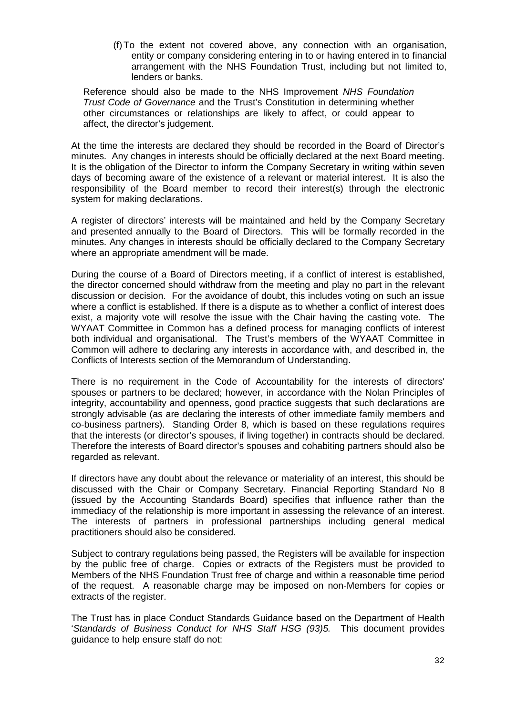(f)To the extent not covered above, any connection with an organisation, entity or company considering entering in to or having entered in to financial arrangement with the NHS Foundation Trust, including but not limited to, lenders or banks.

 Reference should also be made to the NHS Improvement *NHS Foundation Trust Code of Governance* and the Trust's Constitution in determining whether other circumstances or relationships are likely to affect, or could appear to affect, the director's judgement.

At the time the interests are declared they should be recorded in the Board of Director's minutes. Any changes in interests should be officially declared at the next Board meeting. It is the obligation of the Director to inform the Company Secretary in writing within seven days of becoming aware of the existence of a relevant or material interest. It is also the responsibility of the Board member to record their interest(s) through the electronic system for making declarations.

A register of directors' interests will be maintained and held by the Company Secretary and presented annually to the Board of Directors. This will be formally recorded in the minutes. Any changes in interests should be officially declared to the Company Secretary where an appropriate amendment will be made.

During the course of a Board of Directors meeting, if a conflict of interest is established, the director concerned should withdraw from the meeting and play no part in the relevant discussion or decision. For the avoidance of doubt, this includes voting on such an issue where a conflict is established. If there is a dispute as to whether a conflict of interest does exist, a majority vote will resolve the issue with the Chair having the casting vote. The WYAAT Committee in Common has a defined process for managing conflicts of interest both individual and organisational. The Trust's members of the WYAAT Committee in Common will adhere to declaring any interests in accordance with, and described in, the Conflicts of Interests section of the Memorandum of Understanding.

There is no requirement in the Code of Accountability for the interests of directors' spouses or partners to be declared; however, in accordance with the Nolan Principles of integrity, accountability and openness, good practice suggests that such declarations are strongly advisable (as are declaring the interests of other immediate family members and co-business partners). Standing Order 8, which is based on these regulations requires that the interests (or director's spouses, if living together) in contracts should be declared. Therefore the interests of Board director's spouses and cohabiting partners should also be regarded as relevant.

If directors have any doubt about the relevance or materiality of an interest, this should be discussed with the Chair or Company Secretary. Financial Reporting Standard No 8 (issued by the Accounting Standards Board) specifies that influence rather than the immediacy of the relationship is more important in assessing the relevance of an interest. The interests of partners in professional partnerships including general medical practitioners should also be considered.

Subject to contrary regulations being passed, the Registers will be available for inspection by the public free of charge. Copies or extracts of the Registers must be provided to Members of the NHS Foundation Trust free of charge and within a reasonable time period of the request. A reasonable charge may be imposed on non-Members for copies or extracts of the register.

The Trust has in place Conduct Standards Guidance based on the Department of Health '*Standards of Business Conduct for NHS Staff HSG (93)5.* This document provides guidance to help ensure staff do not: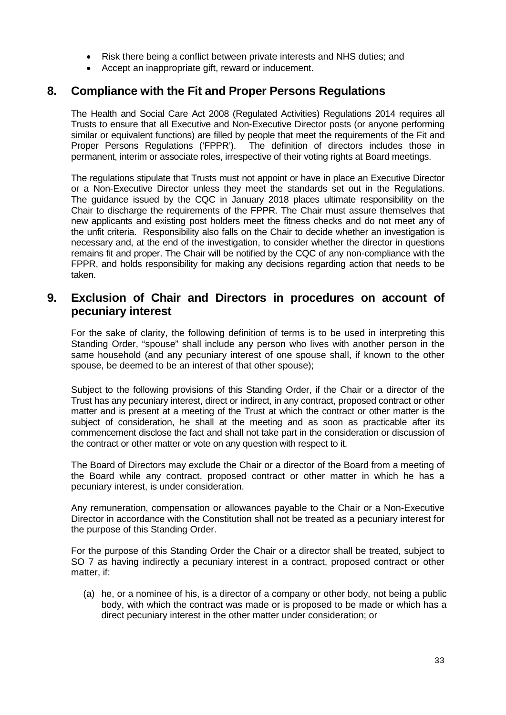- Risk there being a conflict between private interests and NHS duties; and
- Accept an inappropriate gift, reward or inducement.

## **8. Compliance with the Fit and Proper Persons Regulations**

The Health and Social Care Act 2008 (Regulated Activities) Regulations 2014 requires all Trusts to ensure that all Executive and Non-Executive Director posts (or anyone performing similar or equivalent functions) are filled by people that meet the requirements of the Fit and Proper Persons Regulations ('FPPR'). The definition of directors includes those in permanent, interim or associate roles, irrespective of their voting rights at Board meetings.

The regulations stipulate that Trusts must not appoint or have in place an Executive Director or a Non-Executive Director unless they meet the standards set out in the Regulations. The guidance issued by the CQC in January 2018 places ultimate responsibility on the Chair to discharge the requirements of the FPPR. The Chair must assure themselves that new applicants and existing post holders meet the fitness checks and do not meet any of the unfit criteria. Responsibility also falls on the Chair to decide whether an investigation is necessary and, at the end of the investigation, to consider whether the director in questions remains fit and proper. The Chair will be notified by the CQC of any non-compliance with the FPPR, and holds responsibility for making any decisions regarding action that needs to be taken.

## **9. Exclusion of Chair and Directors in procedures on account of pecuniary interest**

For the sake of clarity, the following definition of terms is to be used in interpreting this Standing Order, "spouse" shall include any person who lives with another person in the same household (and any pecuniary interest of one spouse shall, if known to the other spouse, be deemed to be an interest of that other spouse);

Subject to the following provisions of this Standing Order, if the Chair or a director of the Trust has any pecuniary interest, direct or indirect, in any contract, proposed contract or other matter and is present at a meeting of the Trust at which the contract or other matter is the subject of consideration, he shall at the meeting and as soon as practicable after its commencement disclose the fact and shall not take part in the consideration or discussion of the contract or other matter or vote on any question with respect to it.

The Board of Directors may exclude the Chair or a director of the Board from a meeting of the Board while any contract, proposed contract or other matter in which he has a pecuniary interest, is under consideration.

Any remuneration, compensation or allowances payable to the Chair or a Non-Executive Director in accordance with the Constitution shall not be treated as a pecuniary interest for the purpose of this Standing Order.

For the purpose of this Standing Order the Chair or a director shall be treated, subject to SO 7 as having indirectly a pecuniary interest in a contract, proposed contract or other matter, if:

(a) he, or a nominee of his, is a director of a company or other body, not being a public body, with which the contract was made or is proposed to be made or which has a direct pecuniary interest in the other matter under consideration; or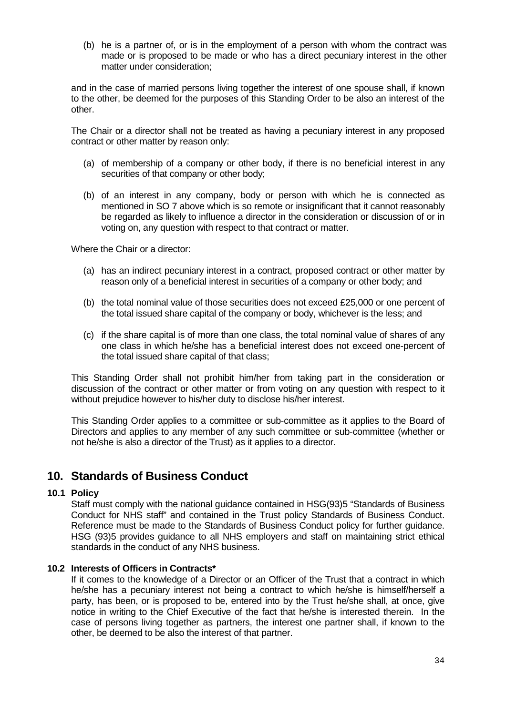(b) he is a partner of, or is in the employment of a person with whom the contract was made or is proposed to be made or who has a direct pecuniary interest in the other matter under consideration;

and in the case of married persons living together the interest of one spouse shall, if known to the other, be deemed for the purposes of this Standing Order to be also an interest of the other.

The Chair or a director shall not be treated as having a pecuniary interest in any proposed contract or other matter by reason only:

- (a) of membership of a company or other body, if there is no beneficial interest in any securities of that company or other body;
- (b) of an interest in any company, body or person with which he is connected as mentioned in SO 7 above which is so remote or insignificant that it cannot reasonably be regarded as likely to influence a director in the consideration or discussion of or in voting on, any question with respect to that contract or matter.

Where the Chair or a director:

- (a) has an indirect pecuniary interest in a contract, proposed contract or other matter by reason only of a beneficial interest in securities of a company or other body; and
- (b) the total nominal value of those securities does not exceed £25,000 or one percent of the total issued share capital of the company or body, whichever is the less; and
- (c) if the share capital is of more than one class, the total nominal value of shares of any one class in which he/she has a beneficial interest does not exceed one-percent of the total issued share capital of that class;

This Standing Order shall not prohibit him/her from taking part in the consideration or discussion of the contract or other matter or from voting on any question with respect to it without prejudice however to his/her duty to disclose his/her interest.

This Standing Order applies to a committee or sub-committee as it applies to the Board of Directors and applies to any member of any such committee or sub-committee (whether or not he/she is also a director of the Trust) as it applies to a director.

## **10. Standards of Business Conduct**

#### **10.1 Policy**

Staff must comply with the national guidance contained in HSG(93)5 "Standards of Business Conduct for NHS staff" and contained in the Trust policy Standards of Business Conduct. Reference must be made to the Standards of Business Conduct policy for further guidance. HSG (93)5 provides guidance to all NHS employers and staff on maintaining strict ethical standards in the conduct of any NHS business.

#### **10.2 Interests of Officers in Contracts\***

If it comes to the knowledge of a Director or an Officer of the Trust that a contract in which he/she has a pecuniary interest not being a contract to which he/she is himself/herself a party, has been, or is proposed to be, entered into by the Trust he/she shall, at once, give notice in writing to the Chief Executive of the fact that he/she is interested therein. In the case of persons living together as partners, the interest one partner shall, if known to the other, be deemed to be also the interest of that partner.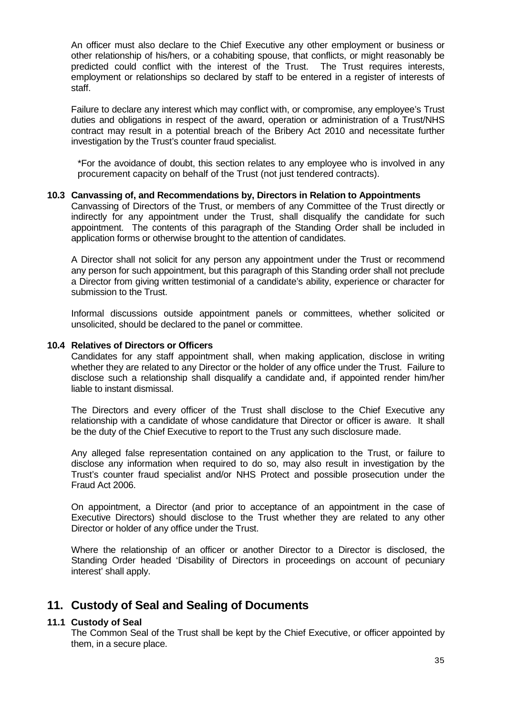An officer must also declare to the Chief Executive any other employment or business or other relationship of his/hers, or a cohabiting spouse, that conflicts, or might reasonably be predicted could conflict with the interest of the Trust. The Trust requires interests, employment or relationships so declared by staff to be entered in a register of interests of staff.

Failure to declare any interest which may conflict with, or compromise, any employee's Trust duties and obligations in respect of the award, operation or administration of a Trust/NHS contract may result in a potential breach of the Bribery Act 2010 and necessitate further investigation by the Trust's counter fraud specialist.

\*For the avoidance of doubt, this section relates to any employee who is involved in any procurement capacity on behalf of the Trust (not just tendered contracts).

#### **10.3 Canvassing of, and Recommendations by, Directors in Relation to Appointments**

Canvassing of Directors of the Trust, or members of any Committee of the Trust directly or indirectly for any appointment under the Trust, shall disqualify the candidate for such appointment. The contents of this paragraph of the Standing Order shall be included in application forms or otherwise brought to the attention of candidates.

A Director shall not solicit for any person any appointment under the Trust or recommend any person for such appointment, but this paragraph of this Standing order shall not preclude a Director from giving written testimonial of a candidate's ability, experience or character for submission to the Trust.

Informal discussions outside appointment panels or committees, whether solicited or unsolicited, should be declared to the panel or committee.

#### **10.4 Relatives of Directors or Officers**

Candidates for any staff appointment shall, when making application, disclose in writing whether they are related to any Director or the holder of any office under the Trust. Failure to disclose such a relationship shall disqualify a candidate and, if appointed render him/her liable to instant dismissal.

The Directors and every officer of the Trust shall disclose to the Chief Executive any relationship with a candidate of whose candidature that Director or officer is aware. It shall be the duty of the Chief Executive to report to the Trust any such disclosure made.

Any alleged false representation contained on any application to the Trust, or failure to disclose any information when required to do so, may also result in investigation by the Trust's counter fraud specialist and/or NHS Protect and possible prosecution under the Fraud Act 2006.

On appointment, a Director (and prior to acceptance of an appointment in the case of Executive Directors) should disclose to the Trust whether they are related to any other Director or holder of any office under the Trust.

Where the relationship of an officer or another Director to a Director is disclosed, the Standing Order headed 'Disability of Directors in proceedings on account of pecuniary interest' shall apply.

## **11. Custody of Seal and Sealing of Documents**

#### **11.1 Custody of Seal**

The Common Seal of the Trust shall be kept by the Chief Executive, or officer appointed by them, in a secure place.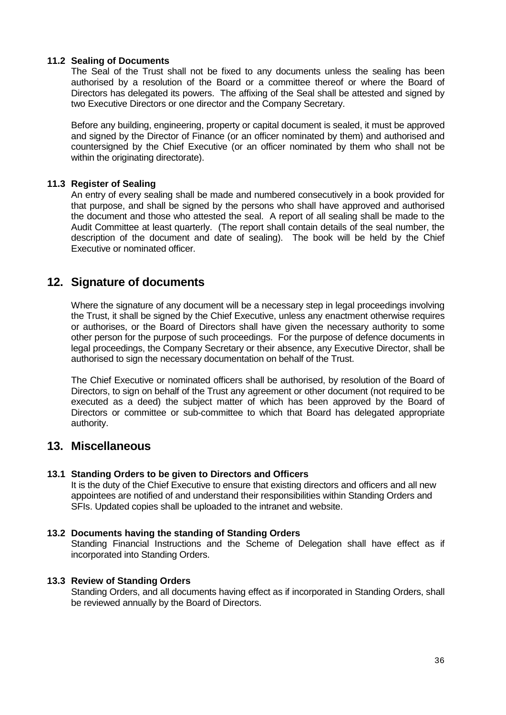#### **11.2 Sealing of Documents**

The Seal of the Trust shall not be fixed to any documents unless the sealing has been authorised by a resolution of the Board or a committee thereof or where the Board of Directors has delegated its powers. The affixing of the Seal shall be attested and signed by two Executive Directors or one director and the Company Secretary.

Before any building, engineering, property or capital document is sealed, it must be approved and signed by the Director of Finance (or an officer nominated by them) and authorised and countersigned by the Chief Executive (or an officer nominated by them who shall not be within the originating directorate).

#### **11.3 Register of Sealing**

An entry of every sealing shall be made and numbered consecutively in a book provided for that purpose, and shall be signed by the persons who shall have approved and authorised the document and those who attested the seal. A report of all sealing shall be made to the Audit Committee at least quarterly. (The report shall contain details of the seal number, the description of the document and date of sealing). The book will be held by the Chief Executive or nominated officer.

## **12. Signature of documents**

Where the signature of any document will be a necessary step in legal proceedings involving the Trust, it shall be signed by the Chief Executive, unless any enactment otherwise requires or authorises, or the Board of Directors shall have given the necessary authority to some other person for the purpose of such proceedings. For the purpose of defence documents in legal proceedings, the Company Secretary or their absence, any Executive Director, shall be authorised to sign the necessary documentation on behalf of the Trust.

The Chief Executive or nominated officers shall be authorised, by resolution of the Board of Directors, to sign on behalf of the Trust any agreement or other document (not required to be executed as a deed) the subject matter of which has been approved by the Board of Directors or committee or sub-committee to which that Board has delegated appropriate authority.

## **13. Miscellaneous**

#### **13.1 Standing Orders to be given to Directors and Officers**

It is the duty of the Chief Executive to ensure that existing directors and officers and all new appointees are notified of and understand their responsibilities within Standing Orders and SFIs. Updated copies shall be uploaded to the intranet and website.

#### **13.2 Documents having the standing of Standing Orders**

Standing Financial Instructions and the Scheme of Delegation shall have effect as if incorporated into Standing Orders.

#### **13.3 Review of Standing Orders**

Standing Orders, and all documents having effect as if incorporated in Standing Orders, shall be reviewed annually by the Board of Directors.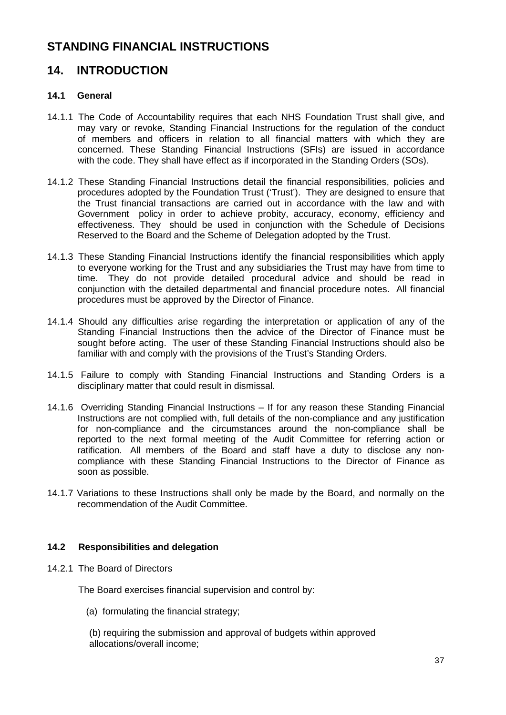# **STANDING FINANCIAL INSTRUCTIONS**

# **14. INTRODUCTION**

## **14.1 General**

- 14.1.1 The Code of Accountability requires that each NHS Foundation Trust shall give, and may vary or revoke, Standing Financial Instructions for the regulation of the conduct of members and officers in relation to all financial matters with which they are concerned. These Standing Financial Instructions (SFIs) are issued in accordance with the code. They shall have effect as if incorporated in the Standing Orders (SOs).
- 14.1.2 These Standing Financial Instructions detail the financial responsibilities, policies and procedures adopted by the Foundation Trust ('Trust'). They are designed to ensure that the Trust financial transactions are carried out in accordance with the law and with Government policy in order to achieve probity, accuracy, economy, efficiency and effectiveness. They should be used in conjunction with the Schedule of Decisions Reserved to the Board and the Scheme of Delegation adopted by the Trust.
- 14.1.3 These Standing Financial Instructions identify the financial responsibilities which apply to everyone working for the Trust and any subsidiaries the Trust may have from time to time. They do not provide detailed procedural advice and should be read in conjunction with the detailed departmental and financial procedure notes. All financial procedures must be approved by the Director of Finance.
- 14.1.4 Should any difficulties arise regarding the interpretation or application of any of the Standing Financial Instructions then the advice of the Director of Finance must be sought before acting. The user of these Standing Financial Instructions should also be familiar with and comply with the provisions of the Trust's Standing Orders.
- 14.1.5 Failure to comply with Standing Financial Instructions and Standing Orders is a disciplinary matter that could result in dismissal.
- 14.1.6 Overriding Standing Financial Instructions If for any reason these Standing Financial Instructions are not complied with, full details of the non-compliance and any justification for non-compliance and the circumstances around the non-compliance shall be reported to the next formal meeting of the Audit Committee for referring action or ratification. All members of the Board and staff have a duty to disclose any noncompliance with these Standing Financial Instructions to the Director of Finance as soon as possible.
- 14.1.7 Variations to these Instructions shall only be made by the Board, and normally on the recommendation of the Audit Committee.

## **14.2 Responsibilities and delegation**

14.2.1 The Board of Directors

The Board exercises financial supervision and control by:

(a) formulating the financial strategy;

 (b) requiring the submission and approval of budgets within approved allocations/overall income;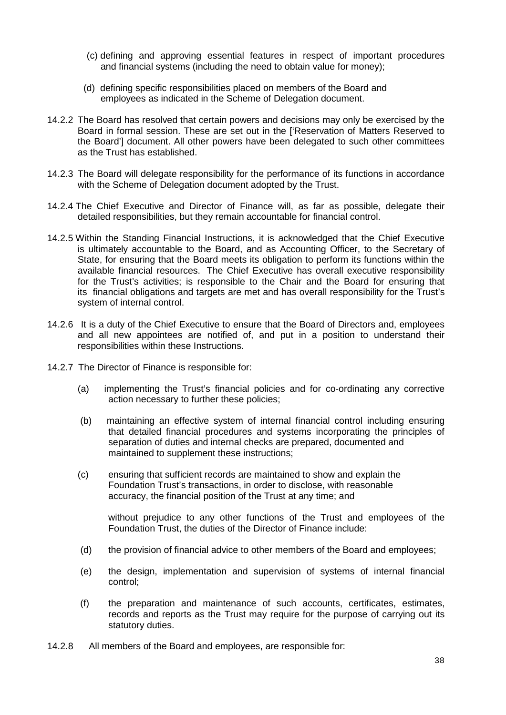- (c) defining and approving essential features in respect of important procedures and financial systems (including the need to obtain value for money);
- (d) defining specific responsibilities placed on members of the Board and employees as indicated in the Scheme of Delegation document.
- 14.2.2 The Board has resolved that certain powers and decisions may only be exercised by the Board in formal session. These are set out in the ['Reservation of Matters Reserved to the Board'] document. All other powers have been delegated to such other committees as the Trust has established.
- 14.2.3 The Board will delegate responsibility for the performance of its functions in accordance with the Scheme of Delegation document adopted by the Trust.
- 14.2.4 The Chief Executive and Director of Finance will, as far as possible, delegate their detailed responsibilities, but they remain accountable for financial control.
- 14.2.5 Within the Standing Financial Instructions, it is acknowledged that the Chief Executive is ultimately accountable to the Board, and as Accounting Officer, to the Secretary of State, for ensuring that the Board meets its obligation to perform its functions within the available financial resources. The Chief Executive has overall executive responsibility for the Trust's activities; is responsible to the Chair and the Board for ensuring that its financial obligations and targets are met and has overall responsibility for the Trust's system of internal control.
- 14.2.6 It is a duty of the Chief Executive to ensure that the Board of Directors and, employees and all new appointees are notified of, and put in a position to understand their responsibilities within these Instructions.
- 14.2.7 The Director of Finance is responsible for:
	- (a) implementing the Trust's financial policies and for co-ordinating any corrective action necessary to further these policies;
	- (b) maintaining an effective system of internal financial control including ensuring that detailed financial procedures and systems incorporating the principles of separation of duties and internal checks are prepared, documented and maintained to supplement these instructions;
	- (c) ensuring that sufficient records are maintained to show and explain the Foundation Trust's transactions, in order to disclose, with reasonable accuracy, the financial position of the Trust at any time; and

 without prejudice to any other functions of the Trust and employees of the Foundation Trust, the duties of the Director of Finance include:

- (d) the provision of financial advice to other members of the Board and employees;
- (e) the design, implementation and supervision of systems of internal financial control;
- (f) the preparation and maintenance of such accounts, certificates, estimates, records and reports as the Trust may require for the purpose of carrying out its statutory duties.
- 14.2.8 All members of the Board and employees, are responsible for: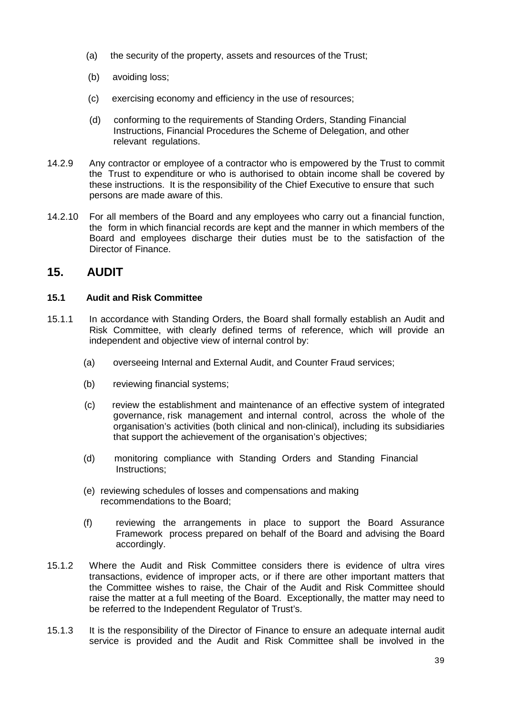- (a) the security of the property, assets and resources of the Trust;
- (b) avoiding loss;
- (c) exercising economy and efficiency in the use of resources;
- (d) conforming to the requirements of Standing Orders, Standing Financial Instructions, Financial Procedures the Scheme of Delegation, and other relevant regulations.
- 14.2.9 Any contractor or employee of a contractor who is empowered by the Trust to commit the Trust to expenditure or who is authorised to obtain income shall be covered by these instructions. It is the responsibility of the Chief Executive to ensure that such persons are made aware of this.
- 14.2.10 For all members of the Board and any employees who carry out a financial function, the form in which financial records are kept and the manner in which members of the Board and employees discharge their duties must be to the satisfaction of the Director of Finance.

# **15. AUDIT**

## **15.1 Audit and Risk Committee**

- 15.1.1 In accordance with Standing Orders, the Board shall formally establish an Audit and Risk Committee, with clearly defined terms of reference, which will provide an independent and objective view of internal control by:
	- (a) overseeing Internal and External Audit, and Counter Fraud services;
	- (b) reviewing financial systems;
	- (c) review the establishment and maintenance of an effective system of integrated governance, risk management and internal control, across the whole of the organisation's activities (both clinical and non-clinical), including its subsidiaries that support the achievement of the organisation's objectives;
	- (d) monitoring compliance with Standing Orders and Standing Financial Instructions;
	- (e) reviewing schedules of losses and compensations and making recommendations to the Board;
	- (f) reviewing the arrangements in place to support the Board Assurance Framework process prepared on behalf of the Board and advising the Board accordingly.
- 15.1.2 Where the Audit and Risk Committee considers there is evidence of ultra vires transactions, evidence of improper acts, or if there are other important matters that the Committee wishes to raise, the Chair of the Audit and Risk Committee should raise the matter at a full meeting of the Board. Exceptionally, the matter may need to be referred to the Independent Regulator of Trust's.
- 15.1.3 It is the responsibility of the Director of Finance to ensure an adequate internal audit service is provided and the Audit and Risk Committee shall be involved in the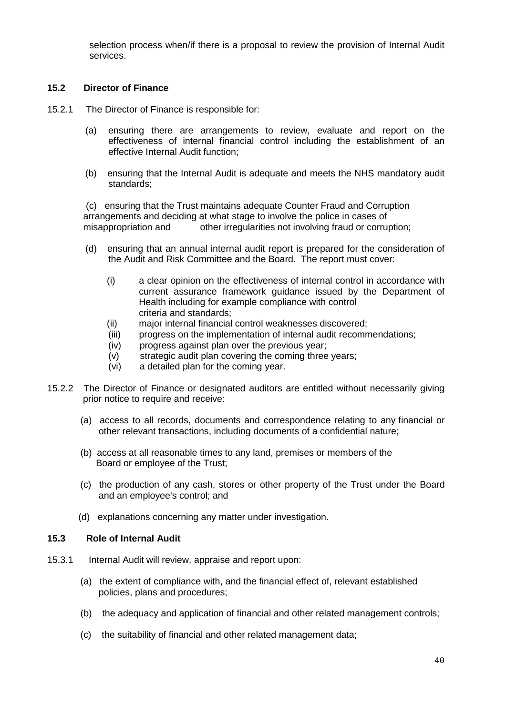selection process when/if there is a proposal to review the provision of Internal Audit services.

## **15.2 Director of Finance**

- 15.2.1 The Director of Finance is responsible for:
	- (a) ensuring there are arrangements to review, evaluate and report on the effectiveness of internal financial control including the establishment of an effective Internal Audit function;
	- (b) ensuring that the Internal Audit is adequate and meets the NHS mandatory audit standards;

(c) ensuring that the Trust maintains adequate Counter Fraud and Corruption arrangements and deciding at what stage to involve the police in cases of misappropriation and other irregularities not involving fraud or corruption;

- (d) ensuring that an annual internal audit report is prepared for the consideration of the Audit and Risk Committee and the Board. The report must cover:
	- (i) a clear opinion on the effectiveness of internal control in accordance with current assurance framework guidance issued by the Department of Health including for example compliance with control criteria and standards;
	- (ii) major internal financial control weaknesses discovered;
	- (iii) progress on the implementation of internal audit recommendations;
	- (iv) progress against plan over the previous year;
	- (v) strategic audit plan covering the coming three years;
	- (vi) a detailed plan for the coming year.
- 15.2.2 The Director of Finance or designated auditors are entitled without necessarily giving prior notice to require and receive:
	- (a) access to all records, documents and correspondence relating to any financial or other relevant transactions, including documents of a confidential nature;
	- (b) access at all reasonable times to any land, premises or members of the Board or employee of the Trust;
	- (c) the production of any cash, stores or other property of the Trust under the Board and an employee's control; and
	- (d) explanations concerning any matter under investigation.

#### **15.3 Role of Internal Audit**

- 15.3.1 Internal Audit will review, appraise and report upon:
	- (a) the extent of compliance with, and the financial effect of, relevant established policies, plans and procedures;
	- (b) the adequacy and application of financial and other related management controls;
	- (c) the suitability of financial and other related management data;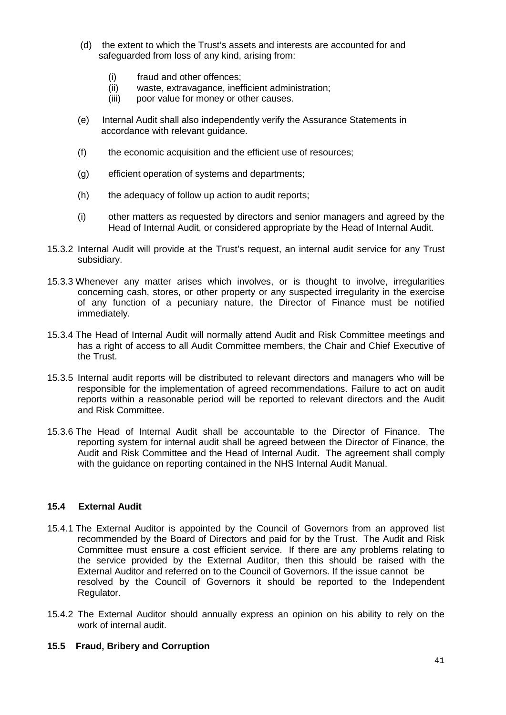- (d) the extent to which the Trust's assets and interests are accounted for and safeguarded from loss of any kind, arising from:
	- (i) fraud and other offences;
	- (ii) waste, extravagance, inefficient administration;
	- (iii) poor value for money or other causes.
- (e) Internal Audit shall also independently verify the Assurance Statements in accordance with relevant guidance.
- (f) the economic acquisition and the efficient use of resources;
- (g) efficient operation of systems and departments;
- (h) the adequacy of follow up action to audit reports;
- (i) other matters as requested by directors and senior managers and agreed by the Head of Internal Audit, or considered appropriate by the Head of Internal Audit.
- 15.3.2 Internal Audit will provide at the Trust's request, an internal audit service for any Trust subsidiary.
- 15.3.3 Whenever any matter arises which involves, or is thought to involve, irregularities concerning cash, stores, or other property or any suspected irregularity in the exercise of any function of a pecuniary nature, the Director of Finance must be notified immediately.
- 15.3.4 The Head of Internal Audit will normally attend Audit and Risk Committee meetings and has a right of access to all Audit Committee members, the Chair and Chief Executive of the Trust.
- 15.3.5 Internal audit reports will be distributed to relevant directors and managers who will be responsible for the implementation of agreed recommendations. Failure to act on audit reports within a reasonable period will be reported to relevant directors and the Audit and Risk Committee.
- 15.3.6 The Head of Internal Audit shall be accountable to the Director of Finance. The reporting system for internal audit shall be agreed between the Director of Finance, the Audit and Risk Committee and the Head of Internal Audit. The agreement shall comply with the guidance on reporting contained in the NHS Internal Audit Manual.

## **15.4 External Audit**

- 15.4.1 The External Auditor is appointed by the Council of Governors from an approved list recommended by the Board of Directors and paid for by the Trust. The Audit and Risk Committee must ensure a cost efficient service. If there are any problems relating to the service provided by the External Auditor, then this should be raised with the External Auditor and referred on to the Council of Governors. If the issue cannot be resolved by the Council of Governors it should be reported to the Independent Regulator.
- 15.4.2 The External Auditor should annually express an opinion on his ability to rely on the work of internal audit.

#### **15.5 Fraud, Bribery and Corruption**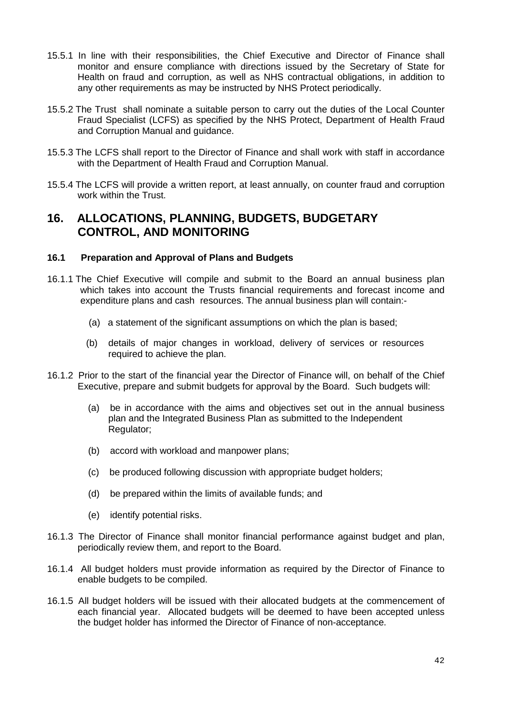- 15.5.1 In line with their responsibilities, the Chief Executive and Director of Finance shall monitor and ensure compliance with directions issued by the Secretary of State for Health on fraud and corruption, as well as NHS contractual obligations, in addition to any other requirements as may be instructed by NHS Protect periodically.
- 15.5.2 The Trust shall nominate a suitable person to carry out the duties of the Local Counter Fraud Specialist (LCFS) as specified by the NHS Protect, Department of Health Fraud and Corruption Manual and guidance.
- 15.5.3 The LCFS shall report to the Director of Finance and shall work with staff in accordance with the Department of Health Fraud and Corruption Manual.
- 15.5.4 The LCFS will provide a written report, at least annually, on counter fraud and corruption work within the Trust.

## **16. ALLOCATIONS, PLANNING, BUDGETS, BUDGETARY CONTROL, AND MONITORING**

### **16.1 Preparation and Approval of Plans and Budgets**

- 16.1.1 The Chief Executive will compile and submit to the Board an annual business plan which takes into account the Trusts financial requirements and forecast income and expenditure plans and cash resources. The annual business plan will contain:-
	- (a) a statement of the significant assumptions on which the plan is based:
	- (b) details of major changes in workload, delivery of services or resources required to achieve the plan.
- 16.1.2 Prior to the start of the financial year the Director of Finance will, on behalf of the Chief Executive, prepare and submit budgets for approval by the Board. Such budgets will:
	- (a) be in accordance with the aims and objectives set out in the annual business plan and the Integrated Business Plan as submitted to the Independent Regulator:
	- (b) accord with workload and manpower plans;
	- (c) be produced following discussion with appropriate budget holders;
	- (d) be prepared within the limits of available funds; and
	- (e) identify potential risks.
- 16.1.3 The Director of Finance shall monitor financial performance against budget and plan, periodically review them, and report to the Board.
- 16.1.4 All budget holders must provide information as required by the Director of Finance to enable budgets to be compiled.
- 16.1.5 All budget holders will be issued with their allocated budgets at the commencement of each financial year. Allocated budgets will be deemed to have been accepted unless the budget holder has informed the Director of Finance of non-acceptance.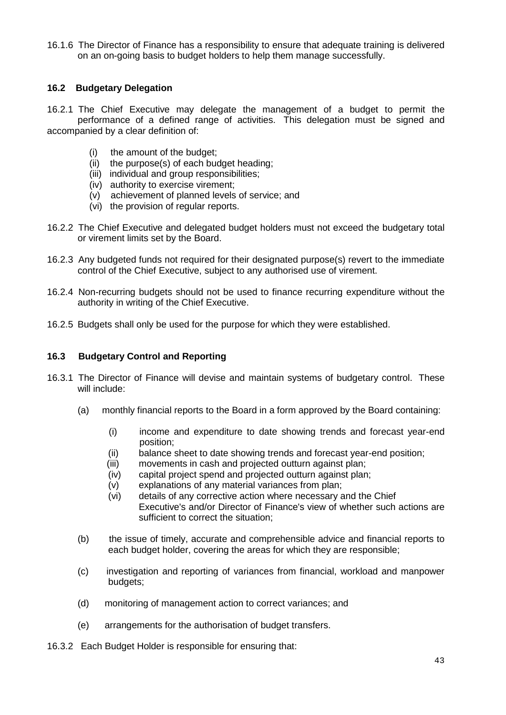16.1.6 The Director of Finance has a responsibility to ensure that adequate training is delivered on an on-going basis to budget holders to help them manage successfully.

## **16.2 Budgetary Delegation**

16.2.1 The Chief Executive may delegate the management of a budget to permit the performance of a defined range of activities. This delegation must be signed and accompanied by a clear definition of:

- (i) the amount of the budget;
- (ii) the purpose(s) of each budget heading;
- (iii) individual and group responsibilities;
- (iv) authority to exercise virement;
- (v) achievement of planned levels of service; and
- (vi) the provision of regular reports.
- 16.2.2 The Chief Executive and delegated budget holders must not exceed the budgetary total or virement limits set by the Board.
- 16.2.3 Any budgeted funds not required for their designated purpose(s) revert to the immediate control of the Chief Executive, subject to any authorised use of virement.
- 16.2.4 Non-recurring budgets should not be used to finance recurring expenditure without the authority in writing of the Chief Executive.
- 16.2.5 Budgets shall only be used for the purpose for which they were established.

## **16.3 Budgetary Control and Reporting**

- 16.3.1 The Director of Finance will devise and maintain systems of budgetary control. These will include:
	- (a) monthly financial reports to the Board in a form approved by the Board containing:
		- (i) income and expenditure to date showing trends and forecast year-end position;
		- (ii) balance sheet to date showing trends and forecast year-end position;
		- (iii) movements in cash and projected outturn against plan;
		- (iv) capital project spend and projected outturn against plan;
		- (v) explanations of any material variances from plan;
		- (vi) details of any corrective action where necessary and the Chief Executive's and/or Director of Finance's view of whether such actions are sufficient to correct the situation;
	- (b) the issue of timely, accurate and comprehensible advice and financial reports to each budget holder, covering the areas for which they are responsible;
	- (c) investigation and reporting of variances from financial, workload and manpower budgets;
	- (d) monitoring of management action to correct variances; and
	- (e) arrangements for the authorisation of budget transfers.
- 16.3.2 Each Budget Holder is responsible for ensuring that: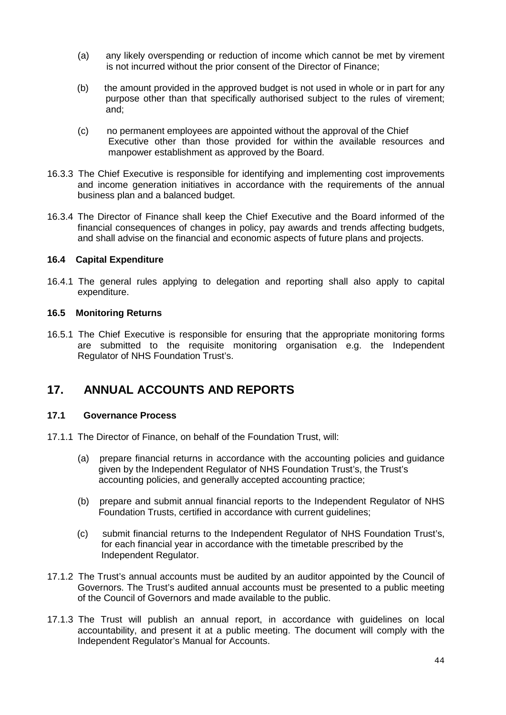- (a) any likely overspending or reduction of income which cannot be met by virement is not incurred without the prior consent of the Director of Finance;
- (b) the amount provided in the approved budget is not used in whole or in part for any purpose other than that specifically authorised subject to the rules of virement; and;
- (c) no permanent employees are appointed without the approval of the Chief Executive other than those provided for within the available resources and manpower establishment as approved by the Board.
- 16.3.3 The Chief Executive is responsible for identifying and implementing cost improvements and income generation initiatives in accordance with the requirements of the annual business plan and a balanced budget.
- 16.3.4 The Director of Finance shall keep the Chief Executive and the Board informed of the financial consequences of changes in policy, pay awards and trends affecting budgets, and shall advise on the financial and economic aspects of future plans and projects.

### **16.4 Capital Expenditure**

16.4.1 The general rules applying to delegation and reporting shall also apply to capital expenditure.

### **16.5 Monitoring Returns**

16.5.1 The Chief Executive is responsible for ensuring that the appropriate monitoring forms are submitted to the requisite monitoring organisation e.g. the Independent Regulator of NHS Foundation Trust's.

## **17. ANNUAL ACCOUNTS AND REPORTS**

#### **17.1 Governance Process**

- 17.1.1 The Director of Finance, on behalf of the Foundation Trust, will:
	- (a) prepare financial returns in accordance with the accounting policies and guidance given by the Independent Regulator of NHS Foundation Trust's, the Trust's accounting policies, and generally accepted accounting practice;
	- (b) prepare and submit annual financial reports to the Independent Regulator of NHS Foundation Trusts, certified in accordance with current guidelines;
	- (c) submit financial returns to the Independent Regulator of NHS Foundation Trust's, for each financial year in accordance with the timetable prescribed by the Independent Regulator.
- 17.1.2 The Trust's annual accounts must be audited by an auditor appointed by the Council of Governors. The Trust's audited annual accounts must be presented to a public meeting of the Council of Governors and made available to the public.
- 17.1.3 The Trust will publish an annual report, in accordance with guidelines on local accountability, and present it at a public meeting. The document will comply with the Independent Regulator's Manual for Accounts.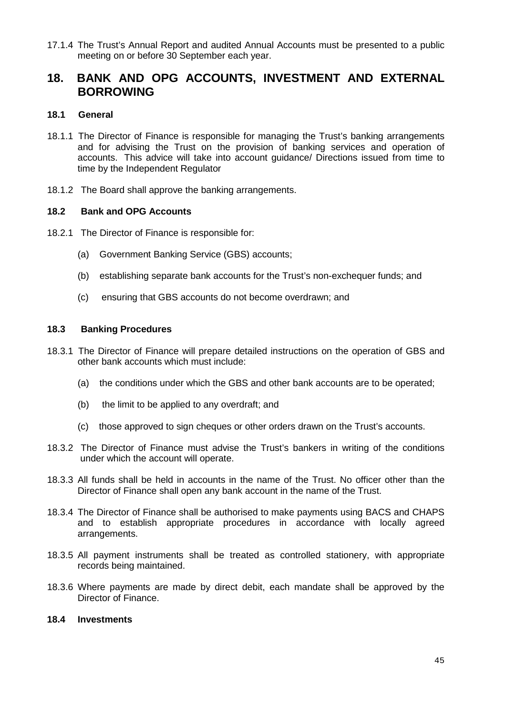17.1.4 The Trust's Annual Report and audited Annual Accounts must be presented to a public meeting on or before 30 September each year.

## **18. BANK AND OPG ACCOUNTS, INVESTMENT AND EXTERNAL BORROWING**

## **18.1 General**

- 18.1.1 The Director of Finance is responsible for managing the Trust's banking arrangements and for advising the Trust on the provision of banking services and operation of accounts. This advice will take into account guidance/ Directions issued from time to time by the Independent Regulator
- 18.1.2 The Board shall approve the banking arrangements.

## **18.2 Bank and OPG Accounts**

- 18.2.1 The Director of Finance is responsible for:
	- (a) Government Banking Service (GBS) accounts;
	- (b) establishing separate bank accounts for the Trust's non-exchequer funds; and
	- (c) ensuring that GBS accounts do not become overdrawn; and

## **18.3 Banking Procedures**

- 18.3.1 The Director of Finance will prepare detailed instructions on the operation of GBS and other bank accounts which must include:
	- (a) the conditions under which the GBS and other bank accounts are to be operated;
	- (b) the limit to be applied to any overdraft; and
	- (c) those approved to sign cheques or other orders drawn on the Trust's accounts.
- 18.3.2 The Director of Finance must advise the Trust's bankers in writing of the conditions under which the account will operate.
- 18.3.3 All funds shall be held in accounts in the name of the Trust. No officer other than the Director of Finance shall open any bank account in the name of the Trust.
- 18.3.4 The Director of Finance shall be authorised to make payments using BACS and CHAPS and to establish appropriate procedures in accordance with locally agreed arrangements.
- 18.3.5 All payment instruments shall be treated as controlled stationery, with appropriate records being maintained.
- 18.3.6 Where payments are made by direct debit, each mandate shall be approved by the Director of Finance.

## **18.4 Investments**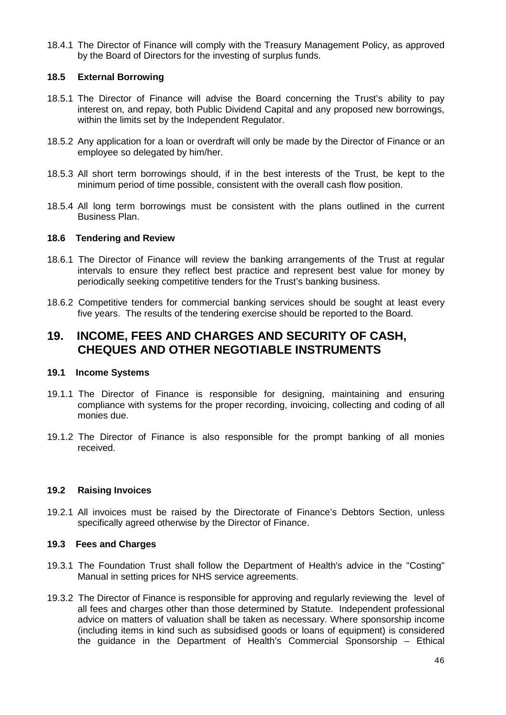18.4.1 The Director of Finance will comply with the Treasury Management Policy, as approved by the Board of Directors for the investing of surplus funds.

## **18.5 External Borrowing**

- 18.5.1 The Director of Finance will advise the Board concerning the Trust's ability to pay interest on, and repay, both Public Dividend Capital and any proposed new borrowings, within the limits set by the Independent Regulator.
- 18.5.2 Any application for a loan or overdraft will only be made by the Director of Finance or an employee so delegated by him/her.
- 18.5.3 All short term borrowings should, if in the best interests of the Trust, be kept to the minimum period of time possible, consistent with the overall cash flow position.
- 18.5.4 All long term borrowings must be consistent with the plans outlined in the current Business Plan.

### **18.6 Tendering and Review**

- 18.6.1 The Director of Finance will review the banking arrangements of the Trust at regular intervals to ensure they reflect best practice and represent best value for money by periodically seeking competitive tenders for the Trust's banking business.
- 18.6.2 Competitive tenders for commercial banking services should be sought at least every five years. The results of the tendering exercise should be reported to the Board.

## **19. INCOME, FEES AND CHARGES AND SECURITY OF CASH, CHEQUES AND OTHER NEGOTIABLE INSTRUMENTS**

#### **19.1 Income Systems**

- 19.1.1 The Director of Finance is responsible for designing, maintaining and ensuring compliance with systems for the proper recording, invoicing, collecting and coding of all monies due.
- 19.1.2 The Director of Finance is also responsible for the prompt banking of all monies received.

## **19.2 Raising Invoices**

19.2.1 All invoices must be raised by the Directorate of Finance's Debtors Section, unless specifically agreed otherwise by the Director of Finance.

## **19.3 Fees and Charges**

- 19.3.1 The Foundation Trust shall follow the Department of Health's advice in the "Costing" Manual in setting prices for NHS service agreements.
- 19.3.2 The Director of Finance is responsible for approving and regularly reviewing the level of all fees and charges other than those determined by Statute. Independent professional advice on matters of valuation shall be taken as necessary. Where sponsorship income (including items in kind such as subsidised goods or loans of equipment) is considered the guidance in the Department of Health's Commercial Sponsorship – Ethical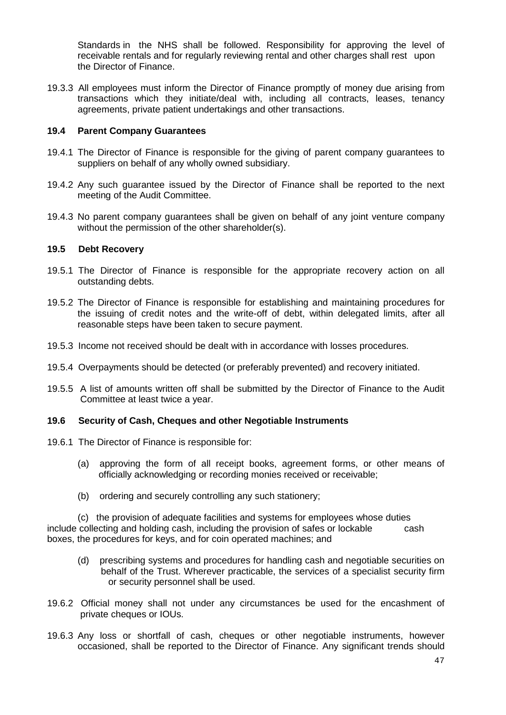Standards in the NHS shall be followed. Responsibility for approving the level of receivable rentals and for regularly reviewing rental and other charges shall rest upon the Director of Finance.

19.3.3 All employees must inform the Director of Finance promptly of money due arising from transactions which they initiate/deal with, including all contracts, leases, tenancy agreements, private patient undertakings and other transactions.

## **19.4 Parent Company Guarantees**

- 19.4.1 The Director of Finance is responsible for the giving of parent company guarantees to suppliers on behalf of any wholly owned subsidiary.
- 19.4.2 Any such guarantee issued by the Director of Finance shall be reported to the next meeting of the Audit Committee.
- 19.4.3 No parent company guarantees shall be given on behalf of any joint venture company without the permission of the other shareholder(s).

### **19.5 Debt Recovery**

- 19.5.1 The Director of Finance is responsible for the appropriate recovery action on all outstanding debts.
- 19.5.2 The Director of Finance is responsible for establishing and maintaining procedures for the issuing of credit notes and the write-off of debt, within delegated limits, after all reasonable steps have been taken to secure payment.
- 19.5.3 Income not received should be dealt with in accordance with losses procedures.
- 19.5.4 Overpayments should be detected (or preferably prevented) and recovery initiated.
- 19.5.5 A list of amounts written off shall be submitted by the Director of Finance to the Audit Committee at least twice a year.

#### **19.6 Security of Cash, Cheques and other Negotiable Instruments**

- 19.6.1 The Director of Finance is responsible for:
	- (a) approving the form of all receipt books, agreement forms, or other means of officially acknowledging or recording monies received or receivable;
	- (b) ordering and securely controlling any such stationery;

(c) the provision of adequate facilities and systems for employees whose duties include collecting and holding cash, including the provision of safes or lockable cash boxes, the procedures for keys, and for coin operated machines; and

- (d) prescribing systems and procedures for handling cash and negotiable securities on behalf of the Trust. Wherever practicable, the services of a specialist security firm or security personnel shall be used.
- 19.6.2 Official money shall not under any circumstances be used for the encashment of private cheques or IOUs.
- 19.6.3 Any loss or shortfall of cash, cheques or other negotiable instruments, however occasioned, shall be reported to the Director of Finance. Any significant trends should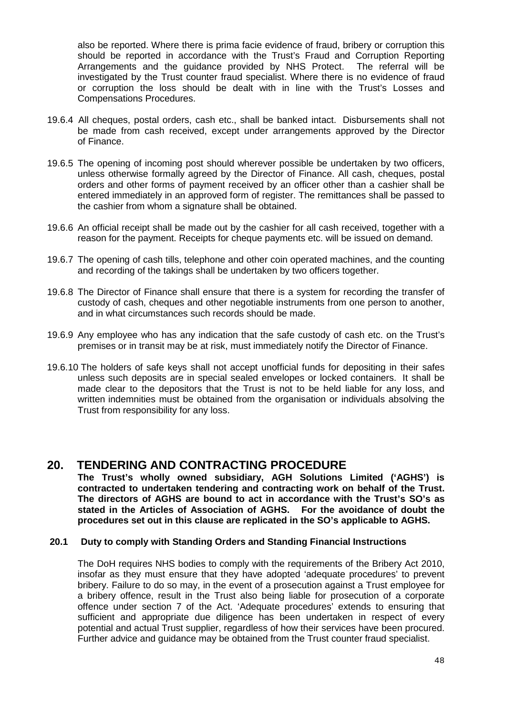also be reported. Where there is prima facie evidence of fraud, bribery or corruption this should be reported in accordance with the Trust's Fraud and Corruption Reporting Arrangements and the guidance provided by NHS Protect. The referral will be investigated by the Trust counter fraud specialist. Where there is no evidence of fraud or corruption the loss should be dealt with in line with the Trust's Losses and Compensations Procedures.

- 19.6.4 All cheques, postal orders, cash etc., shall be banked intact. Disbursements shall not be made from cash received, except under arrangements approved by the Director of Finance.
- 19.6.5 The opening of incoming post should wherever possible be undertaken by two officers, unless otherwise formally agreed by the Director of Finance. All cash, cheques, postal orders and other forms of payment received by an officer other than a cashier shall be entered immediately in an approved form of register. The remittances shall be passed to the cashier from whom a signature shall be obtained.
- 19.6.6 An official receipt shall be made out by the cashier for all cash received, together with a reason for the payment. Receipts for cheque payments etc. will be issued on demand.
- 19.6.7 The opening of cash tills, telephone and other coin operated machines, and the counting and recording of the takings shall be undertaken by two officers together.
- 19.6.8 The Director of Finance shall ensure that there is a system for recording the transfer of custody of cash, cheques and other negotiable instruments from one person to another, and in what circumstances such records should be made.
- 19.6.9 Any employee who has any indication that the safe custody of cash etc. on the Trust's premises or in transit may be at risk, must immediately notify the Director of Finance.
- 19.6.10 The holders of safe keys shall not accept unofficial funds for depositing in their safes unless such deposits are in special sealed envelopes or locked containers. It shall be made clear to the depositors that the Trust is not to be held liable for any loss, and written indemnities must be obtained from the organisation or individuals absolving the Trust from responsibility for any loss.

## **20. TENDERING AND CONTRACTING PROCEDURE**

**The Trust's wholly owned subsidiary, AGH Solutions Limited ('AGHS') is contracted to undertaken tendering and contracting work on behalf of the Trust. The directors of AGHS are bound to act in accordance with the Trust's SO's as stated in the Articles of Association of AGHS. For the avoidance of doubt the procedures set out in this clause are replicated in the SO's applicable to AGHS.**

## **20.1 Duty to comply with Standing Orders and Standing Financial Instructions**

The DoH requires NHS bodies to comply with the requirements of the Bribery Act 2010, insofar as they must ensure that they have adopted 'adequate procedures' to prevent bribery. Failure to do so may, in the event of a prosecution against a Trust employee for a bribery offence, result in the Trust also being liable for prosecution of a corporate offence under section 7 of the Act. 'Adequate procedures' extends to ensuring that sufficient and appropriate due diligence has been undertaken in respect of every potential and actual Trust supplier, regardless of how their services have been procured. Further advice and guidance may be obtained from the Trust counter fraud specialist.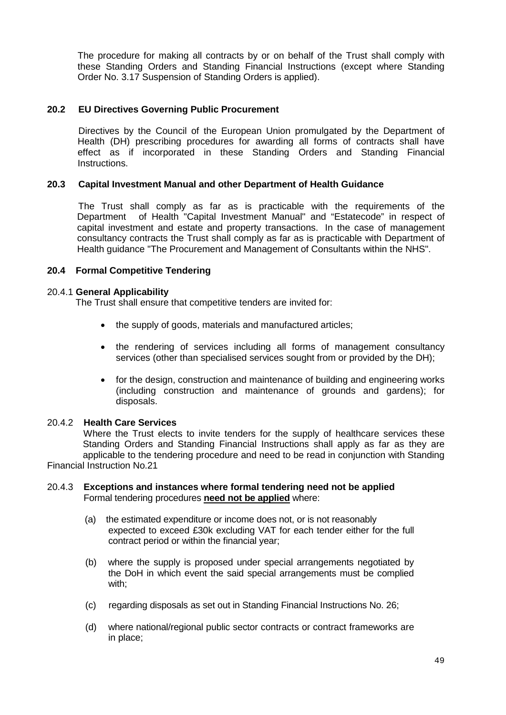The procedure for making all contracts by or on behalf of the Trust shall comply with these Standing Orders and Standing Financial Instructions (except where Standing Order No. 3.17 Suspension of Standing Orders is applied).

## **20.2 EU Directives Governing Public Procurement**

 Directives by the Council of the European Union promulgated by the Department of Health (DH) prescribing procedures for awarding all forms of contracts shall have effect as if incorporated in these Standing Orders and Standing Financial Instructions.

### **20.3 Capital Investment Manual and other Department of Health Guidance**

 The Trust shall comply as far as is practicable with the requirements of the Department of Health "Capital Investment Manual" and "Estatecode" in respect of capital investment and estate and property transactions. In the case of management consultancy contracts the Trust shall comply as far as is practicable with Department of Health guidance "The Procurement and Management of Consultants within the NHS".

### **20.4 Formal Competitive Tendering**

#### 20.4.1 **General Applicability**

The Trust shall ensure that competitive tenders are invited for:

- the supply of goods, materials and manufactured articles:
- the rendering of services including all forms of management consultancy services (other than specialised services sought from or provided by the DH);
- for the design, construction and maintenance of building and engineering works (including construction and maintenance of grounds and gardens); for disposals.

#### 20.4.2 **Health Care Services**

Where the Trust elects to invite tenders for the supply of healthcare services these Standing Orders and Standing Financial Instructions shall apply as far as they are applicable to the tendering procedure and need to be read in conjunction with Standing Financial Instruction No.21

### 20.4.3 **Exceptions and instances where formal tendering need not be applied** Formal tendering procedures **need not be applied** where:

- (a) the estimated expenditure or income does not, or is not reasonably expected to exceed £30k excluding VAT for each tender either for the full contract period or within the financial year;
- (b) where the supply is proposed under special arrangements negotiated by the DoH in which event the said special arrangements must be complied with;
- (c) regarding disposals as set out in Standing Financial Instructions No. 26;
- (d) where national/regional public sector contracts or contract frameworks are in place;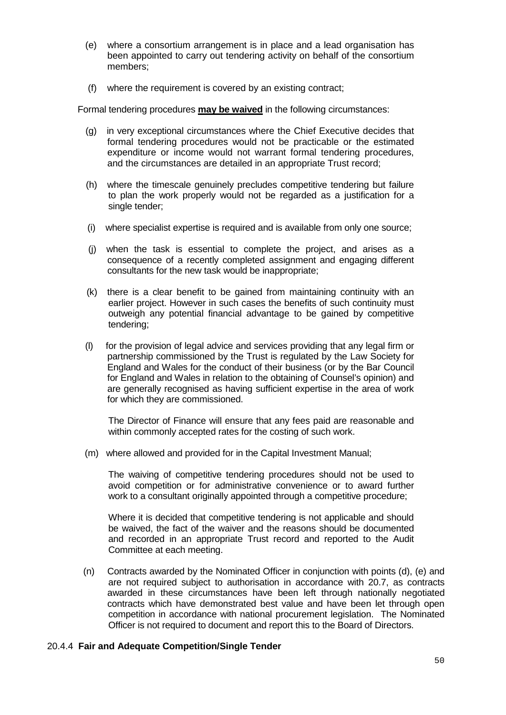- (e) where a consortium arrangement is in place and a lead organisation has been appointed to carry out tendering activity on behalf of the consortium members;
- (f) where the requirement is covered by an existing contract;

Formal tendering procedures **may be waived** in the following circumstances:

- (g) in very exceptional circumstances where the Chief Executive decides that formal tendering procedures would not be practicable or the estimated expenditure or income would not warrant formal tendering procedures, and the circumstances are detailed in an appropriate Trust record;
- (h) where the timescale genuinely precludes competitive tendering but failure to plan the work properly would not be regarded as a justification for a single tender;
- (i) where specialist expertise is required and is available from only one source;
- (j) when the task is essential to complete the project, and arises as a consequence of a recently completed assignment and engaging different consultants for the new task would be inappropriate;
- (k) there is a clear benefit to be gained from maintaining continuity with an earlier project. However in such cases the benefits of such continuity must outweigh any potential financial advantage to be gained by competitive tendering;
- (l) for the provision of legal advice and services providing that any legal firm or partnership commissioned by the Trust is regulated by the Law Society for England and Wales for the conduct of their business (or by the Bar Council for England and Wales in relation to the obtaining of Counsel's opinion) and are generally recognised as having sufficient expertise in the area of work for which they are commissioned.

 The Director of Finance will ensure that any fees paid are reasonable and within commonly accepted rates for the costing of such work.

(m) where allowed and provided for in the Capital Investment Manual;

 The waiving of competitive tendering procedures should not be used to avoid competition or for administrative convenience or to award further work to a consultant originally appointed through a competitive procedure;

 Where it is decided that competitive tendering is not applicable and should be waived, the fact of the waiver and the reasons should be documented and recorded in an appropriate Trust record and reported to the Audit Committee at each meeting.

(n) Contracts awarded by the Nominated Officer in conjunction with points (d), (e) and are not required subject to authorisation in accordance with 20.7, as contracts awarded in these circumstances have been left through nationally negotiated contracts which have demonstrated best value and have been let through open competition in accordance with national procurement legislation. The Nominated Officer is not required to document and report this to the Board of Directors.

#### 20.4.4 **Fair and Adequate Competition/Single Tender**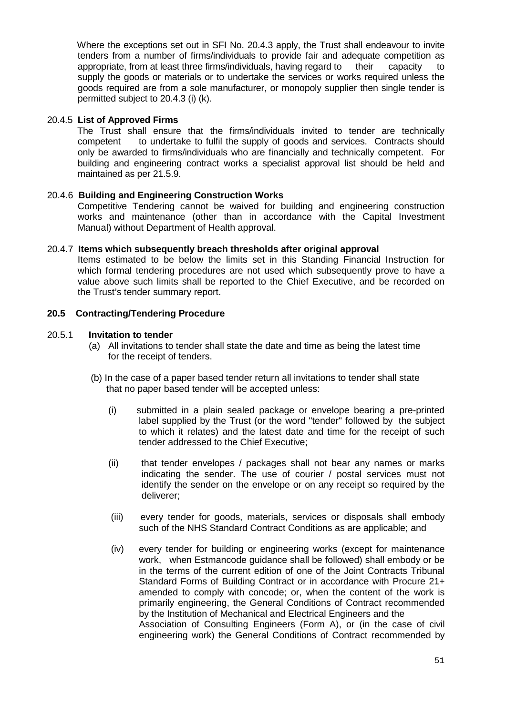Where the exceptions set out in SFI No. 20.4.3 apply, the Trust shall endeavour to invite tenders from a number of firms/individuals to provide fair and adequate competition as appropriate, from at least three firms/individuals, having regard to their capacity to supply the goods or materials or to undertake the services or works required unless the goods required are from a sole manufacturer, or monopoly supplier then single tender is permitted subject to 20.4.3 (i) (k).

### 20.4.5 **List of Approved Firms**

 The Trust shall ensure that the firms/individuals invited to tender are technically competent to undertake to fulfil the supply of goods and services. Contracts should only be awarded to firms/individuals who are financially and technically competent. For building and engineering contract works a specialist approval list should be held and maintained as per 21.5.9.

### 20.4.6 **Building and Engineering Construction Works**

Competitive Tendering cannot be waived for building and engineering construction works and maintenance (other than in accordance with the Capital Investment Manual) without Department of Health approval.

### 20.4.7 **Items which subsequently breach thresholds after original approval**

Items estimated to be below the limits set in this Standing Financial Instruction for which formal tendering procedures are not used which subsequently prove to have a value above such limits shall be reported to the Chief Executive, and be recorded on the Trust's tender summary report.

### **20.5 Contracting/Tendering Procedure**

#### 20.5.1 **Invitation to tender**

- (a) All invitations to tender shall state the date and time as being the latest time for the receipt of tenders.
- (b) In the case of a paper based tender return all invitations to tender shall state that no paper based tender will be accepted unless:
	- (i) submitted in a plain sealed package or envelope bearing a pre-printed label supplied by the Trust (or the word "tender" followed by the subject to which it relates) and the latest date and time for the receipt of such tender addressed to the Chief Executive;
	- (ii) that tender envelopes / packages shall not bear any names or marks indicating the sender. The use of courier / postal services must not identify the sender on the envelope or on any receipt so required by the deliverer;
	- (iii) every tender for goods, materials, services or disposals shall embody such of the NHS Standard Contract Conditions as are applicable; and
	- (iv) every tender for building or engineering works (except for maintenance work, when Estmancode guidance shall be followed) shall embody or be in the terms of the current edition of one of the Joint Contracts Tribunal Standard Forms of Building Contract or in accordance with Procure 21+ amended to comply with concode; or, when the content of the work is primarily engineering, the General Conditions of Contract recommended by the Institution of Mechanical and Electrical Engineers and the Association of Consulting Engineers (Form A), or (in the case of civil engineering work) the General Conditions of Contract recommended by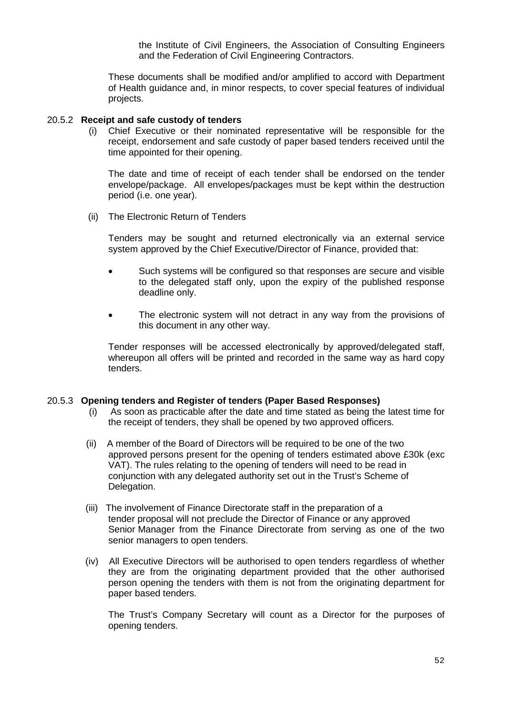the Institute of Civil Engineers, the Association of Consulting Engineers and the Federation of Civil Engineering Contractors.

These documents shall be modified and/or amplified to accord with Department of Health guidance and, in minor respects, to cover special features of individual projects.

#### 20.5.2 **Receipt and safe custody of tenders**

 (i) Chief Executive or their nominated representative will be responsible for the receipt, endorsement and safe custody of paper based tenders received until the time appointed for their opening.

 The date and time of receipt of each tender shall be endorsed on the tender envelope/package. All envelopes/packages must be kept within the destruction period (i.e. one year).

(ii) The Electronic Return of Tenders

Tenders may be sought and returned electronically via an external service system approved by the Chief Executive/Director of Finance, provided that:

- Such systems will be configured so that responses are secure and visible to the delegated staff only, upon the expiry of the published response deadline only.
- The electronic system will not detract in any way from the provisions of this document in any other way.

Tender responses will be accessed electronically by approved/delegated staff, whereupon all offers will be printed and recorded in the same way as hard copy tenders.

## 20.5.3 **Opening tenders and Register of tenders (Paper Based Responses)**

- (i) As soon as practicable after the date and time stated as being the latest time for the receipt of tenders, they shall be opened by two approved officers.
- (ii) A member of the Board of Directors will be required to be one of the two approved persons present for the opening of tenders estimated above £30k (exc VAT). The rules relating to the opening of tenders will need to be read in conjunction with any delegated authority set out in the Trust's Scheme of Delegation.
- (iii) The involvement of Finance Directorate staff in the preparation of a tender proposal will not preclude the Director of Finance or any approved Senior Manager from the Finance Directorate from serving as one of the two senior managers to open tenders.
- (iv) All Executive Directors will be authorised to open tenders regardless of whether they are from the originating department provided that the other authorised person opening the tenders with them is not from the originating department for paper based tenders.

The Trust's Company Secretary will count as a Director for the purposes of opening tenders.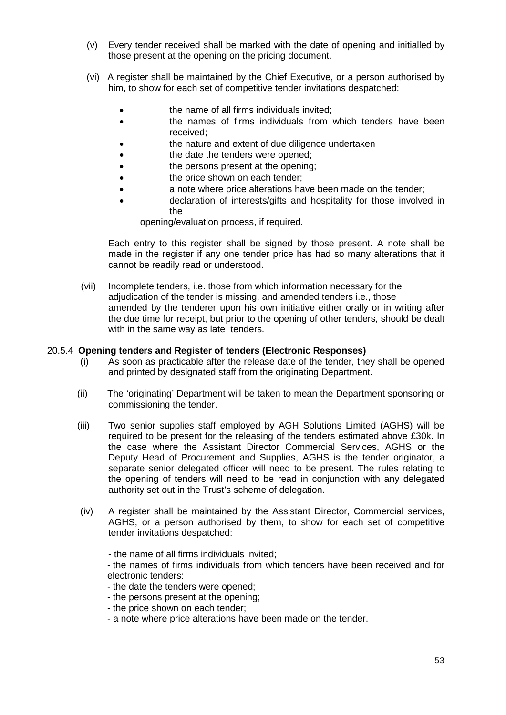- (v) Every tender received shall be marked with the date of opening and initialled by those present at the opening on the pricing document.
- (vi) A register shall be maintained by the Chief Executive, or a person authorised by him, to show for each set of competitive tender invitations despatched:
	- the name of all firms individuals invited;
	- **the names of firms individuals from which tenders have been** received;
	- the nature and extent of due diligence undertaken
	- **the date the tenders were opened:**
	- **the persons present at the opening;**
	- **the price shown on each tender;**
	- a note where price alterations have been made on the tender;
	- declaration of interests/gifts and hospitality for those involved in the

opening/evaluation process, if required.

 Each entry to this register shall be signed by those present. A note shall be made in the register if any one tender price has had so many alterations that it cannot be readily read or understood.

 (vii) Incomplete tenders, i.e. those from which information necessary for the adjudication of the tender is missing, and amended tenders i.e., those amended by the tenderer upon his own initiative either orally or in writing after the due time for receipt, but prior to the opening of other tenders, should be dealt with in the same way as late tenders.

### 20.5.4 **Opening tenders and Register of tenders (Electronic Responses)**

- (i) As soon as practicable after the release date of the tender, they shall be opened and printed by designated staff from the originating Department.
- (ii) The 'originating' Department will be taken to mean the Department sponsoring or commissioning the tender.
- (iii) Two senior supplies staff employed by AGH Solutions Limited (AGHS) will be required to be present for the releasing of the tenders estimated above £30k. In the case where the Assistant Director Commercial Services, AGHS or the Deputy Head of Procurement and Supplies, AGHS is the tender originator, a separate senior delegated officer will need to be present. The rules relating to the opening of tenders will need to be read in conjunction with any delegated authority set out in the Trust's scheme of delegation.
- (iv) A register shall be maintained by the Assistant Director, Commercial services, AGHS, or a person authorised by them, to show for each set of competitive tender invitations despatched:
	- the name of all firms individuals invited;

- the names of firms individuals from which tenders have been received and for electronic tenders:

- the date the tenders were opened;
- the persons present at the opening;
- the price shown on each tender;
- a note where price alterations have been made on the tender.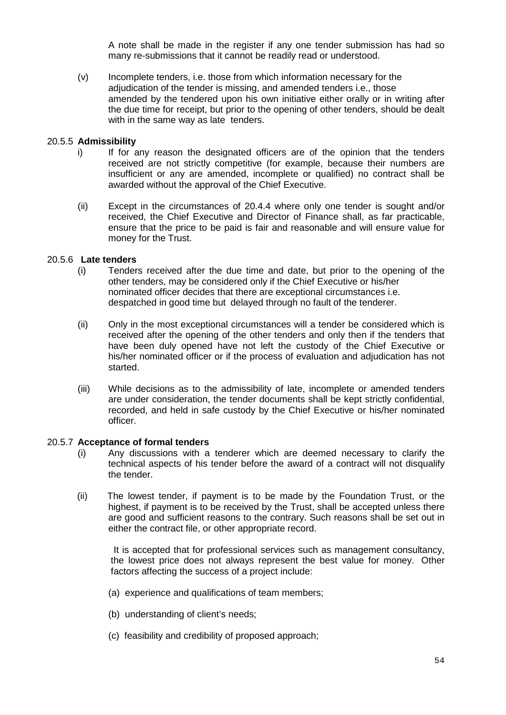A note shall be made in the register if any one tender submission has had so many re-submissions that it cannot be readily read or understood.

(v) Incomplete tenders, i.e. those from which information necessary for the adjudication of the tender is missing, and amended tenders i.e., those amended by the tendered upon his own initiative either orally or in writing after the due time for receipt, but prior to the opening of other tenders, should be dealt with in the same way as late tenders.

### 20.5.5 **Admissibility**

- i) If for any reason the designated officers are of the opinion that the tenders received are not strictly competitive (for example, because their numbers are insufficient or any are amended, incomplete or qualified) no contract shall be awarded without the approval of the Chief Executive.
- (ii) Except in the circumstances of 20.4.4 where only one tender is sought and/or received, the Chief Executive and Director of Finance shall, as far practicable, ensure that the price to be paid is fair and reasonable and will ensure value for money for the Trust.

### 20.5.6 **Late tenders**

- (i) Tenders received after the due time and date, but prior to the opening of the other tenders, may be considered only if the Chief Executive or his/her nominated officer decides that there are exceptional circumstances i.e. despatched in good time but delayed through no fault of the tenderer.
- (ii) Only in the most exceptional circumstances will a tender be considered which is received after the opening of the other tenders and only then if the tenders that have been duly opened have not left the custody of the Chief Executive or his/her nominated officer or if the process of evaluation and adjudication has not started.
- (iii) While decisions as to the admissibility of late, incomplete or amended tenders are under consideration, the tender documents shall be kept strictly confidential, recorded, and held in safe custody by the Chief Executive or his/her nominated officer.

#### 20.5.7 **Acceptance of formal tenders**

- (i) Any discussions with a tenderer which are deemed necessary to clarify the technical aspects of his tender before the award of a contract will not disqualify the tender.
- (ii) The lowest tender, if payment is to be made by the Foundation Trust, or the highest, if payment is to be received by the Trust, shall be accepted unless there are good and sufficient reasons to the contrary. Such reasons shall be set out in either the contract file, or other appropriate record.

 It is accepted that for professional services such as management consultancy, the lowest price does not always represent the best value for money. Other factors affecting the success of a project include:

- (a) experience and qualifications of team members;
- (b) understanding of client's needs;
- (c) feasibility and credibility of proposed approach;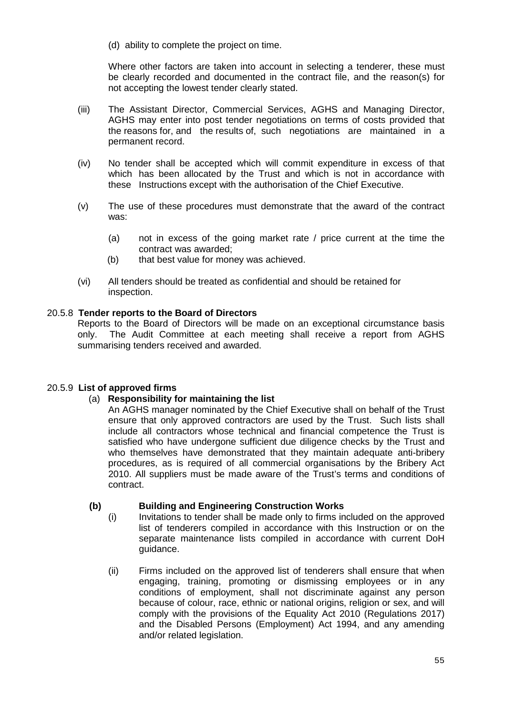(d) ability to complete the project on time.

 Where other factors are taken into account in selecting a tenderer, these must be clearly recorded and documented in the contract file, and the reason(s) for not accepting the lowest tender clearly stated.

- (iii) The Assistant Director, Commercial Services, AGHS and Managing Director, AGHS may enter into post tender negotiations on terms of costs provided that the reasons for, and the results of, such negotiations are maintained in a permanent record.
- (iv) No tender shall be accepted which will commit expenditure in excess of that which has been allocated by the Trust and which is not in accordance with these Instructions except with the authorisation of the Chief Executive.
- (v) The use of these procedures must demonstrate that the award of the contract was:
	- (a) not in excess of the going market rate / price current at the time the contract was awarded;
	- (b) that best value for money was achieved.
- (vi) All tenders should be treated as confidential and should be retained for inspection.

## 20.5.8 **Tender reports to the Board of Directors**

Reports to the Board of Directors will be made on an exceptional circumstance basis only. The Audit Committee at each meeting shall receive a report from AGHS summarising tenders received and awarded.

## 20.5.9 **List of approved firms**

## (a) **Responsibility for maintaining the list**

An AGHS manager nominated by the Chief Executive shall on behalf of the Trust ensure that only approved contractors are used by the Trust. Such lists shall include all contractors whose technical and financial competence the Trust is satisfied who have undergone sufficient due diligence checks by the Trust and who themselves have demonstrated that they maintain adequate anti-bribery procedures, as is required of all commercial organisations by the Bribery Act 2010. All suppliers must be made aware of the Trust's terms and conditions of contract.

## **(b) Building and Engineering Construction Works**

- (i) Invitations to tender shall be made only to firms included on the approved list of tenderers compiled in accordance with this Instruction or on the separate maintenance lists compiled in accordance with current DoH guidance.
- (ii) Firms included on the approved list of tenderers shall ensure that when engaging, training, promoting or dismissing employees or in any conditions of employment, shall not discriminate against any person because of colour, race, ethnic or national origins, religion or sex, and will comply with the provisions of the Equality Act 2010 (Regulations 2017) and the Disabled Persons (Employment) Act 1994, and any amending and/or related legislation.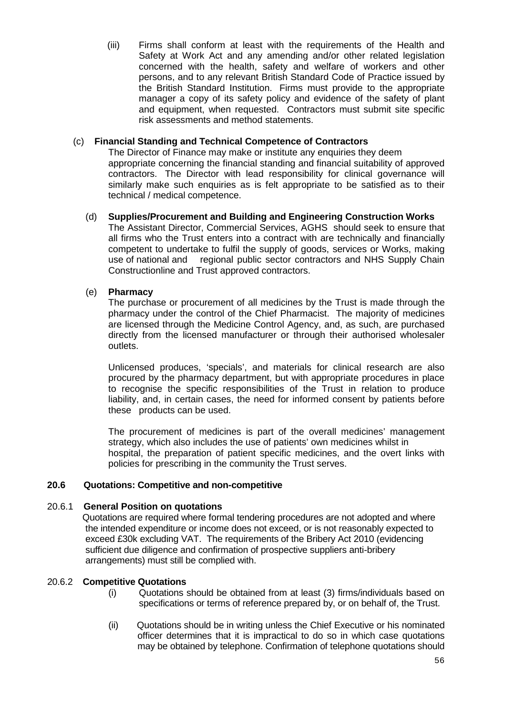(iii) Firms shall conform at least with the requirements of the Health and Safety at Work Act and any amending and/or other related legislation concerned with the health, safety and welfare of workers and other persons, and to any relevant British Standard Code of Practice issued by the British Standard Institution. Firms must provide to the appropriate manager a copy of its safety policy and evidence of the safety of plant and equipment, when requested. Contractors must submit site specific risk assessments and method statements.

## (c) **Financial Standing and Technical Competence of Contractors**

The Director of Finance may make or institute any enquiries they deem appropriate concerning the financial standing and financial suitability of approved contractors. The Director with lead responsibility for clinical governance will similarly make such enquiries as is felt appropriate to be satisfied as to their technical / medical competence.

### (d) **Supplies/Procurement and Building and Engineering Construction Works**

The Assistant Director, Commercial Services, AGHS should seek to ensure that all firms who the Trust enters into a contract with are technically and financially competent to undertake to fulfil the supply of goods, services or Works, making use of national and regional public sector contractors and NHS Supply Chain Constructionline and Trust approved contractors.

## (e) **Pharmacy**

The purchase or procurement of all medicines by the Trust is made through the pharmacy under the control of the Chief Pharmacist. The majority of medicines are licensed through the Medicine Control Agency, and, as such, are purchased directly from the licensed manufacturer or through their authorised wholesaler outlets.

Unlicensed produces, 'specials', and materials for clinical research are also procured by the pharmacy department, but with appropriate procedures in place to recognise the specific responsibilities of the Trust in relation to produce liability, and, in certain cases, the need for informed consent by patients before these products can be used.

The procurement of medicines is part of the overall medicines' management strategy, which also includes the use of patients' own medicines whilst in hospital, the preparation of patient specific medicines, and the overt links with policies for prescribing in the community the Trust serves.

## **20.6 Quotations: Competitive and non-competitive**

## 20.6.1 **General Position on quotations**

Quotations are required where formal tendering procedures are not adopted and where the intended expenditure or income does not exceed, or is not reasonably expected to exceed £30k excluding VAT. The requirements of the Bribery Act 2010 (evidencing sufficient due diligence and confirmation of prospective suppliers anti-bribery arrangements) must still be complied with.

#### 20.6.2 **Competitive Quotations**

- (i) Quotations should be obtained from at least (3) firms/individuals based on specifications or terms of reference prepared by, or on behalf of, the Trust.
- (ii) Quotations should be in writing unless the Chief Executive or his nominated officer determines that it is impractical to do so in which case quotations may be obtained by telephone. Confirmation of telephone quotations should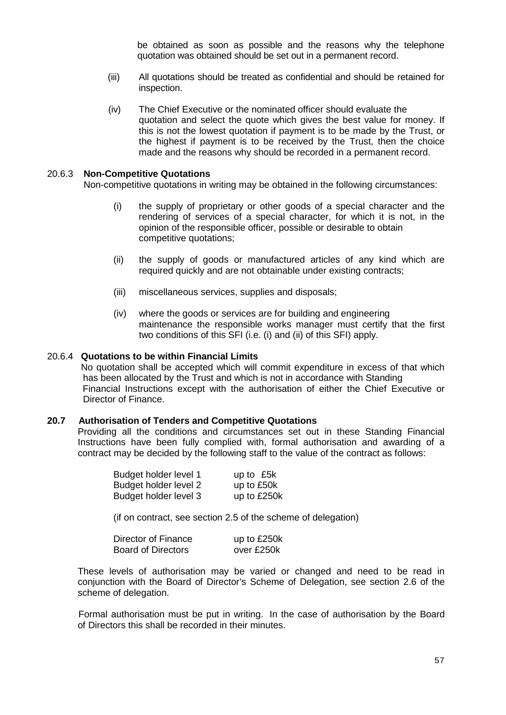be obtained as soon as possible and the reasons why the telephone quotation was obtained should be set out in a permanent record.

- (iii) All quotations should be treated as confidential and should be retained for inspection.
- (iv) The Chief Executive or the nominated officer should evaluate the quotation and select the quote which gives the best value for money. If this is not the lowest quotation if payment is to be made by the Trust, or the highest if payment is to be received by the Trust, then the choice made and the reasons why should be recorded in a permanent record.

#### 20.6.3 **Non-Competitive Quotations**

Non-competitive quotations in writing may be obtained in the following circumstances:

- (i) the supply of proprietary or other goods of a special character and the rendering of services of a special character, for which it is not, in the opinion of the responsible officer, possible or desirable to obtain competitive quotations;
- (ii) the supply of goods or manufactured articles of any kind which are required quickly and are not obtainable under existing contracts;
- (iii) miscellaneous services, supplies and disposals;
- (iv) where the goods or services are for building and engineering maintenance the responsible works manager must certify that the first two conditions of this SFI (i.e. (i) and (ii) of this SFI) apply.

#### 20.6.4 **Quotations to be within Financial Limits**

 No quotation shall be accepted which will commit expenditure in excess of that which has been allocated by the Trust and which is not in accordance with Standing Financial Instructions except with the authorisation of either the Chief Executive or Director of Finance.

#### **20.7 Authorisation of Tenders and Competitive Quotations**

Providing all the conditions and circumstances set out in these Standing Financial Instructions have been fully complied with, formal authorisation and awarding of a contract may be decided by the following staff to the value of the contract as follows:

| Budget holder level 1 | up to £5k   |
|-----------------------|-------------|
| Budget holder level 2 | up to £50k  |
| Budget holder level 3 | up to £250k |

(if on contract, see section 2.5 of the scheme of delegation)

| Director of Finance | up to £250k |
|---------------------|-------------|
| Board of Directors  | over £250k  |

These levels of authorisation may be varied or changed and need to be read in conjunction with the Board of Director's Scheme of Delegation, see section 2.6 of the scheme of delegation.

 Formal authorisation must be put in writing. In the case of authorisation by the Board of Directors this shall be recorded in their minutes.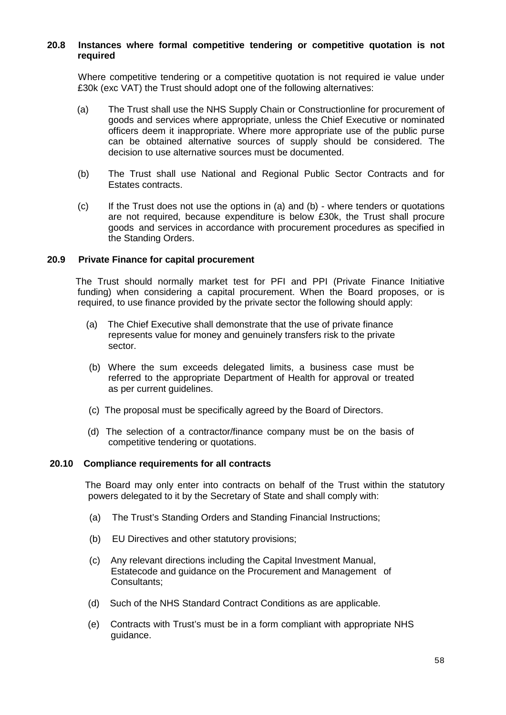### **20.8 Instances where formal competitive tendering or competitive quotation is not required**

 Where competitive tendering or a competitive quotation is not required ie value under £30k (exc VAT) the Trust should adopt one of the following alternatives:

- (a) The Trust shall use the NHS Supply Chain or Constructionline for procurement of goods and services where appropriate, unless the Chief Executive or nominated officers deem it inappropriate. Where more appropriate use of the public purse can be obtained alternative sources of supply should be considered. The decision to use alternative sources must be documented.
- (b) The Trust shall use National and Regional Public Sector Contracts and for Estates contracts.
- (c) If the Trust does not use the options in (a) and (b) where tenders or quotations are not required, because expenditure is below £30k, the Trust shall procure goods and services in accordance with procurement procedures as specified in the Standing Orders.

### **20.9 Private Finance for capital procurement**

 The Trust should normally market test for PFI and PPI (Private Finance Initiative funding) when considering a capital procurement. When the Board proposes, or is required, to use finance provided by the private sector the following should apply:

- (a) The Chief Executive shall demonstrate that the use of private finance represents value for money and genuinely transfers risk to the private sector.
- (b) Where the sum exceeds delegated limits, a business case must be referred to the appropriate Department of Health for approval or treated as per current guidelines.
- (c) The proposal must be specifically agreed by the Board of Directors.
- (d) The selection of a contractor/finance company must be on the basis of competitive tendering or quotations.

#### **20.10 Compliance requirements for all contracts**

 The Board may only enter into contracts on behalf of the Trust within the statutory powers delegated to it by the Secretary of State and shall comply with:

- (a) The Trust's Standing Orders and Standing Financial Instructions;
- (b) EU Directives and other statutory provisions;
- (c) Any relevant directions including the Capital Investment Manual, Estatecode and guidance on the Procurement and Management of Consultants;
- (d) Such of the NHS Standard Contract Conditions as are applicable.
- (e) Contracts with Trust's must be in a form compliant with appropriate NHS guidance.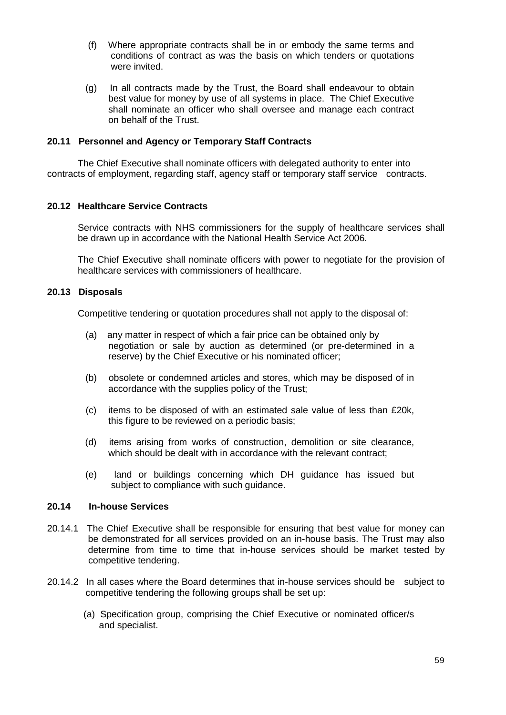- (f) Where appropriate contracts shall be in or embody the same terms and conditions of contract as was the basis on which tenders or quotations were invited.
- (g) In all contracts made by the Trust, the Board shall endeavour to obtain best value for money by use of all systems in place. The Chief Executive shall nominate an officer who shall oversee and manage each contract on behalf of the Trust.

#### **20.11 Personnel and Agency or Temporary Staff Contracts**

The Chief Executive shall nominate officers with delegated authority to enter into contracts of employment, regarding staff, agency staff or temporary staff service contracts.

### **20.12 Healthcare Service Contracts**

Service contracts with NHS commissioners for the supply of healthcare services shall be drawn up in accordance with the National Health Service Act 2006.

The Chief Executive shall nominate officers with power to negotiate for the provision of healthcare services with commissioners of healthcare.

### **20.13 Disposals**

Competitive tendering or quotation procedures shall not apply to the disposal of:

- (a) any matter in respect of which a fair price can be obtained only by negotiation or sale by auction as determined (or pre-determined in a reserve) by the Chief Executive or his nominated officer;
- (b) obsolete or condemned articles and stores, which may be disposed of in accordance with the supplies policy of the Trust;
- (c) items to be disposed of with an estimated sale value of less than £20k, this figure to be reviewed on a periodic basis;
- (d) items arising from works of construction, demolition or site clearance, which should be dealt with in accordance with the relevant contract;
- (e) land or buildings concerning which DH guidance has issued but subject to compliance with such guidance.

### **20.14 In-house Services**

- 20.14.1 The Chief Executive shall be responsible for ensuring that best value for money can be demonstrated for all services provided on an in-house basis. The Trust may also determine from time to time that in-house services should be market tested by competitive tendering.
- 20.14.2 In all cases where the Board determines that in-house services should be subject to competitive tendering the following groups shall be set up:
	- (a) Specification group, comprising the Chief Executive or nominated officer/s and specialist.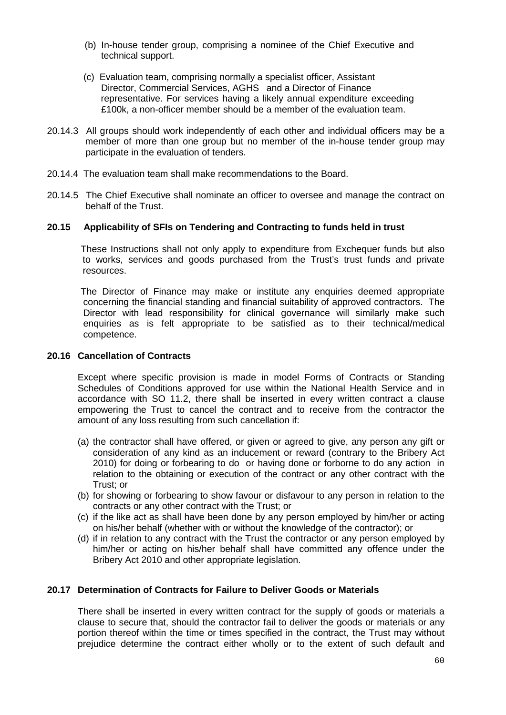- (b) In-house tender group, comprising a nominee of the Chief Executive and technical support.
- (c) Evaluation team, comprising normally a specialist officer, Assistant Director, Commercial Services, AGHS and a Director of Finance representative. For services having a likely annual expenditure exceeding £100k, a non-officer member should be a member of the evaluation team.
- 20.14.3 All groups should work independently of each other and individual officers may be a member of more than one group but no member of the in-house tender group may participate in the evaluation of tenders.
- 20.14.4 The evaluation team shall make recommendations to the Board.
- 20.14.5 The Chief Executive shall nominate an officer to oversee and manage the contract on behalf of the Trust.

### **20.15 Applicability of SFIs on Tendering and Contracting to funds held in trust**

 These Instructions shall not only apply to expenditure from Exchequer funds but also to works, services and goods purchased from the Trust's trust funds and private resources.

 The Director of Finance may make or institute any enquiries deemed appropriate concerning the financial standing and financial suitability of approved contractors. The Director with lead responsibility for clinical governance will similarly make such enquiries as is felt appropriate to be satisfied as to their technical/medical competence.

#### **20.16 Cancellation of Contracts**

Except where specific provision is made in model Forms of Contracts or Standing Schedules of Conditions approved for use within the National Health Service and in accordance with SO 11.2, there shall be inserted in every written contract a clause empowering the Trust to cancel the contract and to receive from the contractor the amount of any loss resulting from such cancellation if:

- (a) the contractor shall have offered, or given or agreed to give, any person any gift or consideration of any kind as an inducement or reward (contrary to the Bribery Act 2010) for doing or forbearing to do or having done or forborne to do any action in relation to the obtaining or execution of the contract or any other contract with the Trust; or
- (b) for showing or forbearing to show favour or disfavour to any person in relation to the contracts or any other contract with the Trust; or
- (c) if the like act as shall have been done by any person employed by him/her or acting on his/her behalf (whether with or without the knowledge of the contractor); or
- (d) if in relation to any contract with the Trust the contractor or any person employed by him/her or acting on his/her behalf shall have committed any offence under the Bribery Act 2010 and other appropriate legislation.

## **20.17 Determination of Contracts for Failure to Deliver Goods or Materials**

There shall be inserted in every written contract for the supply of goods or materials a clause to secure that, should the contractor fail to deliver the goods or materials or any portion thereof within the time or times specified in the contract, the Trust may without prejudice determine the contract either wholly or to the extent of such default and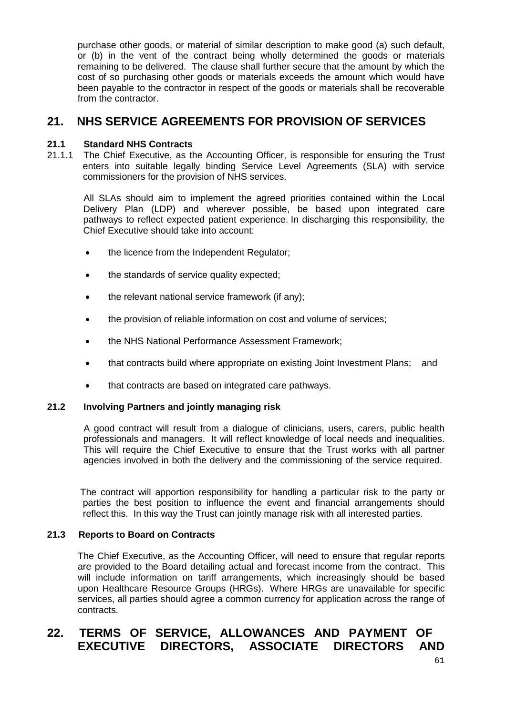purchase other goods, or material of similar description to make good (a) such default, or (b) in the vent of the contract being wholly determined the goods or materials remaining to be delivered. The clause shall further secure that the amount by which the cost of so purchasing other goods or materials exceeds the amount which would have been payable to the contractor in respect of the goods or materials shall be recoverable from the contractor.

## **21. NHS SERVICE AGREEMENTS FOR PROVISION OF SERVICES**

## **21.1 Standard NHS Contracts**

21.1.1 The Chief Executive, as the Accounting Officer, is responsible for ensuring the Trust enters into suitable legally binding Service Level Agreements (SLA) with service commissioners for the provision of NHS services.

 All SLAs should aim to implement the agreed priorities contained within the Local Delivery Plan (LDP) and wherever possible, be based upon integrated care pathways to reflect expected patient experience. In discharging this responsibility, the Chief Executive should take into account:

- the licence from the Independent Regulator;
- the standards of service quality expected;
- the relevant national service framework (if any);
- the provision of reliable information on cost and volume of services;
- the NHS National Performance Assessment Framework;
- that contracts build where appropriate on existing Joint Investment Plans; and
- that contracts are based on integrated care pathways.

## **21.2 Involving Partners and jointly managing risk**

 A good contract will result from a dialogue of clinicians, users, carers, public health professionals and managers. It will reflect knowledge of local needs and inequalities. This will require the Chief Executive to ensure that the Trust works with all partner agencies involved in both the delivery and the commissioning of the service required.

The contract will apportion responsibility for handling a particular risk to the party or parties the best position to influence the event and financial arrangements should reflect this. In this way the Trust can jointly manage risk with all interested parties.

## **21.3 Reports to Board on Contracts**

The Chief Executive, as the Accounting Officer, will need to ensure that regular reports are provided to the Board detailing actual and forecast income from the contract. This will include information on tariff arrangements, which increasingly should be based upon Healthcare Resource Groups (HRGs). Where HRGs are unavailable for specific services, all parties should agree a common currency for application across the range of contracts.

# **22. TERMS OF SERVICE, ALLOWANCES AND PAYMENT OF EXECUTIVE DIRECTORS, ASSOCIATE DIRECTORS AND**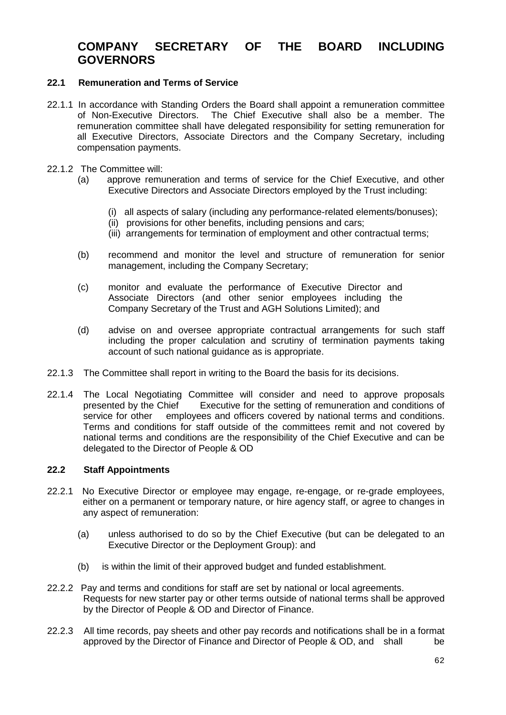## **COMPANY SECRETARY OF THE BOARD INCLUDING GOVERNORS**

## **22.1 Remuneration and Terms of Service**

- 22.1.1 In accordance with Standing Orders the Board shall appoint a remuneration committee of Non-Executive Directors. The Chief Executive shall also be a member. The remuneration committee shall have delegated responsibility for setting remuneration for all Executive Directors, Associate Directors and the Company Secretary, including compensation payments.
- 22.1.2 The Committee will:
	- (a) approve remuneration and terms of service for the Chief Executive, and other Executive Directors and Associate Directors employed by the Trust including:
		- (i) all aspects of salary (including any performance-related elements/bonuses);
		- (ii) provisions for other benefits, including pensions and cars;
		- (iii) arrangements for termination of employment and other contractual terms;
	- (b) recommend and monitor the level and structure of remuneration for senior management, including the Company Secretary;
	- (c) monitor and evaluate the performance of Executive Director and Associate Directors (and other senior employees including the Company Secretary of the Trust and AGH Solutions Limited); and
	- (d) advise on and oversee appropriate contractual arrangements for such staff including the proper calculation and scrutiny of termination payments taking account of such national guidance as is appropriate.
- 22.1.3 The Committee shall report in writing to the Board the basis for its decisions.
- 22.1.4 The Local Negotiating Committee will consider and need to approve proposals presented by the Chief Executive for the setting of remuneration and conditions of service for other employees and officers covered by national terms and conditions. employees and officers covered by national terms and conditions. Terms and conditions for staff outside of the committees remit and not covered by national terms and conditions are the responsibility of the Chief Executive and can be delegated to the Director of People & OD

## **22.2 Staff Appointments**

- 22.2.1 No Executive Director or employee may engage, re-engage, or re-grade employees, either on a permanent or temporary nature, or hire agency staff, or agree to changes in any aspect of remuneration:
	- (a) unless authorised to do so by the Chief Executive (but can be delegated to an Executive Director or the Deployment Group): and
	- (b) is within the limit of their approved budget and funded establishment.
- 22.2.2 Pay and terms and conditions for staff are set by national or local agreements. Requests for new starter pay or other terms outside of national terms shall be approved by the Director of People & OD and Director of Finance.
- 22.2.3 All time records, pay sheets and other pay records and notifications shall be in a format approved by the Director of Finance and Director of People & OD, and shall be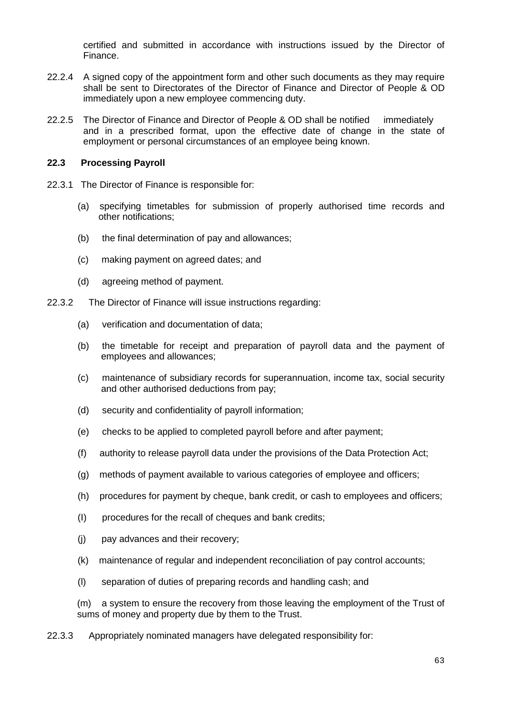certified and submitted in accordance with instructions issued by the Director of Finance.

- 22.2.4 A signed copy of the appointment form and other such documents as they may require shall be sent to Directorates of the Director of Finance and Director of People & OD immediately upon a new employee commencing duty.
- 22.2.5 The Director of Finance and Director of People & OD shall be notified immediately and in a prescribed format, upon the effective date of change in the state of employment or personal circumstances of an employee being known.

## **22.3 Processing Payroll**

- 22.3.1 The Director of Finance is responsible for:
	- (a) specifying timetables for submission of properly authorised time records and other notifications;
	- (b) the final determination of pay and allowances;
	- (c) making payment on agreed dates; and
	- (d) agreeing method of payment.
- 22.3.2 The Director of Finance will issue instructions regarding:
	- (a) verification and documentation of data;
	- (b) the timetable for receipt and preparation of payroll data and the payment of employees and allowances;
	- (c) maintenance of subsidiary records for superannuation, income tax, social security and other authorised deductions from pay;
	- (d) security and confidentiality of payroll information;
	- (e) checks to be applied to completed payroll before and after payment;
	- (f) authority to release payroll data under the provisions of the Data Protection Act;
	- (g) methods of payment available to various categories of employee and officers;
	- (h) procedures for payment by cheque, bank credit, or cash to employees and officers;
	- (I) procedures for the recall of cheques and bank credits;
	- (j) pay advances and their recovery;
	- (k) maintenance of regular and independent reconciliation of pay control accounts;
	- (l) separation of duties of preparing records and handling cash; and

(m) a system to ensure the recovery from those leaving the employment of the Trust of sums of money and property due by them to the Trust.

22.3.3 Appropriately nominated managers have delegated responsibility for: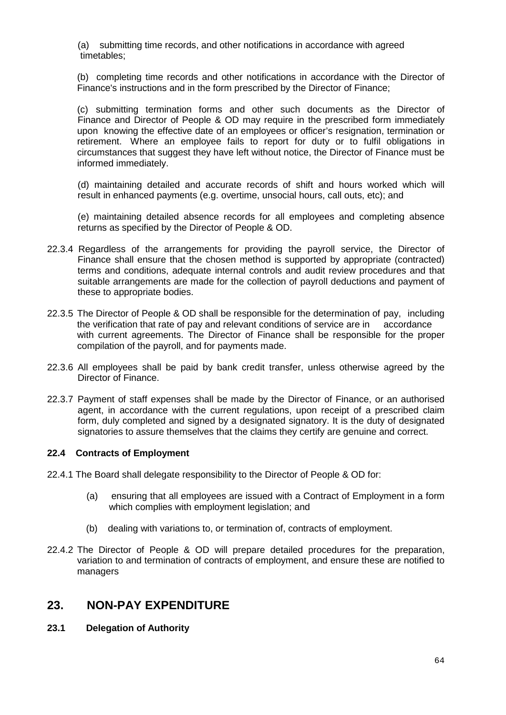(a) submitting time records, and other notifications in accordance with agreed timetables;

(b) completing time records and other notifications in accordance with the Director of Finance's instructions and in the form prescribed by the Director of Finance;

(c) submitting termination forms and other such documents as the Director of Finance and Director of People & OD may require in the prescribed form immediately upon knowing the effective date of an employees or officer's resignation, termination or retirement. Where an employee fails to report for duty or to fulfil obligations in circumstances that suggest they have left without notice, the Director of Finance must be informed immediately.

(d) maintaining detailed and accurate records of shift and hours worked which will result in enhanced payments (e.g. overtime, unsocial hours, call outs, etc); and

(e) maintaining detailed absence records for all employees and completing absence returns as specified by the Director of People & OD.

- 22.3.4 Regardless of the arrangements for providing the payroll service, the Director of Finance shall ensure that the chosen method is supported by appropriate (contracted) terms and conditions, adequate internal controls and audit review procedures and that suitable arrangements are made for the collection of payroll deductions and payment of these to appropriate bodies.
- 22.3.5 The Director of People & OD shall be responsible for the determination of pay, including the verification that rate of pay and relevant conditions of service are in accordance with current agreements. The Director of Finance shall be responsible for the proper compilation of the payroll, and for payments made.
- 22.3.6 All employees shall be paid by bank credit transfer, unless otherwise agreed by the Director of Finance.
- 22.3.7 Payment of staff expenses shall be made by the Director of Finance, or an authorised agent, in accordance with the current regulations, upon receipt of a prescribed claim form, duly completed and signed by a designated signatory. It is the duty of designated signatories to assure themselves that the claims they certify are genuine and correct.

#### **22.4 Contracts of Employment**

- 22.4.1 The Board shall delegate responsibility to the Director of People & OD for:
	- (a) ensuring that all employees are issued with a Contract of Employment in a form which complies with employment legislation; and
	- (b) dealing with variations to, or termination of, contracts of employment.
- 22.4.2 The Director of People & OD will prepare detailed procedures for the preparation, variation to and termination of contracts of employment, and ensure these are notified to managers

## **23. NON-PAY EXPENDITURE**

**23.1 Delegation of Authority**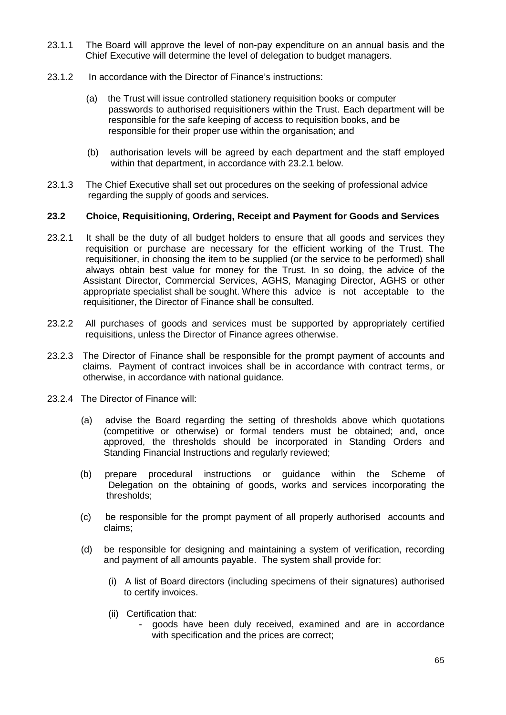- 23.1.1 The Board will approve the level of non-pay expenditure on an annual basis and the Chief Executive will determine the level of delegation to budget managers.
- 23.1.2 In accordance with the Director of Finance's instructions:
	- (a) the Trust will issue controlled stationery requisition books or computer passwords to authorised requisitioners within the Trust. Each department will be responsible for the safe keeping of access to requisition books, and be responsible for their proper use within the organisation; and
	- (b) authorisation levels will be agreed by each department and the staff employed within that department, in accordance with 23.2.1 below.
- 23.1.3 The Chief Executive shall set out procedures on the seeking of professional advice regarding the supply of goods and services.

## **23.2 Choice, Requisitioning, Ordering, Receipt and Payment for Goods and Services**

- 23.2.1 It shall be the duty of all budget holders to ensure that all goods and services they requisition or purchase are necessary for the efficient working of the Trust. The requisitioner, in choosing the item to be supplied (or the service to be performed) shall always obtain best value for money for the Trust. In so doing, the advice of the Assistant Director, Commercial Services, AGHS, Managing Director, AGHS or other appropriate specialist shall be sought. Where this advice is not acceptable to the requisitioner, the Director of Finance shall be consulted.
- 23.2.2 All purchases of goods and services must be supported by appropriately certified requisitions, unless the Director of Finance agrees otherwise.
- 23.2.3 The Director of Finance shall be responsible for the prompt payment of accounts and claims. Payment of contract invoices shall be in accordance with contract terms, or otherwise, in accordance with national guidance.
- 23.2.4 The Director of Finance will:
	- (a) advise the Board regarding the setting of thresholds above which quotations (competitive or otherwise) or formal tenders must be obtained; and, once approved, the thresholds should be incorporated in Standing Orders and Standing Financial Instructions and regularly reviewed;
	- (b) prepare procedural instructions or guidance within the Scheme of Delegation on the obtaining of goods, works and services incorporating the thresholds;
	- (c) be responsible for the prompt payment of all properly authorised accounts and claims;
	- (d) be responsible for designing and maintaining a system of verification, recording and payment of all amounts payable. The system shall provide for:
		- (i) A list of Board directors (including specimens of their signatures) authorised to certify invoices.
		- (ii) Certification that:
			- goods have been duly received, examined and are in accordance with specification and the prices are correct;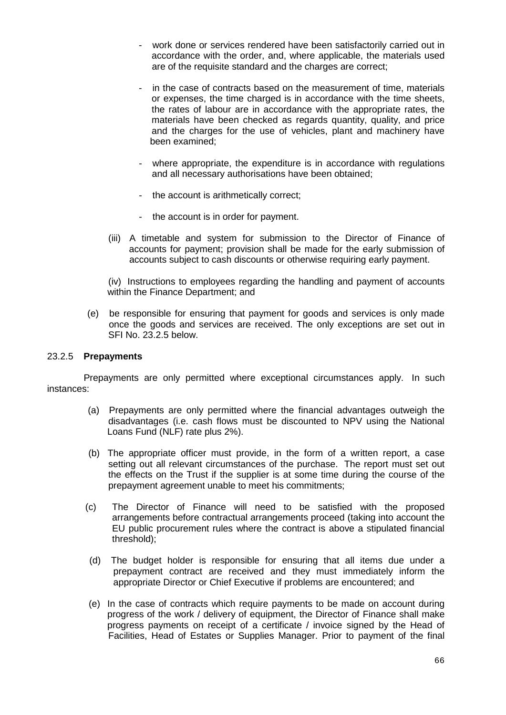- work done or services rendered have been satisfactorily carried out in accordance with the order, and, where applicable, the materials used are of the requisite standard and the charges are correct;
- in the case of contracts based on the measurement of time, materials or expenses, the time charged is in accordance with the time sheets, the rates of labour are in accordance with the appropriate rates, the materials have been checked as regards quantity, quality, and price and the charges for the use of vehicles, plant and machinery have been examined;
- where appropriate, the expenditure is in accordance with regulations and all necessary authorisations have been obtained;
- the account is arithmetically correct;
- the account is in order for payment.
- (iii) A timetable and system for submission to the Director of Finance of accounts for payment; provision shall be made for the early submission of accounts subject to cash discounts or otherwise requiring early payment.

(iv) Instructions to employees regarding the handling and payment of accounts within the Finance Department; and

 (e) be responsible for ensuring that payment for goods and services is only made once the goods and services are received. The only exceptions are set out in SFI No. 23.2.5 below.

#### 23.2.5 **Prepayments**

 Prepayments are only permitted where exceptional circumstances apply. In such instances:

- (a) Prepayments are only permitted where the financial advantages outweigh the disadvantages (i.e. cash flows must be discounted to NPV using the National Loans Fund (NLF) rate plus 2%).
- (b) The appropriate officer must provide, in the form of a written report, a case setting out all relevant circumstances of the purchase. The report must set out the effects on the Trust if the supplier is at some time during the course of the prepayment agreement unable to meet his commitments;
- (c) The Director of Finance will need to be satisfied with the proposed arrangements before contractual arrangements proceed (taking into account the EU public procurement rules where the contract is above a stipulated financial threshold);
- (d) The budget holder is responsible for ensuring that all items due under a prepayment contract are received and they must immediately inform the appropriate Director or Chief Executive if problems are encountered; and
- (e) In the case of contracts which require payments to be made on account during progress of the work / delivery of equipment, the Director of Finance shall make progress payments on receipt of a certificate / invoice signed by the Head of Facilities, Head of Estates or Supplies Manager. Prior to payment of the final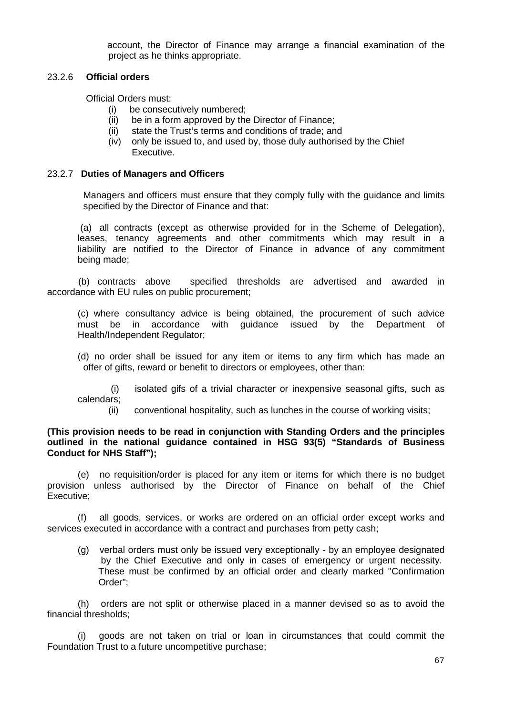account, the Director of Finance may arrange a financial examination of the project as he thinks appropriate.

## 23.2.6 **Official orders**

Official Orders must:

- (i) be consecutively numbered;
- (ii) be in a form approved by the Director of Finance;
- (ii) state the Trust's terms and conditions of trade; and
- (iv) only be issued to, and used by, those duly authorised by the Chief Executive.

## 23.2.7 **Duties of Managers and Officers**

Managers and officers must ensure that they comply fully with the guidance and limits specified by the Director of Finance and that:

(a) all contracts (except as otherwise provided for in the Scheme of Delegation), leases, tenancy agreements and other commitments which may result in a liability are notified to the Director of Finance in advance of any commitment being made;

 (b) contracts above specified thresholds are advertised and awarded in accordance with EU rules on public procurement;

(c) where consultancy advice is being obtained, the procurement of such advice must be in accordance with guidance issued by the Department of Health/Independent Regulator;

(d) no order shall be issued for any item or items to any firm which has made an offer of gifts, reward or benefit to directors or employees, other than:

(i) isolated gifs of a trivial character or inexpensive seasonal gifts, such as calendars;

(ii) conventional hospitality, such as lunches in the course of working visits;

## **(This provision needs to be read in conjunction with Standing Orders and the principles outlined in the national guidance contained in HSG 93(5) "Standards of Business Conduct for NHS Staff");**

(e) no requisition/order is placed for any item or items for which there is no budget provision unless authorised by the Director of Finance on behalf of the Chief Executive;

(f) all goods, services, or works are ordered on an official order except works and services executed in accordance with a contract and purchases from petty cash;

(g) verbal orders must only be issued very exceptionally - by an employee designated by the Chief Executive and only in cases of emergency or urgent necessity. These must be confirmed by an official order and clearly marked "Confirmation Order";

(h) orders are not split or otherwise placed in a manner devised so as to avoid the financial thresholds;

(i) goods are not taken on trial or loan in circumstances that could commit the Foundation Trust to a future uncompetitive purchase;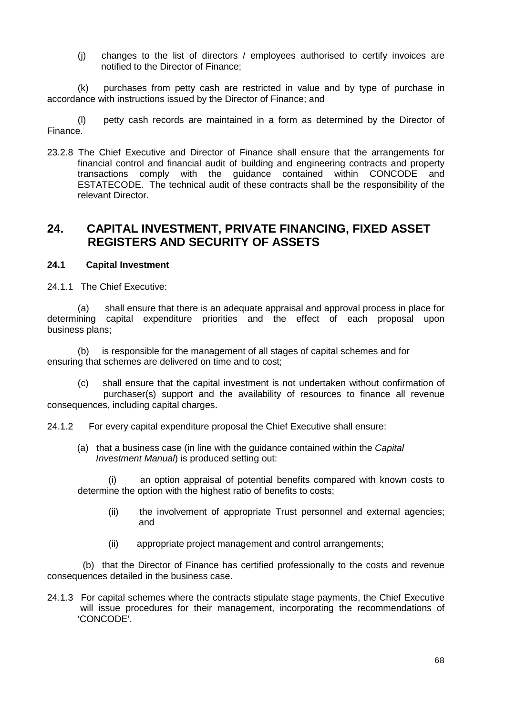(j) changes to the list of directors / employees authorised to certify invoices are notified to the Director of Finance;

(k) purchases from petty cash are restricted in value and by type of purchase in accordance with instructions issued by the Director of Finance; and

(l) petty cash records are maintained in a form as determined by the Director of Finance.

23.2.8 The Chief Executive and Director of Finance shall ensure that the arrangements for financial control and financial audit of building and engineering contracts and property transactions comply with the guidance contained within CONCODE and ESTATECODE. The technical audit of these contracts shall be the responsibility of the relevant Director.

## **24. CAPITAL INVESTMENT, PRIVATE FINANCING, FIXED ASSET REGISTERS AND SECURITY OF ASSETS**

## **24.1 Capital Investment**

24.1.1 The Chief Executive:

(a) shall ensure that there is an adequate appraisal and approval process in place for determining capital expenditure priorities and the effect of each proposal upon business plans;

(b) is responsible for the management of all stages of capital schemes and for ensuring that schemes are delivered on time and to cost;

(c) shall ensure that the capital investment is not undertaken without confirmation of purchaser(s) support and the availability of resources to finance all revenue consequences, including capital charges.

24.1.2 For every capital expenditure proposal the Chief Executive shall ensure:

(a) that a business case (in line with the guidance contained within the *Capital Investment Manual*) is produced setting out:

(i) an option appraisal of potential benefits compared with known costs to determine the option with the highest ratio of benefits to costs;

- (ii) the involvement of appropriate Trust personnel and external agencies; and
- (ii) appropriate project management and control arrangements;

 (b) that the Director of Finance has certified professionally to the costs and revenue consequences detailed in the business case.

24.1.3 For capital schemes where the contracts stipulate stage payments, the Chief Executive will issue procedures for their management, incorporating the recommendations of 'CONCODE'.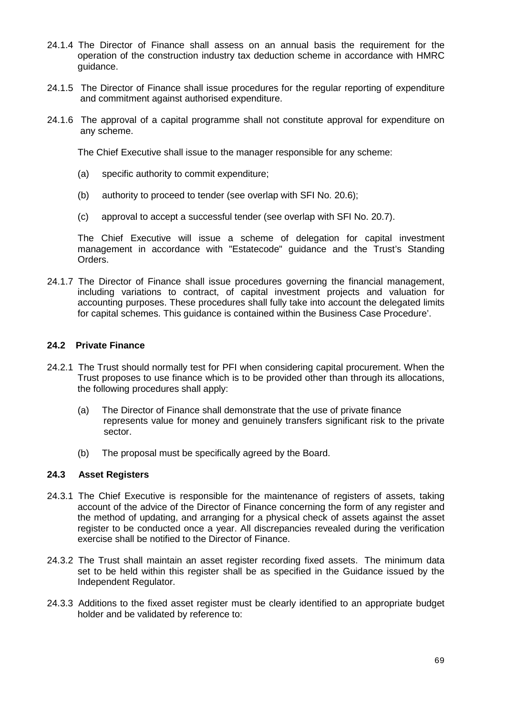- 24.1.4 The Director of Finance shall assess on an annual basis the requirement for the operation of the construction industry tax deduction scheme in accordance with HMRC guidance.
- 24.1.5 The Director of Finance shall issue procedures for the regular reporting of expenditure and commitment against authorised expenditure.
- 24.1.6 The approval of a capital programme shall not constitute approval for expenditure on any scheme.

The Chief Executive shall issue to the manager responsible for any scheme:

- (a) specific authority to commit expenditure;
- (b) authority to proceed to tender (see overlap with SFI No. 20.6);
- (c) approval to accept a successful tender (see overlap with SFI No. 20.7).

The Chief Executive will issue a scheme of delegation for capital investment management in accordance with "Estatecode" guidance and the Trust's Standing Orders.

24.1.7 The Director of Finance shall issue procedures governing the financial management, including variations to contract, of capital investment projects and valuation for accounting purposes. These procedures shall fully take into account the delegated limits for capital schemes. This guidance is contained within the Business Case Procedure'.

### **24.2 Private Finance**

- 24.2.1 The Trust should normally test for PFI when considering capital procurement. When the Trust proposes to use finance which is to be provided other than through its allocations, the following procedures shall apply:
	- (a) The Director of Finance shall demonstrate that the use of private finance represents value for money and genuinely transfers significant risk to the private sector.
	- (b) The proposal must be specifically agreed by the Board.

#### **24.3 Asset Registers**

- 24.3.1 The Chief Executive is responsible for the maintenance of registers of assets, taking account of the advice of the Director of Finance concerning the form of any register and the method of updating, and arranging for a physical check of assets against the asset register to be conducted once a year. All discrepancies revealed during the verification exercise shall be notified to the Director of Finance.
- 24.3.2 The Trust shall maintain an asset register recording fixed assets. The minimum data set to be held within this register shall be as specified in the Guidance issued by the Independent Regulator.
- 24.3.3 Additions to the fixed asset register must be clearly identified to an appropriate budget holder and be validated by reference to: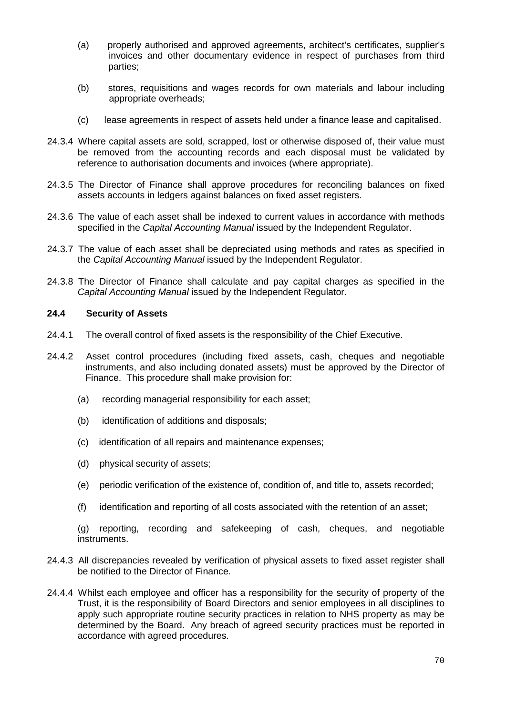- (a) properly authorised and approved agreements, architect's certificates, supplier's invoices and other documentary evidence in respect of purchases from third parties;
- (b) stores, requisitions and wages records for own materials and labour including appropriate overheads;
- (c) lease agreements in respect of assets held under a finance lease and capitalised.
- 24.3.4 Where capital assets are sold, scrapped, lost or otherwise disposed of, their value must be removed from the accounting records and each disposal must be validated by reference to authorisation documents and invoices (where appropriate).
- 24.3.5 The Director of Finance shall approve procedures for reconciling balances on fixed assets accounts in ledgers against balances on fixed asset registers.
- 24.3.6 The value of each asset shall be indexed to current values in accordance with methods specified in the *Capital Accounting Manual* issued by the Independent Regulator.
- 24.3.7 The value of each asset shall be depreciated using methods and rates as specified in the *Capital Accounting Manual* issued by the Independent Regulator.
- 24.3.8 The Director of Finance shall calculate and pay capital charges as specified in the *Capital Accounting Manual* issued by the Independent Regulator.

## **24.4 Security of Assets**

- 24.4.1 The overall control of fixed assets is the responsibility of the Chief Executive.
- 24.4.2 Asset control procedures (including fixed assets, cash, cheques and negotiable instruments, and also including donated assets) must be approved by the Director of Finance. This procedure shall make provision for:
	- (a) recording managerial responsibility for each asset;
	- (b) identification of additions and disposals;
	- (c) identification of all repairs and maintenance expenses;
	- (d) physical security of assets;
	- (e) periodic verification of the existence of, condition of, and title to, assets recorded;
	- (f) identification and reporting of all costs associated with the retention of an asset;

(g) reporting, recording and safekeeping of cash, cheques, and negotiable instruments.

- 24.4.3 All discrepancies revealed by verification of physical assets to fixed asset register shall be notified to the Director of Finance.
- 24.4.4 Whilst each employee and officer has a responsibility for the security of property of the Trust, it is the responsibility of Board Directors and senior employees in all disciplines to apply such appropriate routine security practices in relation to NHS property as may be determined by the Board. Any breach of agreed security practices must be reported in accordance with agreed procedures.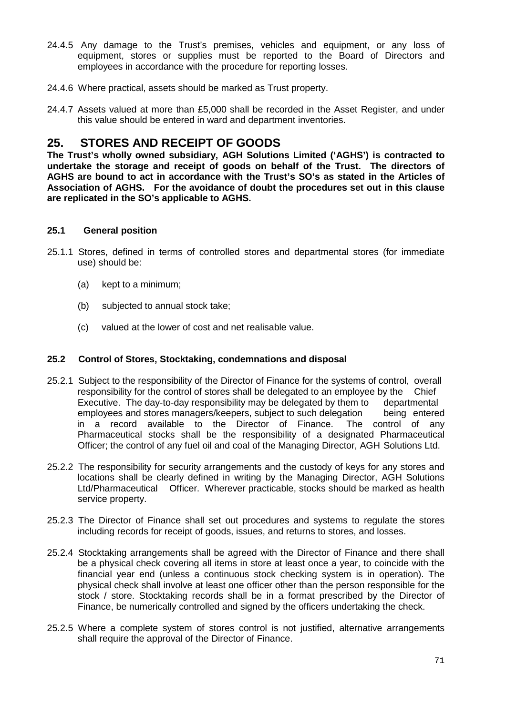- 24.4.5 Any damage to the Trust's premises, vehicles and equipment, or any loss of equipment, stores or supplies must be reported to the Board of Directors and employees in accordance with the procedure for reporting losses.
- 24.4.6 Where practical, assets should be marked as Trust property.
- 24.4.7 Assets valued at more than £5,000 shall be recorded in the Asset Register, and under this value should be entered in ward and department inventories.

# **25. STORES AND RECEIPT OF GOODS**

**The Trust's wholly owned subsidiary, AGH Solutions Limited ('AGHS') is contracted to undertake the storage and receipt of goods on behalf of the Trust. The directors of AGHS are bound to act in accordance with the Trust's SO's as stated in the Articles of Association of AGHS. For the avoidance of doubt the procedures set out in this clause are replicated in the SO's applicable to AGHS.**

## **25.1 General position**

- 25.1.1 Stores, defined in terms of controlled stores and departmental stores (for immediate use) should be:
	- (a) kept to a minimum;
	- (b) subjected to annual stock take;
	- (c) valued at the lower of cost and net realisable value.

## **25.2 Control of Stores, Stocktaking, condemnations and disposal**

- 25.2.1 Subject to the responsibility of the Director of Finance for the systems of control, overall responsibility for the control of stores shall be delegated to an employee by the Chief Executive. The day-to-day responsibility may be delegated by them to departmental employees and stores managers/keepers, subject to such delegation being entered<br>in a record available to the Director of Finance. The control of any in a record available to the Director of Finance. Pharmaceutical stocks shall be the responsibility of a designated Pharmaceutical Officer; the control of any fuel oil and coal of the Managing Director, AGH Solutions Ltd.
- 25.2.2 The responsibility for security arrangements and the custody of keys for any stores and locations shall be clearly defined in writing by the Managing Director, AGH Solutions Ltd/Pharmaceutical Officer. Wherever practicable, stocks should be marked as health service property.
- 25.2.3 The Director of Finance shall set out procedures and systems to regulate the stores including records for receipt of goods, issues, and returns to stores, and losses.
- 25.2.4 Stocktaking arrangements shall be agreed with the Director of Finance and there shall be a physical check covering all items in store at least once a year, to coincide with the financial year end (unless a continuous stock checking system is in operation). The physical check shall involve at least one officer other than the person responsible for the stock / store. Stocktaking records shall be in a format prescribed by the Director of Finance, be numerically controlled and signed by the officers undertaking the check.
- 25.2.5 Where a complete system of stores control is not justified, alternative arrangements shall require the approval of the Director of Finance.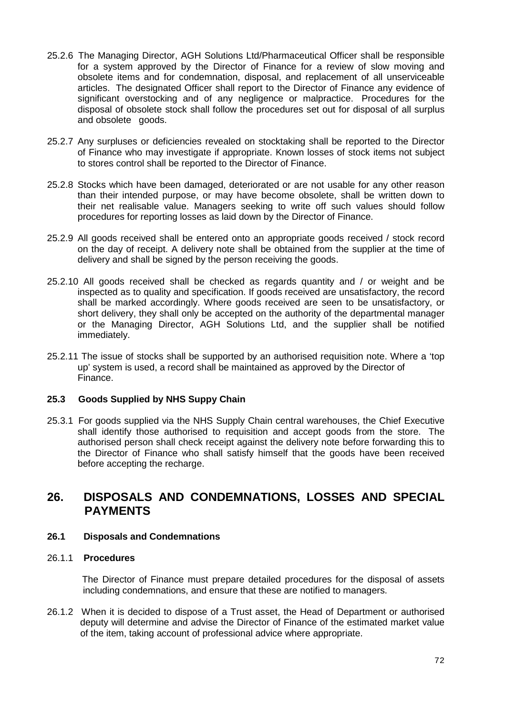- 25.2.6 The Managing Director, AGH Solutions Ltd/Pharmaceutical Officer shall be responsible for a system approved by the Director of Finance for a review of slow moving and obsolete items and for condemnation, disposal, and replacement of all unserviceable articles. The designated Officer shall report to the Director of Finance any evidence of significant overstocking and of any negligence or malpractice. Procedures for the disposal of obsolete stock shall follow the procedures set out for disposal of all surplus and obsolete goods.
- 25.2.7 Any surpluses or deficiencies revealed on stocktaking shall be reported to the Director of Finance who may investigate if appropriate. Known losses of stock items not subject to stores control shall be reported to the Director of Finance.
- 25.2.8 Stocks which have been damaged, deteriorated or are not usable for any other reason than their intended purpose, or may have become obsolete, shall be written down to their net realisable value. Managers seeking to write off such values should follow procedures for reporting losses as laid down by the Director of Finance.
- 25.2.9 All goods received shall be entered onto an appropriate goods received / stock record on the day of receipt. A delivery note shall be obtained from the supplier at the time of delivery and shall be signed by the person receiving the goods.
- 25.2.10 All goods received shall be checked as regards quantity and / or weight and be inspected as to quality and specification. If goods received are unsatisfactory, the record shall be marked accordingly. Where goods received are seen to be unsatisfactory, or short delivery, they shall only be accepted on the authority of the departmental manager or the Managing Director, AGH Solutions Ltd, and the supplier shall be notified immediately.
- 25.2.11 The issue of stocks shall be supported by an authorised requisition note. Where a 'top up' system is used, a record shall be maintained as approved by the Director of Finance.

## **25.3 Goods Supplied by NHS Suppy Chain**

25.3.1 For goods supplied via the NHS Supply Chain central warehouses, the Chief Executive shall identify those authorised to requisition and accept goods from the store. The authorised person shall check receipt against the delivery note before forwarding this to the Director of Finance who shall satisfy himself that the goods have been received before accepting the recharge.

## **26. DISPOSALS AND CONDEMNATIONS, LOSSES AND SPECIAL PAYMENTS**

#### **26.1 Disposals and Condemnations**

#### 26.1.1 **Procedures**

 The Director of Finance must prepare detailed procedures for the disposal of assets including condemnations, and ensure that these are notified to managers.

26.1.2 When it is decided to dispose of a Trust asset, the Head of Department or authorised deputy will determine and advise the Director of Finance of the estimated market value of the item, taking account of professional advice where appropriate.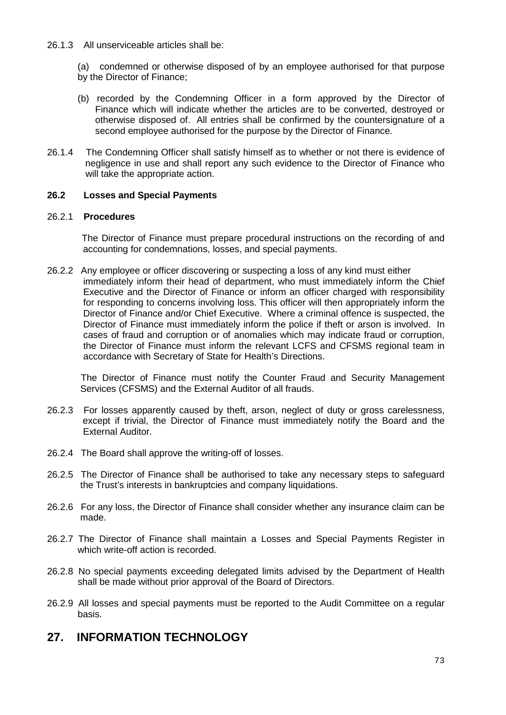26.1.3 All unserviceable articles shall be:

(a) condemned or otherwise disposed of by an employee authorised for that purpose by the Director of Finance;

- (b) recorded by the Condemning Officer in a form approved by the Director of Finance which will indicate whether the articles are to be converted, destroyed or otherwise disposed of. All entries shall be confirmed by the countersignature of a second employee authorised for the purpose by the Director of Finance.
- 26.1.4 The Condemning Officer shall satisfy himself as to whether or not there is evidence of negligence in use and shall report any such evidence to the Director of Finance who will take the appropriate action.

# **26.2 Losses and Special Payments**

## 26.2.1 **Procedures**

 The Director of Finance must prepare procedural instructions on the recording of and accounting for condemnations, losses, and special payments.

26.2.2 Any employee or officer discovering or suspecting a loss of any kind must either immediately inform their head of department, who must immediately inform the Chief Executive and the Director of Finance or inform an officer charged with responsibility for responding to concerns involving loss. This officer will then appropriately inform the Director of Finance and/or Chief Executive. Where a criminal offence is suspected, the Director of Finance must immediately inform the police if theft or arson is involved. In cases of fraud and corruption or of anomalies which may indicate fraud or corruption, the Director of Finance must inform the relevant LCFS and CFSMS regional team in accordance with Secretary of State for Health's Directions.

 The Director of Finance must notify the Counter Fraud and Security Management Services (CFSMS) and the External Auditor of all frauds.

- 26.2.3 For losses apparently caused by theft, arson, neglect of duty or gross carelessness, except if trivial, the Director of Finance must immediately notify the Board and the External Auditor.
- 26.2.4 The Board shall approve the writing-off of losses.
- 26.2.5 The Director of Finance shall be authorised to take any necessary steps to safeguard the Trust's interests in bankruptcies and company liquidations.
- 26.2.6 For any loss, the Director of Finance shall consider whether any insurance claim can be made.
- 26.2.7 The Director of Finance shall maintain a Losses and Special Payments Register in which write-off action is recorded.
- 26.2.8 No special payments exceeding delegated limits advised by the Department of Health shall be made without prior approval of the Board of Directors.
- 26.2.9 All losses and special payments must be reported to the Audit Committee on a regular basis.

# **27. INFORMATION TECHNOLOGY**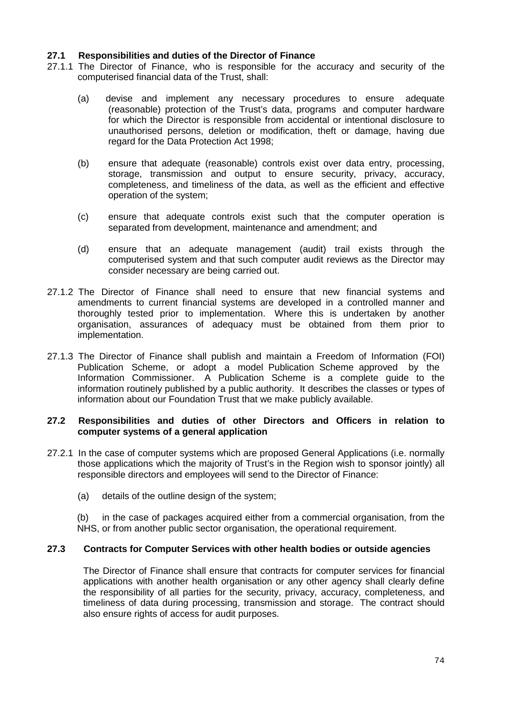#### **27.1 Responsibilities and duties of the Director of Finance**

- 27.1.1 The Director of Finance, who is responsible for the accuracy and security of the computerised financial data of the Trust, shall:
	- (a) devise and implement any necessary procedures to ensure adequate (reasonable) protection of the Trust's data, programs and computer hardware for which the Director is responsible from accidental or intentional disclosure to unauthorised persons, deletion or modification, theft or damage, having due regard for the Data Protection Act 1998;
	- (b) ensure that adequate (reasonable) controls exist over data entry, processing, storage, transmission and output to ensure security, privacy, accuracy, completeness, and timeliness of the data, as well as the efficient and effective operation of the system;
	- (c) ensure that adequate controls exist such that the computer operation is separated from development, maintenance and amendment; and
	- (d) ensure that an adequate management (audit) trail exists through the computerised system and that such computer audit reviews as the Director may consider necessary are being carried out.
- 27.1.2 The Director of Finance shall need to ensure that new financial systems and amendments to current financial systems are developed in a controlled manner and thoroughly tested prior to implementation. Where this is undertaken by another organisation, assurances of adequacy must be obtained from them prior to implementation.
- 27.1.3 The Director of Finance shall publish and maintain a Freedom of Information (FOI) Publication Scheme, or adopt a model Publication Scheme approved by the Information Commissioner. A Publication Scheme is a complete guide to the information routinely published by a public authority. It describes the classes or types of information about our Foundation Trust that we make publicly available.

#### **27.2 Responsibilities and duties of other Directors and Officers in relation to computer systems of a general application**

- 27.2.1 In the case of computer systems which are proposed General Applications (i.e. normally those applications which the majority of Trust's in the Region wish to sponsor jointly) all responsible directors and employees will send to the Director of Finance:
	- (a) details of the outline design of the system;

(b) in the case of packages acquired either from a commercial organisation, from the NHS, or from another public sector organisation, the operational requirement.

## **27.3 Contracts for Computer Services with other health bodies or outside agencies**

The Director of Finance shall ensure that contracts for computer services for financial applications with another health organisation or any other agency shall clearly define the responsibility of all parties for the security, privacy, accuracy, completeness, and timeliness of data during processing, transmission and storage. The contract should also ensure rights of access for audit purposes.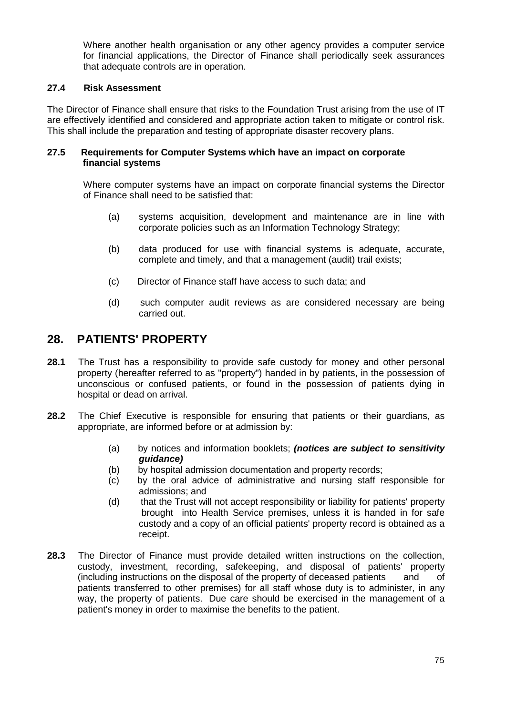Where another health organisation or any other agency provides a computer service for financial applications, the Director of Finance shall periodically seek assurances that adequate controls are in operation.

# **27.4 Risk Assessment**

The Director of Finance shall ensure that risks to the Foundation Trust arising from the use of IT are effectively identified and considered and appropriate action taken to mitigate or control risk. This shall include the preparation and testing of appropriate disaster recovery plans.

#### **27.5 Requirements for Computer Systems which have an impact on corporate financial systems**

Where computer systems have an impact on corporate financial systems the Director of Finance shall need to be satisfied that:

- (a) systems acquisition, development and maintenance are in line with corporate policies such as an Information Technology Strategy;
- (b) data produced for use with financial systems is adequate, accurate, complete and timely, and that a management (audit) trail exists;
- (c) Director of Finance staff have access to such data; and
- (d) such computer audit reviews as are considered necessary are being carried out.

# **28. PATIENTS' PROPERTY**

- **28.1** The Trust has a responsibility to provide safe custody for money and other personal property (hereafter referred to as "property") handed in by patients, in the possession of unconscious or confused patients, or found in the possession of patients dying in hospital or dead on arrival.
- **28.2** The Chief Executive is responsible for ensuring that patients or their guardians, as appropriate, are informed before or at admission by:
	- (a) by notices and information booklets; *(notices are subject to sensitivity guidance)*
	- (b) by hospital admission documentation and property records;
	- (c) by the oral advice of administrative and nursing staff responsible for admissions; and
	- (d) that the Trust will not accept responsibility or liability for patients' property brought into Health Service premises, unless it is handed in for safe custody and a copy of an official patients' property record is obtained as a receipt.
- **28.3** The Director of Finance must provide detailed written instructions on the collection, custody, investment, recording, safekeeping, and disposal of patients' property (including instructions on the disposal of the property of deceased patients and of (including instructions on the disposal of the property of deceased patients and of patients transferred to other premises) for all staff whose duty is to administer, in any way, the property of patients. Due care should be exercised in the management of a patient's money in order to maximise the benefits to the patient.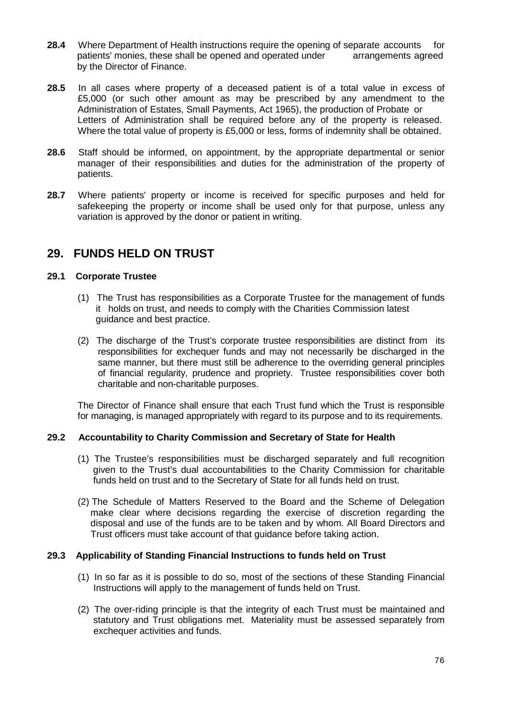- **28.4** Where Department of Health instructions require the opening of separate accounts for patients' monies, these shall be opened and operated under arrangements agreed by the Director of Finance.
- **28.5** In all cases where property of a deceased patient is of a total value in excess of £5,000 (or such other amount as may be prescribed by any amendment to the Administration of Estates, Small Payments, Act 1965), the production of Probate or Letters of Administration shall be required before any of the property is released. Where the total value of property is £5,000 or less, forms of indemnity shall be obtained.
- **28.6** Staff should be informed, on appointment, by the appropriate departmental or senior manager of their responsibilities and duties for the administration of the property of patients.
- **28.7** Where patients' property or income is received for specific purposes and held for safekeeping the property or income shall be used only for that purpose, unless any variation is approved by the donor or patient in writing.

# **29. FUNDS HELD ON TRUST**

## **29.1 Corporate Trustee**

- (1) The Trust has responsibilities as a Corporate Trustee for the management of funds it holds on trust, and needs to comply with the Charities Commission latest guidance and best practice.
- (2) The discharge of the Trust's corporate trustee responsibilities are distinct from its responsibilities for exchequer funds and may not necessarily be discharged in the same manner, but there must still be adherence to the overriding general principles of financial regularity, prudence and propriety. Trustee responsibilities cover both charitable and non-charitable purposes.

The Director of Finance shall ensure that each Trust fund which the Trust is responsible for managing, is managed appropriately with regard to its purpose and to its requirements.

## **29.2 Accountability to Charity Commission and Secretary of State for Health**

- (1) The Trustee's responsibilities must be discharged separately and full recognition given to the Trust's dual accountabilities to the Charity Commission for charitable funds held on trust and to the Secretary of State for all funds held on trust.
- (2) The Schedule of Matters Reserved to the Board and the Scheme of Delegation make clear where decisions regarding the exercise of discretion regarding the disposal and use of the funds are to be taken and by whom. All Board Directors and Trust officers must take account of that guidance before taking action.

## **29.3 Applicability of Standing Financial Instructions to funds held on Trust**

- (1) In so far as it is possible to do so, most of the sections of these Standing Financial Instructions will apply to the management of funds held on Trust.
- (2) The over-riding principle is that the integrity of each Trust must be maintained and statutory and Trust obligations met. Materiality must be assessed separately from exchequer activities and funds.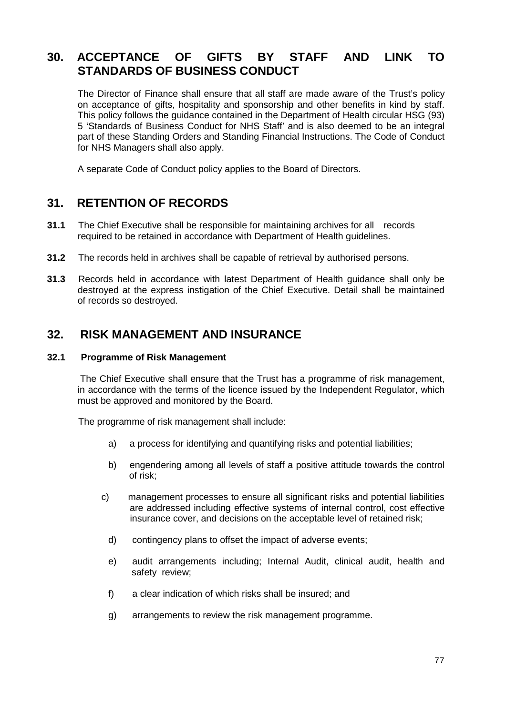# **30. ACCEPTANCE OF GIFTS BY STAFF AND LINK TO STANDARDS OF BUSINESS CONDUCT**

The Director of Finance shall ensure that all staff are made aware of the Trust's policy on acceptance of gifts, hospitality and sponsorship and other benefits in kind by staff. This policy follows the guidance contained in the Department of Health circular HSG (93) 5 'Standards of Business Conduct for NHS Staff' and is also deemed to be an integral part of these Standing Orders and Standing Financial Instructions. The Code of Conduct for NHS Managers shall also apply.

A separate Code of Conduct policy applies to the Board of Directors.

# **31. RETENTION OF RECORDS**

- **31.1** The Chief Executive shall be responsible for maintaining archives for all records required to be retained in accordance with Department of Health guidelines.
- **31.2** The records held in archives shall be capable of retrieval by authorised persons.
- **31.3** Records held in accordance with latest Department of Health guidance shall only be destroyed at the express instigation of the Chief Executive. Detail shall be maintained of records so destroyed.

# **32. RISK MANAGEMENT AND INSURANCE**

# **32.1 Programme of Risk Management**

The Chief Executive shall ensure that the Trust has a programme of risk management, in accordance with the terms of the licence issued by the Independent Regulator, which must be approved and monitored by the Board.

The programme of risk management shall include:

- a) a process for identifying and quantifying risks and potential liabilities;
- b) engendering among all levels of staff a positive attitude towards the control of risk;
- c) management processes to ensure all significant risks and potential liabilities are addressed including effective systems of internal control, cost effective insurance cover, and decisions on the acceptable level of retained risk;
	- d) contingency plans to offset the impact of adverse events;
	- e) audit arrangements including; Internal Audit, clinical audit, health and safety review;
	- f) a clear indication of which risks shall be insured; and
	- g) arrangements to review the risk management programme.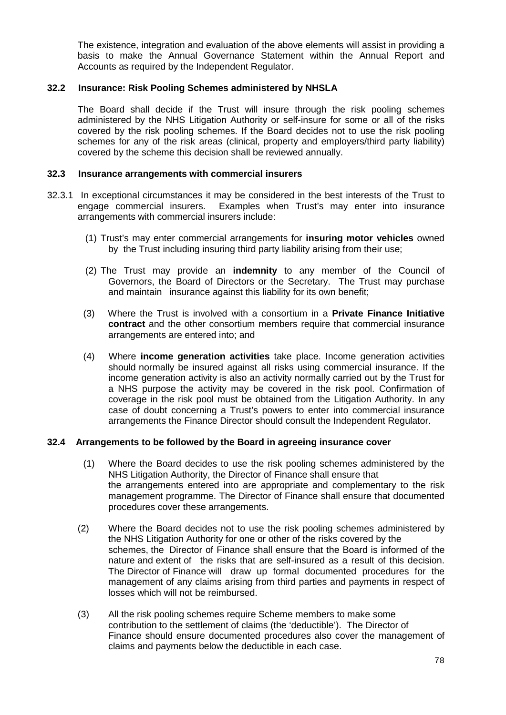The existence, integration and evaluation of the above elements will assist in providing a basis to make the Annual Governance Statement within the Annual Report and Accounts as required by the Independent Regulator.

## **32.2 Insurance: Risk Pooling Schemes administered by NHSLA**

The Board shall decide if the Trust will insure through the risk pooling schemes administered by the NHS Litigation Authority or self-insure for some or all of the risks covered by the risk pooling schemes. If the Board decides not to use the risk pooling schemes for any of the risk areas (clinical, property and employers/third party liability) covered by the scheme this decision shall be reviewed annually.

#### **32.3 Insurance arrangements with commercial insurers**

- 32.3.1 In exceptional circumstances it may be considered in the best interests of the Trust to engage commercial insurers. Examples when Trust's may enter into insurance arrangements with commercial insurers include:
	- (1) Trust's may enter commercial arrangements for **insuring motor vehicles** owned by the Trust including insuring third party liability arising from their use;
	- (2) The Trust may provide an **indemnity** to any member of the Council of Governors, the Board of Directors or the Secretary. The Trust may purchase and maintain insurance against this liability for its own benefit;
	- (3) Where the Trust is involved with a consortium in a **Private Finance Initiative contract** and the other consortium members require that commercial insurance arrangements are entered into; and
	- (4) Where **income generation activities** take place. Income generation activities should normally be insured against all risks using commercial insurance. If the income generation activity is also an activity normally carried out by the Trust for a NHS purpose the activity may be covered in the risk pool. Confirmation of coverage in the risk pool must be obtained from the Litigation Authority. In any case of doubt concerning a Trust's powers to enter into commercial insurance arrangements the Finance Director should consult the Independent Regulator.

## **32.4 Arrangements to be followed by the Board in agreeing insurance cover**

- (1) Where the Board decides to use the risk pooling schemes administered by the NHS Litigation Authority, the Director of Finance shall ensure that the arrangements entered into are appropriate and complementary to the risk management programme. The Director of Finance shall ensure that documented procedures cover these arrangements.
- (2) Where the Board decides not to use the risk pooling schemes administered by the NHS Litigation Authority for one or other of the risks covered by the schemes, the Director of Finance shall ensure that the Board is informed of the nature and extent of the risks that are self-insured as a result of this decision. The Director of Finance will draw up formal documented procedures for the management of any claims arising from third parties and payments in respect of losses which will not be reimbursed.
- (3) All the risk pooling schemes require Scheme members to make some contribution to the settlement of claims (the 'deductible'). The Director of Finance should ensure documented procedures also cover the management of claims and payments below the deductible in each case.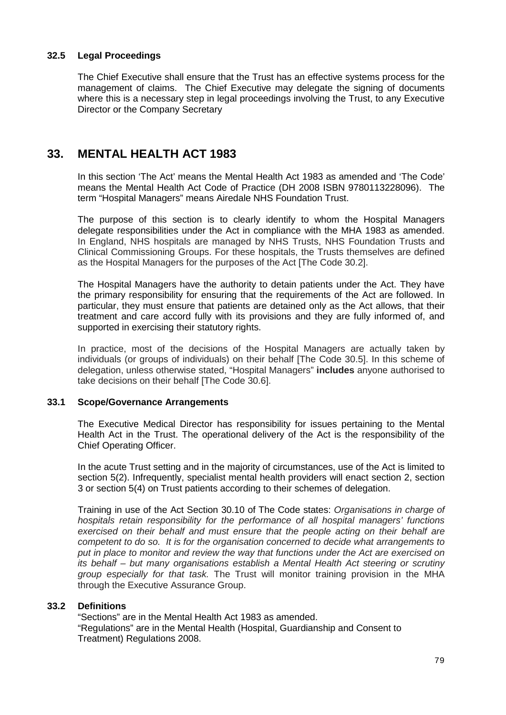# **32.5 Legal Proceedings**

The Chief Executive shall ensure that the Trust has an effective systems process for the management of claims. The Chief Executive may delegate the signing of documents where this is a necessary step in legal proceedings involving the Trust, to any Executive Director or the Company Secretary

# **33. MENTAL HEALTH ACT 1983**

In this section 'The Act' means the Mental Health Act 1983 as amended and 'The Code' means the Mental Health Act Code of Practice (DH 2008 ISBN 9780113228096). The term "Hospital Managers" means Airedale NHS Foundation Trust.

The purpose of this section is to clearly identify to whom the Hospital Managers delegate responsibilities under the Act in compliance with the MHA 1983 as amended. In England, NHS hospitals are managed by NHS Trusts, NHS Foundation Trusts and Clinical Commissioning Groups. For these hospitals, the Trusts themselves are defined as the Hospital Managers for the purposes of the Act [The Code 30.2].

The Hospital Managers have the authority to detain patients under the Act. They have the primary responsibility for ensuring that the requirements of the Act are followed. In particular, they must ensure that patients are detained only as the Act allows, that their treatment and care accord fully with its provisions and they are fully informed of, and supported in exercising their statutory rights.

In practice, most of the decisions of the Hospital Managers are actually taken by individuals (or groups of individuals) on their behalf [The Code 30.5]. In this scheme of delegation, unless otherwise stated, "Hospital Managers" **includes** anyone authorised to take decisions on their behalf [The Code 30.6].

## **33.1 Scope/Governance Arrangements**

The Executive Medical Director has responsibility for issues pertaining to the Mental Health Act in the Trust. The operational delivery of the Act is the responsibility of the Chief Operating Officer.

In the acute Trust setting and in the majority of circumstances, use of the Act is limited to section 5(2). Infrequently, specialist mental health providers will enact section 2, section 3 or section 5(4) on Trust patients according to their schemes of delegation.

Training in use of the Act Section 30.10 of The Code states: *Organisations in charge of hospitals retain responsibility for the performance of all hospital managers' functions exercised on their behalf and must ensure that the people acting on their behalf are competent to do so. It is for the organisation concerned to decide what arrangements to put in place to monitor and review the way that functions under the Act are exercised on its behalf – but many organisations establish a Mental Health Act steering or scrutiny group especially for that task.* The Trust will monitor training provision in the MHA through the Executive Assurance Group.

# **33.2 Definitions**

"Sections" are in the Mental Health Act 1983 as amended. "Regulations" are in the Mental Health (Hospital, Guardianship and Consent to Treatment) Regulations 2008.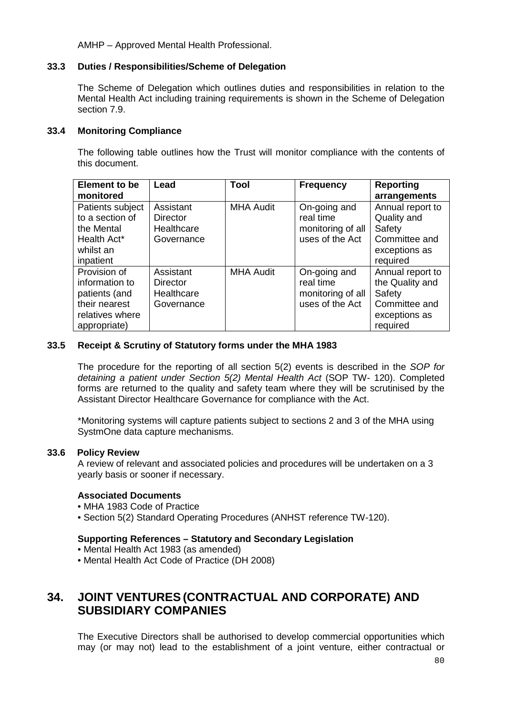AMHP – Approved Mental Health Professional.

## **33.3 Duties / Responsibilities/Scheme of Delegation**

The Scheme of Delegation which outlines duties and responsibilities in relation to the Mental Health Act including training requirements is shown in the Scheme of Delegation section 7.9.

#### **33.4 Monitoring Compliance**

The following table outlines how the Trust will monitor compliance with the contents of this document.

| <b>Element to be</b><br>monitored                                                                   | Lead                                                     | <b>Tool</b>      | <b>Frequency</b>                                                  | <b>Reporting</b><br>arrangements                                                            |
|-----------------------------------------------------------------------------------------------------|----------------------------------------------------------|------------------|-------------------------------------------------------------------|---------------------------------------------------------------------------------------------|
| Patients subject<br>to a section of<br>the Mental<br>Health Act*<br>whilst an<br>inpatient          | Assistant<br><b>Director</b><br>Healthcare<br>Governance | <b>MHA Audit</b> | On-going and<br>real time<br>monitoring of all<br>uses of the Act | Annual report to<br>Quality and<br>Safety<br>Committee and<br>exceptions as<br>required     |
| Provision of<br>information to<br>patients (and<br>their nearest<br>relatives where<br>appropriate) | Assistant<br><b>Director</b><br>Healthcare<br>Governance | <b>MHA Audit</b> | On-going and<br>real time<br>monitoring of all<br>uses of the Act | Annual report to<br>the Quality and<br>Safety<br>Committee and<br>exceptions as<br>required |

## **33.5 Receipt & Scrutiny of Statutory forms under the MHA 1983**

The procedure for the reporting of all section 5(2) events is described in the *SOP for detaining a patient under Section 5(2) Mental Health Act* (SOP TW- 120). Completed forms are returned to the quality and safety team where they will be scrutinised by the Assistant Director Healthcare Governance for compliance with the Act.

\*Monitoring systems will capture patients subject to sections 2 and 3 of the MHA using SystmOne data capture mechanisms.

#### **33.6 Policy Review**

A review of relevant and associated policies and procedures will be undertaken on a 3 yearly basis or sooner if necessary.

#### **Associated Documents**

- MHA 1983 Code of Practice
- Section 5(2) Standard Operating Procedures (ANHST reference TW-120).

#### **Supporting References – Statutory and Secondary Legislation**

- Mental Health Act 1983 (as amended)
- Mental Health Act Code of Practice (DH 2008)

# **34. JOINT VENTURES (CONTRACTUAL AND CORPORATE) AND SUBSIDIARY COMPANIES**

The Executive Directors shall be authorised to develop commercial opportunities which may (or may not) lead to the establishment of a joint venture, either contractual or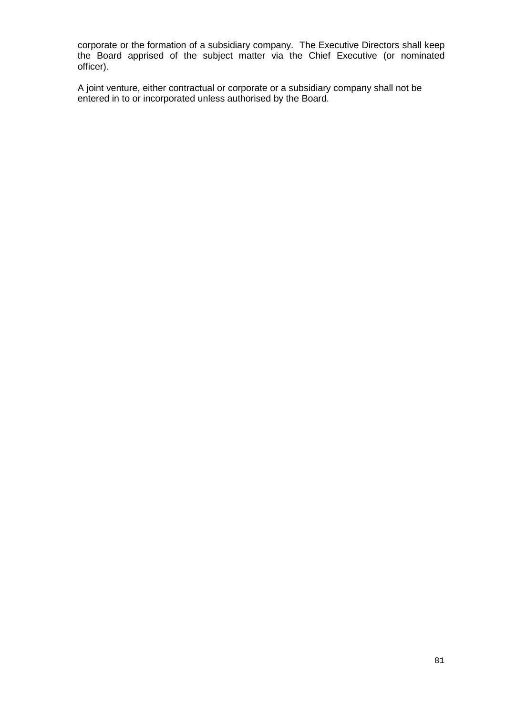corporate or the formation of a subsidiary company. The Executive Directors shall keep the Board apprised of the subject matter via the Chief Executive (or nominated officer).

A joint venture, either contractual or corporate or a subsidiary company shall not be entered in to or incorporated unless authorised by the Board.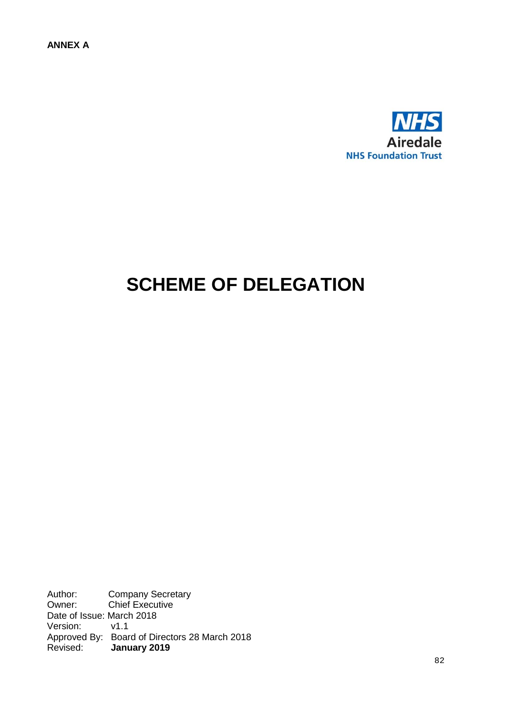

# **SCHEME OF DELEGATION**

Author: Company Secretary<br>
Owner: Chief Executive Chief Executive Date of Issue: March 2018 Version: v1.1 Approved By: Board of Directors 28 March 2018 Revised: **January 2019**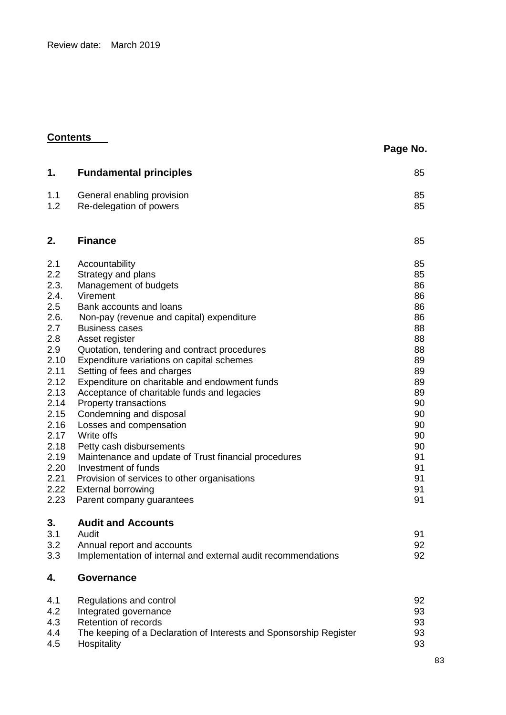Review date: March 2019

# **Contents**

| Page No. |  |
|----------|--|
|----------|--|

| 1.          | <b>Fundamental principles</b>                                                               | 85       |
|-------------|---------------------------------------------------------------------------------------------|----------|
|             |                                                                                             |          |
| 1.1         | General enabling provision                                                                  | 85       |
| 1.2         | Re-delegation of powers                                                                     | 85       |
| 2.          | <b>Finance</b>                                                                              | 85       |
| 2.1         | Accountability                                                                              | 85       |
| 2.2         | Strategy and plans                                                                          | 85       |
| 2.3.        | Management of budgets                                                                       | 86       |
| 2.4.        | Virement                                                                                    | 86       |
| 2.5         | Bank accounts and loans                                                                     | 86       |
| 2.6.        | Non-pay (revenue and capital) expenditure                                                   | 86       |
| 2.7         | <b>Business cases</b>                                                                       | 88       |
| 2.8         | Asset register                                                                              | 88       |
| 2.9<br>2.10 | Quotation, tendering and contract procedures                                                | 88<br>89 |
| 2.11        | Expenditure variations on capital schemes<br>Setting of fees and charges                    | 89       |
| 2.12        | Expenditure on charitable and endowment funds                                               | 89       |
| 2.13        | Acceptance of charitable funds and legacies                                                 | 89       |
| 2.14        | <b>Property transactions</b>                                                                | 90       |
| 2.15        | Condemning and disposal                                                                     | 90       |
| 2.16        | Losses and compensation                                                                     | 90       |
| 2.17        | Write offs                                                                                  | 90       |
| 2.18        | Petty cash disbursements                                                                    | 90       |
| 2.19        | Maintenance and update of Trust financial procedures                                        | 91       |
| 2.20        | Investment of funds                                                                         | 91       |
| 2.21        | Provision of services to other organisations                                                | 91       |
| 2.22        | <b>External borrowing</b>                                                                   | 91       |
| 2.23        | Parent company guarantees                                                                   | 91       |
| 3.          | <b>Audit and Accounts</b>                                                                   |          |
| 3.1         | Audit                                                                                       | 91       |
| 3.2<br>3.3  | Annual report and accounts<br>Implementation of internal and external audit recommendations | 92<br>92 |
| 4.          | <b>Governance</b>                                                                           |          |
|             |                                                                                             |          |
| 4.1         | Regulations and control                                                                     | 92       |
| 4.2<br>4.3  | Integrated governance<br>Retention of records                                               | 93       |
| 4.4         | The keeping of a Declaration of Interests and Sponsorship Register                          | 93<br>93 |
| 4.5         | Hospitality                                                                                 | 93       |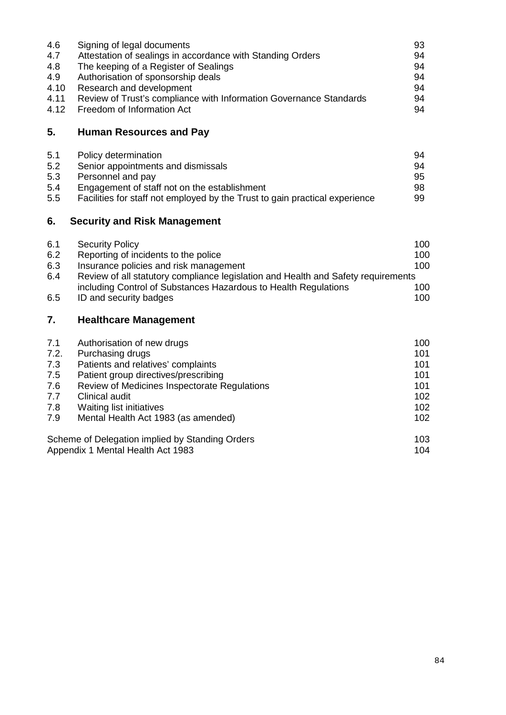| 4.6  | Signing of legal documents                                         | 93 |
|------|--------------------------------------------------------------------|----|
| 4.7  | Attestation of sealings in accordance with Standing Orders         | 94 |
| 4.8  | The keeping of a Register of Sealings                              | 94 |
| 4.9  | Authorisation of sponsorship deals                                 | 94 |
| 4.10 | Research and development                                           | 94 |
| 4.11 | Review of Trust's compliance with Information Governance Standards | 94 |
|      | 4.12 Freedom of Information Act                                    | 94 |
|      |                                                                    |    |

# **5. Human Resources and Pay**

| 5.1 | Policy determination                                                        | 94 |
|-----|-----------------------------------------------------------------------------|----|
| 5.2 | Senior appointments and dismissals                                          | 94 |
| 5.3 | Personnel and pay                                                           | 95 |
| 5.4 | Engagement of staff not on the establishment                                | 98 |
| 5.5 | Facilities for staff not employed by the Trust to gain practical experience | 99 |

# **6. Security and Risk Management**

| <b>Security Policy</b>                                          | 100                                                                               |
|-----------------------------------------------------------------|-----------------------------------------------------------------------------------|
| Reporting of incidents to the police                            | 100                                                                               |
| Insurance policies and risk management                          | 100                                                                               |
|                                                                 |                                                                                   |
| including Control of Substances Hazardous to Health Regulations | 100                                                                               |
| ID and security badges                                          | 100                                                                               |
|                                                                 | Review of all statutory compliance legislation and Health and Safety requirements |

# **7. Healthcare Management**

| 7.1  | Authorisation of new drugs                      | 100 |
|------|-------------------------------------------------|-----|
| 7.2. | Purchasing drugs                                | 101 |
| 7.3  | Patients and relatives' complaints              | 101 |
| 7.5  | Patient group directives/prescribing            | 101 |
| 7.6  | Review of Medicines Inspectorate Regulations    | 101 |
| 7.7  | Clinical audit                                  | 102 |
| 7.8  | <b>Waiting list initiatives</b>                 | 102 |
| 7.9  | Mental Health Act 1983 (as amended)             | 102 |
|      | Scheme of Delegation implied by Standing Orders | 103 |
|      | Appendix 1 Mental Health Act 1983               | 104 |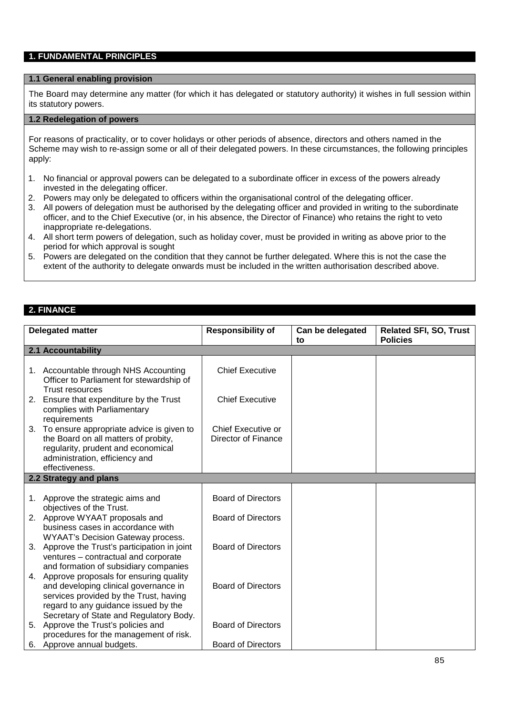# **1. FUNDAMENTAL PRINCIPLES**

#### **1.1 General enabling provision**

The Board may determine any matter (for which it has delegated or statutory authority) it wishes in full session within its statutory powers.

#### **1.2 Redelegation of powers**

For reasons of practicality, or to cover holidays or other periods of absence, directors and others named in the Scheme may wish to re-assign some or all of their delegated powers. In these circumstances, the following principles apply:

- 1. No financial or approval powers can be delegated to a subordinate officer in excess of the powers already invested in the delegating officer.
- 2. Powers may only be delegated to officers within the organisational control of the delegating officer.
- 3. All powers of delegation must be authorised by the delegating officer and provided in writing to the subordinate officer, and to the Chief Executive (or, in his absence, the Director of Finance) who retains the right to veto inappropriate re-delegations.
- 4. All short term powers of delegation, such as holiday cover, must be provided in writing as above prior to the period for which approval is sought
- 5. Powers are delegated on the condition that they cannot be further delegated. Where this is not the case the extent of the authority to delegate onwards must be included in the written authorisation described above.

#### **2. FINANCE**

|    | <b>Responsibility of</b><br><b>Delegated matter</b><br>Can be delegated<br><b>Related SFI, SO, Trust</b> |                           |    |                 |
|----|----------------------------------------------------------------------------------------------------------|---------------------------|----|-----------------|
|    |                                                                                                          |                           | to | <b>Policies</b> |
|    | 2.1 Accountability                                                                                       |                           |    |                 |
|    |                                                                                                          |                           |    |                 |
|    | 1. Accountable through NHS Accounting                                                                    | <b>Chief Executive</b>    |    |                 |
|    | Officer to Parliament for stewardship of                                                                 |                           |    |                 |
|    | <b>Trust resources</b>                                                                                   |                           |    |                 |
| 2. | Ensure that expenditure by the Trust                                                                     | <b>Chief Executive</b>    |    |                 |
|    | complies with Parliamentary<br>requirements                                                              |                           |    |                 |
|    | 3. To ensure appropriate advice is given to                                                              | Chief Executive or        |    |                 |
|    | the Board on all matters of probity,                                                                     | Director of Finance       |    |                 |
|    | regularity, prudent and economical                                                                       |                           |    |                 |
|    | administration, efficiency and                                                                           |                           |    |                 |
|    | effectiveness.                                                                                           |                           |    |                 |
|    | 2.2 Strategy and plans                                                                                   |                           |    |                 |
|    |                                                                                                          |                           |    |                 |
|    | 1. Approve the strategic aims and                                                                        | <b>Board of Directors</b> |    |                 |
|    | objectives of the Trust.                                                                                 |                           |    |                 |
|    | 2. Approve WYAAT proposals and                                                                           | <b>Board of Directors</b> |    |                 |
|    | business cases in accordance with                                                                        |                           |    |                 |
| 3. | <b>WYAAT's Decision Gateway process.</b><br>Approve the Trust's participation in joint                   | <b>Board of Directors</b> |    |                 |
|    | ventures - contractual and corporate                                                                     |                           |    |                 |
|    | and formation of subsidiary companies                                                                    |                           |    |                 |
|    | 4. Approve proposals for ensuring quality                                                                |                           |    |                 |
|    | and developing clinical governance in                                                                    | <b>Board of Directors</b> |    |                 |
|    | services provided by the Trust, having                                                                   |                           |    |                 |
|    | regard to any guidance issued by the                                                                     |                           |    |                 |
|    | Secretary of State and Regulatory Body.                                                                  |                           |    |                 |
| 5. | Approve the Trust's policies and                                                                         | <b>Board of Directors</b> |    |                 |
|    | procedures for the management of risk.                                                                   |                           |    |                 |
|    | 6. Approve annual budgets.                                                                               | <b>Board of Directors</b> |    |                 |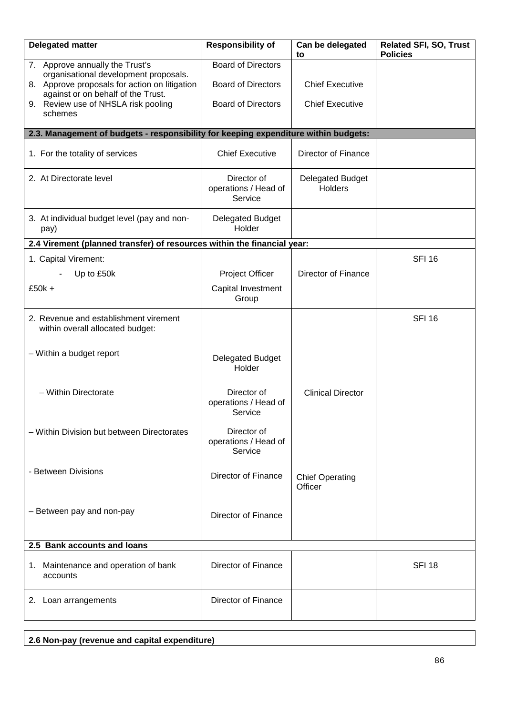| <b>Delegated matter</b>                                                             | <b>Responsibility of</b>                       | Can be delegated<br>to             | <b>Related SFI, SO, Trust</b><br><b>Policies</b> |
|-------------------------------------------------------------------------------------|------------------------------------------------|------------------------------------|--------------------------------------------------|
| 7. Approve annually the Trust's<br>organisational development proposals.            | <b>Board of Directors</b>                      |                                    |                                                  |
| 8. Approve proposals for action on litigation<br>against or on behalf of the Trust. | <b>Board of Directors</b>                      | <b>Chief Executive</b>             |                                                  |
| 9. Review use of NHSLA risk pooling<br>schemes                                      | <b>Board of Directors</b>                      | <b>Chief Executive</b>             |                                                  |
| 2.3. Management of budgets - responsibility for keeping expenditure within budgets: |                                                |                                    |                                                  |
|                                                                                     |                                                |                                    |                                                  |
| 1. For the totality of services                                                     | <b>Chief Executive</b>                         | Director of Finance                |                                                  |
| 2. At Directorate level                                                             | Director of<br>operations / Head of<br>Service | <b>Delegated Budget</b><br>Holders |                                                  |
| 3. At individual budget level (pay and non-<br>pay)                                 | <b>Delegated Budget</b><br>Holder              |                                    |                                                  |
| 2.4 Virement (planned transfer) of resources within the financial year:             |                                                |                                    |                                                  |
| 1. Capital Virement:                                                                |                                                |                                    | <b>SFI 16</b>                                    |
| Up to £50k                                                                          | Project Officer                                | Director of Finance                |                                                  |
| $£50k +$                                                                            | Capital Investment<br>Group                    |                                    |                                                  |
| 2. Revenue and establishment virement<br>within overall allocated budget:           |                                                |                                    | <b>SFI 16</b>                                    |
| - Within a budget report                                                            | Delegated Budget<br>Holder                     |                                    |                                                  |
| - Within Directorate                                                                | Director of<br>operations / Head of<br>Service | <b>Clinical Director</b>           |                                                  |
| - Within Division but between Directorates                                          | Director of<br>operations / Head of<br>Service |                                    |                                                  |
| - Between Divisions                                                                 | Director of Finance                            | <b>Chief Operating</b><br>Officer  |                                                  |
| - Between pay and non-pay                                                           | Director of Finance                            |                                    |                                                  |
| 2.5 Bank accounts and loans                                                         |                                                |                                    |                                                  |
| 1. Maintenance and operation of bank<br>accounts                                    | <b>Director of Finance</b>                     |                                    | <b>SFI 18</b>                                    |
| 2. Loan arrangements                                                                | <b>Director of Finance</b>                     |                                    |                                                  |

|  | 2.6 Non-pay (revenue and capital expenditure) |  |
|--|-----------------------------------------------|--|
|--|-----------------------------------------------|--|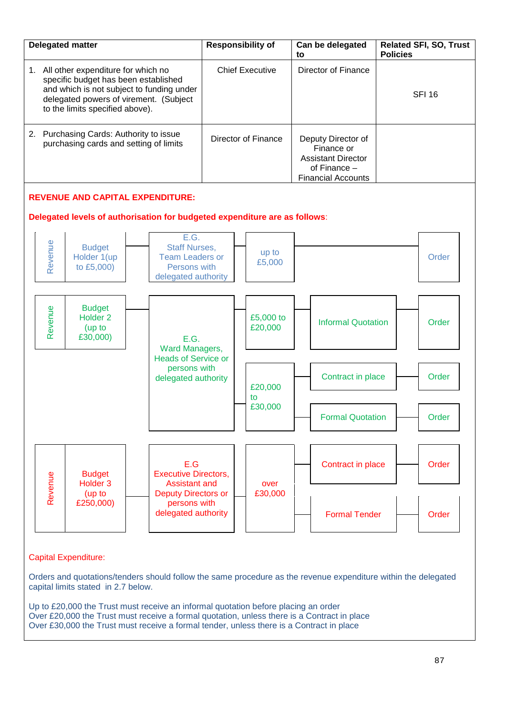

## Capital Expenditure:

Orders and quotations/tenders should follow the same procedure as the revenue expenditure within the delegated capital limits stated in 2.7 below.

Up to £20,000 the Trust must receive an informal quotation before placing an order Over £20,000 the Trust must receive a formal quotation, unless there is a Contract in place Over £30,000 the Trust must receive a formal tender, unless there is a Contract in place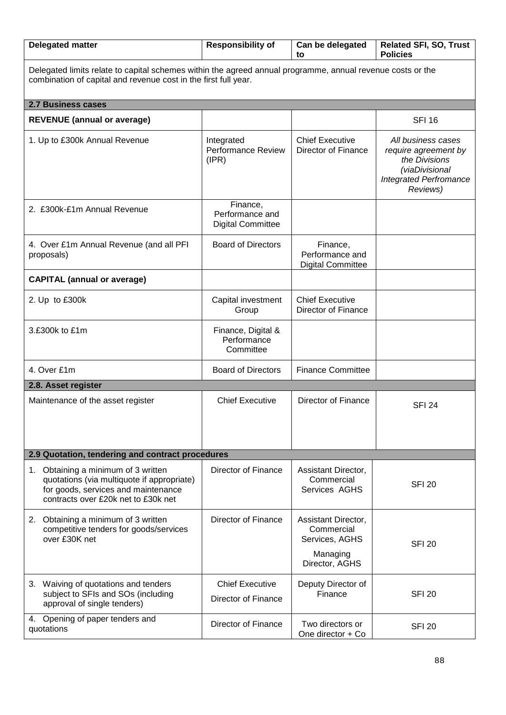| <b>Delegated matter</b>                                                                                                                                                       | <b>Responsibility of</b><br>Can be delegated<br>to      |                                                                                   | <b>Related SFI, SO, Trust</b><br><b>Policies</b>                                                                           |  |  |
|-------------------------------------------------------------------------------------------------------------------------------------------------------------------------------|---------------------------------------------------------|-----------------------------------------------------------------------------------|----------------------------------------------------------------------------------------------------------------------------|--|--|
| Delegated limits relate to capital schemes within the agreed annual programme, annual revenue costs or the<br>combination of capital and revenue cost in the first full year. |                                                         |                                                                                   |                                                                                                                            |  |  |
| <b>2.7 Business cases</b>                                                                                                                                                     |                                                         |                                                                                   |                                                                                                                            |  |  |
| <b>REVENUE</b> (annual or average)                                                                                                                                            |                                                         |                                                                                   | <b>SFI 16</b>                                                                                                              |  |  |
| 1. Up to £300k Annual Revenue                                                                                                                                                 | Integrated<br><b>Performance Review</b><br>(IPR)        | <b>Chief Executive</b><br>Director of Finance                                     | All business cases<br>require agreement by<br>the Divisions<br>(viaDivisional<br><b>Integrated Perfromance</b><br>Reviews) |  |  |
| 2. £300k-£1m Annual Revenue                                                                                                                                                   | Finance,<br>Performance and<br><b>Digital Committee</b> |                                                                                   |                                                                                                                            |  |  |
| 4. Over £1m Annual Revenue (and all PFI<br>proposals)                                                                                                                         | <b>Board of Directors</b>                               | Finance,<br>Performance and<br><b>Digital Committee</b>                           |                                                                                                                            |  |  |
| <b>CAPITAL (annual or average)</b>                                                                                                                                            |                                                         |                                                                                   |                                                                                                                            |  |  |
| 2. Up to £300k                                                                                                                                                                | Capital investment<br>Group                             | <b>Chief Executive</b><br>Director of Finance                                     |                                                                                                                            |  |  |
| 3.£300k to £1m                                                                                                                                                                | Finance, Digital &<br>Performance<br>Committee          |                                                                                   |                                                                                                                            |  |  |
| 4. Over £1m                                                                                                                                                                   | <b>Board of Directors</b>                               | <b>Finance Committee</b>                                                          |                                                                                                                            |  |  |
| 2.8. Asset register                                                                                                                                                           |                                                         |                                                                                   |                                                                                                                            |  |  |
| Maintenance of the asset register                                                                                                                                             | <b>Chief Executive</b>                                  | <b>Director of Finance</b>                                                        | <b>SFI 24</b>                                                                                                              |  |  |
| 2.9 Quotation, tendering and contract procedures                                                                                                                              |                                                         |                                                                                   |                                                                                                                            |  |  |
| 1. Obtaining a minimum of 3 written<br>quotations (via multiquote if appropriate)<br>for goods, services and maintenance<br>contracts over £20k net to £30k net               | Director of Finance                                     | Assistant Director,<br>Commercial<br>Services AGHS                                | <b>SFI 20</b>                                                                                                              |  |  |
| 2. Obtaining a minimum of 3 written<br>competitive tenders for goods/services<br>over £30K net                                                                                | Director of Finance                                     | Assistant Director,<br>Commercial<br>Services, AGHS<br>Managing<br>Director, AGHS | <b>SFI 20</b>                                                                                                              |  |  |
| 3. Waiving of quotations and tenders<br>subject to SFIs and SOs (including<br>approval of single tenders)                                                                     | <b>Chief Executive</b><br>Director of Finance           | Deputy Director of<br>Finance                                                     | <b>SFI 20</b>                                                                                                              |  |  |
| 4. Opening of paper tenders and<br>quotations                                                                                                                                 | Director of Finance                                     | Two directors or<br>One director + Co                                             | <b>SFI 20</b>                                                                                                              |  |  |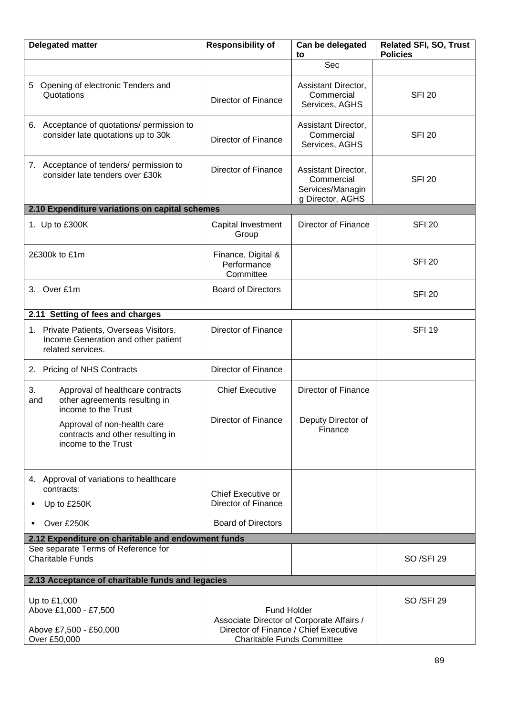| <b>Delegated matter</b>                                                                               | <b>Responsibility of</b>                                                   | Can be delegated<br>to                                                    | <b>Related SFI, SO, Trust</b><br><b>Policies</b> |
|-------------------------------------------------------------------------------------------------------|----------------------------------------------------------------------------|---------------------------------------------------------------------------|--------------------------------------------------|
|                                                                                                       |                                                                            | Sec                                                                       |                                                  |
| Opening of electronic Tenders and<br>5.<br>Quotations                                                 | <b>Director of Finance</b>                                                 | Assistant Director,<br>Commercial<br>Services, AGHS                       | <b>SFI 20</b>                                    |
| 6. Acceptance of quotations/ permission to<br>consider late quotations up to 30k                      | <b>Director of Finance</b>                                                 | Assistant Director,<br>Commercial<br>Services, AGHS                       | <b>SFI 20</b>                                    |
| 7. Acceptance of tenders/ permission to<br>consider late tenders over £30k                            | Director of Finance                                                        | Assistant Director,<br>Commercial<br>Services/Managin<br>g Director, AGHS | <b>SFI 20</b>                                    |
| 2.10 Expenditure variations on capital schemes                                                        |                                                                            |                                                                           |                                                  |
| 1. Up to £300K                                                                                        | Capital Investment<br>Group                                                | <b>Director of Finance</b>                                                | <b>SFI 20</b>                                    |
| 2£300k to £1m                                                                                         | Finance, Digital &<br>Performance<br>Committee                             |                                                                           | <b>SFI 20</b>                                    |
| 3. Over £1m                                                                                           | <b>Board of Directors</b>                                                  |                                                                           | <b>SFI 20</b>                                    |
| 2.11 Setting of fees and charges                                                                      |                                                                            |                                                                           |                                                  |
| 1. Private Patients, Overseas Visitors.<br>Income Generation and other patient<br>related services.   | Director of Finance                                                        |                                                                           | <b>SFI 19</b>                                    |
| 2. Pricing of NHS Contracts                                                                           | Director of Finance                                                        |                                                                           |                                                  |
| 3.<br>Approval of healthcare contracts<br>other agreements resulting in<br>and<br>income to the Trust | <b>Chief Executive</b>                                                     | <b>Director of Finance</b>                                                |                                                  |
| Approval of non-health care<br>contracts and other resulting in<br>income to the Trust                | Director of Finance                                                        | Deputy Director of<br>Finance                                             |                                                  |
| 4. Approval of variations to healthcare<br>contracts:<br>Up to £250K<br>٠                             | Chief Executive or<br>Director of Finance                                  |                                                                           |                                                  |
| Over £250K<br>٠                                                                                       | <b>Board of Directors</b>                                                  |                                                                           |                                                  |
| 2.12 Expenditure on charitable and endowment funds                                                    |                                                                            |                                                                           |                                                  |
| See separate Terms of Reference for<br><b>Charitable Funds</b>                                        |                                                                            |                                                                           | SO /SFI 29                                       |
| 2.13 Acceptance of charitable funds and legacies                                                      |                                                                            |                                                                           |                                                  |
| Up to £1,000<br>Above £1,000 - £7,500                                                                 | <b>Fund Holder</b><br>Associate Director of Corporate Affairs /            |                                                                           | SO /SFI 29                                       |
| Above £7,500 - £50,000<br>Over £50,000                                                                | Director of Finance / Chief Executive<br><b>Charitable Funds Committee</b> |                                                                           |                                                  |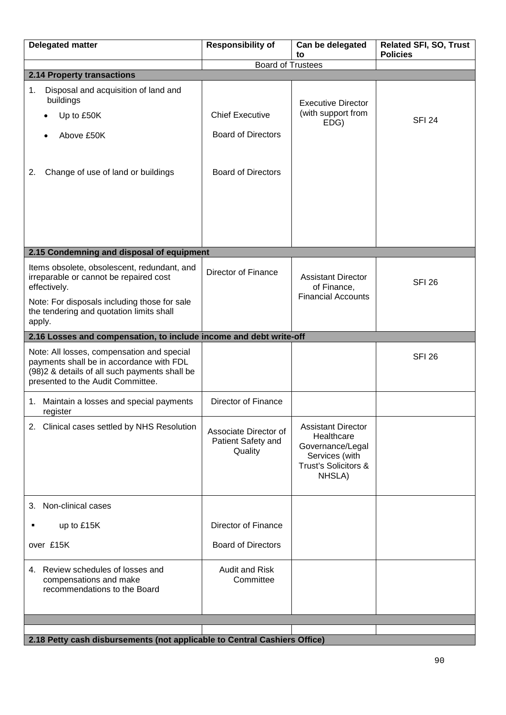| <b>Delegated matter</b>                                                                                                                                                                                     | <b>Responsibility of</b>                               | Can be delegated<br>to                                                                                          | <b>Related SFI, SO, Trust</b><br><b>Policies</b> |
|-------------------------------------------------------------------------------------------------------------------------------------------------------------------------------------------------------------|--------------------------------------------------------|-----------------------------------------------------------------------------------------------------------------|--------------------------------------------------|
|                                                                                                                                                                                                             | <b>Board of Trustees</b>                               |                                                                                                                 |                                                  |
| 2.14 Property transactions                                                                                                                                                                                  |                                                        |                                                                                                                 |                                                  |
| Disposal and acquisition of land and<br>1.<br>buildings<br>Up to £50K                                                                                                                                       | <b>Chief Executive</b>                                 | <b>Executive Director</b><br>(with support from                                                                 | <b>SFI 24</b>                                    |
| Above £50K                                                                                                                                                                                                  | <b>Board of Directors</b>                              | EDG)                                                                                                            |                                                  |
| Change of use of land or buildings<br>2.                                                                                                                                                                    | <b>Board of Directors</b>                              |                                                                                                                 |                                                  |
| 2.15 Condemning and disposal of equipment                                                                                                                                                                   |                                                        |                                                                                                                 |                                                  |
|                                                                                                                                                                                                             |                                                        |                                                                                                                 |                                                  |
| Items obsolete, obsolescent, redundant, and<br>irreparable or cannot be repaired cost<br>effectively.<br>Note: For disposals including those for sale<br>the tendering and quotation limits shall<br>apply. | Director of Finance                                    | <b>Assistant Director</b><br>of Finance,<br><b>Financial Accounts</b>                                           | <b>SFI 26</b>                                    |
| 2.16 Losses and compensation, to include income and debt write-off                                                                                                                                          |                                                        |                                                                                                                 |                                                  |
| Note: All losses, compensation and special<br>payments shall be in accordance with FDL<br>(98)2 & details of all such payments shall be<br>presented to the Audit Committee.                                |                                                        |                                                                                                                 | <b>SFI 26</b>                                    |
| Maintain a losses and special payments<br>1.<br>register                                                                                                                                                    | Director of Finance                                    |                                                                                                                 |                                                  |
| 2. Clinical cases settled by NHS Resolution                                                                                                                                                                 | Associate Director of<br>Patient Safety and<br>Quality | <b>Assistant Director</b><br>Healthcare<br>Governance/Legal<br>Services (with<br>Trust's Solicitors &<br>NHSLA) |                                                  |
| Non-clinical cases<br>3.                                                                                                                                                                                    |                                                        |                                                                                                                 |                                                  |
| up to £15K                                                                                                                                                                                                  | <b>Director of Finance</b>                             |                                                                                                                 |                                                  |
| over £15K                                                                                                                                                                                                   | <b>Board of Directors</b>                              |                                                                                                                 |                                                  |
| 4. Review schedules of losses and<br>compensations and make<br>recommendations to the Board                                                                                                                 | <b>Audit and Risk</b><br>Committee                     |                                                                                                                 |                                                  |
|                                                                                                                                                                                                             |                                                        |                                                                                                                 |                                                  |
| 2.18 Petty cash disbursements (not applicable to Central Cashiers Office)                                                                                                                                   |                                                        |                                                                                                                 |                                                  |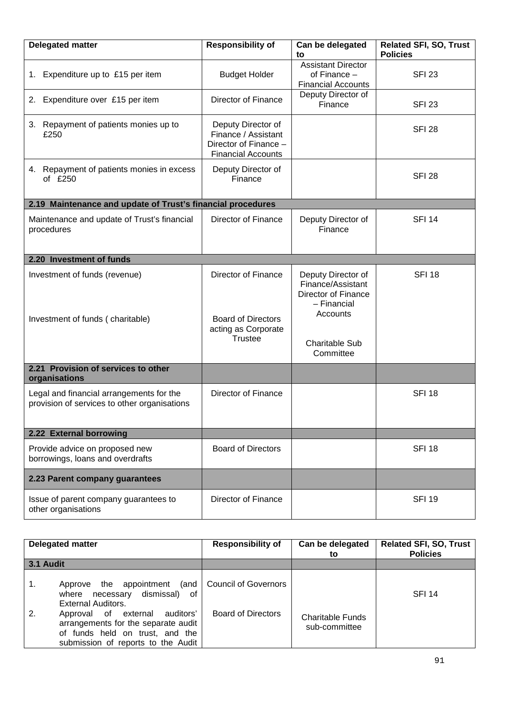| <b>Delegated matter</b>                                                                  | <b>Responsibility of</b>                                                                        | Can be delegated<br>to                                                                                                                 | <b>Related SFI, SO, Trust</b><br><b>Policies</b> |  |
|------------------------------------------------------------------------------------------|-------------------------------------------------------------------------------------------------|----------------------------------------------------------------------------------------------------------------------------------------|--------------------------------------------------|--|
| 1. Expenditure up to £15 per item                                                        | <b>Budget Holder</b>                                                                            | <b>Assistant Director</b><br>of Finance $-$<br><b>Financial Accounts</b>                                                               | <b>SFI 23</b>                                    |  |
| 2. Expenditure over £15 per item                                                         | <b>Director of Finance</b>                                                                      | Deputy Director of<br>Finance                                                                                                          | <b>SFI 23</b>                                    |  |
| 3. Repayment of patients monies up to<br>£250                                            | Deputy Director of<br>Finance / Assistant<br>Director of Finance -<br><b>Financial Accounts</b> |                                                                                                                                        | <b>SFI 28</b>                                    |  |
| 4. Repayment of patients monies in excess<br>of £250                                     | Deputy Director of<br>Finance                                                                   |                                                                                                                                        | <b>SFI 28</b>                                    |  |
| 2.19 Maintenance and update of Trust's financial procedures                              |                                                                                                 |                                                                                                                                        |                                                  |  |
| Maintenance and update of Trust's financial<br>procedures                                | <b>Director of Finance</b>                                                                      | Deputy Director of<br>Finance                                                                                                          | <b>SFI 14</b>                                    |  |
| 2.20 Investment of funds                                                                 |                                                                                                 |                                                                                                                                        |                                                  |  |
| Investment of funds (revenue)<br>Investment of funds (charitable)                        | Director of Finance<br><b>Board of Directors</b><br>acting as Corporate<br><b>Trustee</b>       | Deputy Director of<br>Finance/Assistant<br><b>Director of Finance</b><br>- Financial<br>Accounts<br><b>Charitable Sub</b><br>Committee | <b>SFI 18</b>                                    |  |
| 2.21 Provision of services to other<br>organisations                                     |                                                                                                 |                                                                                                                                        |                                                  |  |
| Legal and financial arrangements for the<br>provision of services to other organisations | <b>Director of Finance</b>                                                                      |                                                                                                                                        | <b>SFI 18</b>                                    |  |
| 2.22 External borrowing                                                                  |                                                                                                 |                                                                                                                                        |                                                  |  |
| Provide advice on proposed new<br>borrowings, loans and overdrafts                       | <b>Board of Directors</b>                                                                       |                                                                                                                                        | <b>SFI 18</b>                                    |  |
| 2.23 Parent company guarantees                                                           |                                                                                                 |                                                                                                                                        |                                                  |  |
| Issue of parent company guarantees to<br>other organisations                             | Director of Finance                                                                             |                                                                                                                                        | <b>SFI 19</b>                                    |  |

|                  | <b>Delegated matter</b>                                                                                                                           | <b>Responsibility of</b>  | Can be delegated<br>to                   | <b>Related SFI, SO, Trust</b><br><b>Policies</b> |
|------------------|---------------------------------------------------------------------------------------------------------------------------------------------------|---------------------------|------------------------------------------|--------------------------------------------------|
| <b>3.1 Audit</b> |                                                                                                                                                   |                           |                                          |                                                  |
| 1.               | the appointment (and<br>Approve<br>where necessary dismissal)<br>of<br><b>External Auditors.</b>                                                  | Council of Governors      |                                          | <b>SFI 14</b>                                    |
| 2.               | auditors'<br>Approval of external<br>arrangements for the separate audit<br>of funds held on trust, and the<br>submission of reports to the Audit | <b>Board of Directors</b> | <b>Charitable Funds</b><br>sub-committee |                                                  |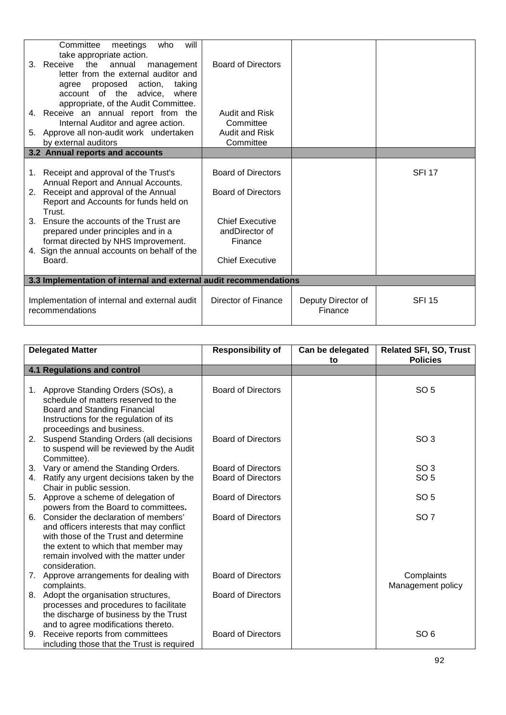| 3.<br>5. | Committee<br>will<br>meetings<br>who<br>take appropriate action.<br>Receive<br>the<br>annual<br>management<br>letter from the external auditor and<br>proposed action,<br>taking<br>agree<br>account of the advice,<br>where<br>appropriate, of the Audit Committee.<br>4. Receive an annual report from the<br>Internal Auditor and agree action.<br>Approve all non-audit work undertaken<br>by external auditors<br>3.2 Annual reports and accounts | <b>Board of Directors</b><br><b>Audit and Risk</b><br>Committee<br><b>Audit and Risk</b><br>Committee                                   |                               |               |
|----------|--------------------------------------------------------------------------------------------------------------------------------------------------------------------------------------------------------------------------------------------------------------------------------------------------------------------------------------------------------------------------------------------------------------------------------------------------------|-----------------------------------------------------------------------------------------------------------------------------------------|-------------------------------|---------------|
|          |                                                                                                                                                                                                                                                                                                                                                                                                                                                        |                                                                                                                                         |                               |               |
| 1.<br>2. | Receipt and approval of the Trust's<br>Annual Report and Annual Accounts.<br>Receipt and approval of the Annual<br>Report and Accounts for funds held on<br>Trust.<br>3. Ensure the accounts of the Trust are<br>prepared under principles and in a<br>format directed by NHS Improvement.<br>4. Sign the annual accounts on behalf of the<br>Board.                                                                                                   | <b>Board of Directors</b><br><b>Board of Directors</b><br><b>Chief Executive</b><br>andDirector of<br>Finance<br><b>Chief Executive</b> |                               | <b>SFI 17</b> |
|          | 3.3 Implementation of internal and external audit recommendations                                                                                                                                                                                                                                                                                                                                                                                      |                                                                                                                                         |                               |               |
|          | Implementation of internal and external audit<br>recommendations                                                                                                                                                                                                                                                                                                                                                                                       | Director of Finance                                                                                                                     | Deputy Director of<br>Finance | <b>SFI 15</b> |

|    | <b>Delegated Matter</b>                                                                                                                                                                                                     | <b>Responsibility of</b>  | Can be delegated<br>to | <b>Related SFI, SO, Trust</b><br><b>Policies</b> |
|----|-----------------------------------------------------------------------------------------------------------------------------------------------------------------------------------------------------------------------------|---------------------------|------------------------|--------------------------------------------------|
|    | <b>4.1 Regulations and control</b>                                                                                                                                                                                          |                           |                        |                                                  |
|    | 1. Approve Standing Orders (SOs), a<br>schedule of matters reserved to the<br>Board and Standing Financial<br>Instructions for the regulation of its                                                                        | <b>Board of Directors</b> |                        | SO <sub>5</sub>                                  |
|    | proceedings and business.<br>2. Suspend Standing Orders (all decisions<br>to suspend will be reviewed by the Audit<br>Committee).                                                                                           | <b>Board of Directors</b> |                        | SO <sub>3</sub>                                  |
|    | 3. Vary or amend the Standing Orders.                                                                                                                                                                                       | <b>Board of Directors</b> |                        | SO <sub>3</sub>                                  |
| 4. | Ratify any urgent decisions taken by the<br>Chair in public session.                                                                                                                                                        | <b>Board of Directors</b> |                        | SO <sub>5</sub>                                  |
|    | 5. Approve a scheme of delegation of<br>powers from the Board to committees.                                                                                                                                                | <b>Board of Directors</b> |                        | SO <sub>5</sub>                                  |
| 6. | Consider the declaration of members'<br>and officers interests that may conflict<br>with those of the Trust and determine<br>the extent to which that member may<br>remain involved with the matter under<br>consideration. | <b>Board of Directors</b> |                        | SO <sub>7</sub>                                  |
|    | 7. Approve arrangements for dealing with<br>complaints.                                                                                                                                                                     | <b>Board of Directors</b> |                        | Complaints<br>Management policy                  |
| 8. | Adopt the organisation structures,<br>processes and procedures to facilitate<br>the discharge of business by the Trust<br>and to agree modifications thereto.                                                               | <b>Board of Directors</b> |                        |                                                  |
| 9. | Receive reports from committees<br>including those that the Trust is required                                                                                                                                               | <b>Board of Directors</b> |                        | SO <sub>6</sub>                                  |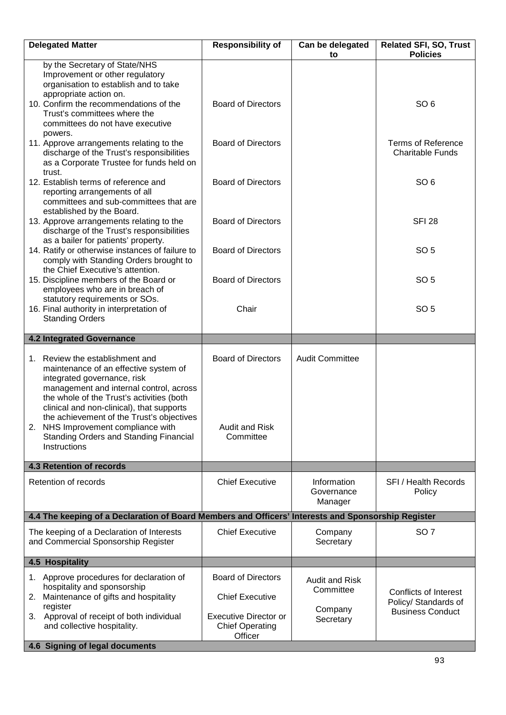| <b>Delegated Matter</b>                                                                                                                                                                                                                      | <b>Responsibility of</b>                                          | Can be delegated<br>to               | <b>Related SFI, SO, Trust</b><br><b>Policies</b>     |
|----------------------------------------------------------------------------------------------------------------------------------------------------------------------------------------------------------------------------------------------|-------------------------------------------------------------------|--------------------------------------|------------------------------------------------------|
| by the Secretary of State/NHS<br>Improvement or other regulatory<br>organisation to establish and to take<br>appropriate action on.                                                                                                          |                                                                   |                                      |                                                      |
| 10. Confirm the recommendations of the<br>Trust's committees where the<br>committees do not have executive<br>powers.                                                                                                                        | <b>Board of Directors</b>                                         |                                      | SO <sub>6</sub>                                      |
| 11. Approve arrangements relating to the<br>discharge of the Trust's responsibilities<br>as a Corporate Trustee for funds held on<br>trust.                                                                                                  | <b>Board of Directors</b>                                         |                                      | <b>Terms of Reference</b><br><b>Charitable Funds</b> |
| 12. Establish terms of reference and<br>reporting arrangements of all<br>committees and sub-committees that are<br>established by the Board.                                                                                                 | <b>Board of Directors</b>                                         |                                      | SO <sub>6</sub>                                      |
| 13. Approve arrangements relating to the<br>discharge of the Trust's responsibilities<br>as a bailer for patients' property.                                                                                                                 | <b>Board of Directors</b>                                         |                                      | <b>SFI 28</b>                                        |
| 14. Ratify or otherwise instances of failure to<br>comply with Standing Orders brought to<br>the Chief Executive's attention.                                                                                                                | <b>Board of Directors</b>                                         |                                      | SO <sub>5</sub>                                      |
| 15. Discipline members of the Board or<br>employees who are in breach of                                                                                                                                                                     | <b>Board of Directors</b>                                         |                                      | SO <sub>5</sub>                                      |
| statutory requirements or SOs.<br>16. Final authority in interpretation of<br><b>Standing Orders</b>                                                                                                                                         | Chair                                                             |                                      | SO <sub>5</sub>                                      |
| <b>4.2 Integrated Governance</b>                                                                                                                                                                                                             |                                                                   |                                      |                                                      |
| 1. Review the establishment and<br>maintenance of an effective system of<br>integrated governance, risk<br>management and internal control, across<br>the whole of the Trust's activities (both<br>clinical and non-clinical), that supports | <b>Board of Directors</b>                                         | <b>Audit Committee</b>               |                                                      |
| the achievement of the Trust's objectives<br>NHS Improvement compliance with<br>2.<br>Standing Orders and Standing Financial<br>Instructions                                                                                                 | <b>Audit and Risk</b><br>Committee                                |                                      |                                                      |
| <b>4.3 Retention of records</b>                                                                                                                                                                                                              |                                                                   |                                      |                                                      |
| Retention of records                                                                                                                                                                                                                         | <b>Chief Executive</b>                                            | Information<br>Governance<br>Manager | <b>SFI</b> / Health Records<br>Policy                |
| 4.4 The keeping of a Declaration of Board Members and Officers' Interests and Sponsorship Register                                                                                                                                           |                                                                   |                                      |                                                      |
| The keeping of a Declaration of Interests<br>and Commercial Sponsorship Register                                                                                                                                                             | <b>Chief Executive</b>                                            | Company<br>Secretary                 | SO <sub>7</sub>                                      |
| 4.5 Hospitality                                                                                                                                                                                                                              |                                                                   |                                      |                                                      |
| 1. Approve procedures for declaration of<br>hospitality and sponsorship<br>Maintenance of gifts and hospitality<br>2.                                                                                                                        | <b>Board of Directors</b><br><b>Chief Executive</b>               | <b>Audit and Risk</b><br>Committee   | <b>Conflicts of Interest</b>                         |
| register<br>Approval of receipt of both individual<br>3.<br>and collective hospitality.                                                                                                                                                      | <b>Executive Director or</b><br><b>Chief Operating</b><br>Officer | Company<br>Secretary                 | Policy/ Standards of<br><b>Business Conduct</b>      |
| 4.6 Signing of legal documents                                                                                                                                                                                                               |                                                                   |                                      |                                                      |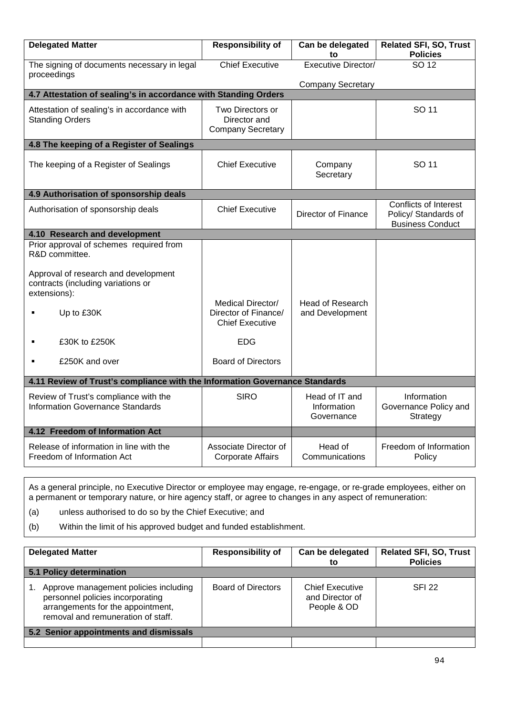| <b>Delegated Matter</b>                                                                    | <b>Responsibility of</b>                                            | Can be delegated<br>to                      | <b>Related SFI, SO, Trust</b><br><b>Policies</b>                                |  |
|--------------------------------------------------------------------------------------------|---------------------------------------------------------------------|---------------------------------------------|---------------------------------------------------------------------------------|--|
| The signing of documents necessary in legal<br>proceedings                                 | <b>Chief Executive</b>                                              | <b>Executive Director/</b>                  | SO 12                                                                           |  |
|                                                                                            |                                                                     | <b>Company Secretary</b>                    |                                                                                 |  |
| 4.7 Attestation of sealing's in accordance with Standing Orders                            |                                                                     |                                             |                                                                                 |  |
| Attestation of sealing's in accordance with<br><b>Standing Orders</b>                      | Two Directors or<br>Director and<br><b>Company Secretary</b>        |                                             | SO 11                                                                           |  |
| 4.8 The keeping of a Register of Sealings                                                  |                                                                     |                                             |                                                                                 |  |
| The keeping of a Register of Sealings                                                      | <b>Chief Executive</b>                                              | Company<br>Secretary                        | SO 11                                                                           |  |
| 4.9 Authorisation of sponsorship deals                                                     |                                                                     |                                             |                                                                                 |  |
| Authorisation of sponsorship deals                                                         | <b>Chief Executive</b>                                              | <b>Director of Finance</b>                  | <b>Conflicts of Interest</b><br>Policy/ Standards of<br><b>Business Conduct</b> |  |
| 4.10 Research and development                                                              |                                                                     |                                             |                                                                                 |  |
| Prior approval of schemes required from<br>R&D committee.                                  |                                                                     |                                             |                                                                                 |  |
| Approval of research and development<br>contracts (including variations or<br>extensions): |                                                                     |                                             |                                                                                 |  |
| Up to £30K                                                                                 | Medical Director/<br>Director of Finance/<br><b>Chief Executive</b> | Head of Research<br>and Development         |                                                                                 |  |
| £30K to £250K                                                                              | <b>EDG</b>                                                          |                                             |                                                                                 |  |
| £250K and over<br>$\blacksquare$                                                           | <b>Board of Directors</b>                                           |                                             |                                                                                 |  |
| 4.11 Review of Trust's compliance with the Information Governance Standards                |                                                                     |                                             |                                                                                 |  |
| Review of Trust's compliance with the<br><b>Information Governance Standards</b>           | <b>SIRO</b>                                                         | Head of IT and<br>Information<br>Governance | Information<br>Governance Policy and<br>Strategy                                |  |
| 4.12 Freedom of Information Act                                                            |                                                                     |                                             |                                                                                 |  |
| Release of information in line with the<br>Freedom of Information Act                      | Associate Director of<br><b>Corporate Affairs</b>                   | Head of<br>Communications                   | Freedom of Information<br>Policy                                                |  |

As a general principle, no Executive Director or employee may engage, re-engage, or re-grade employees, either on a permanent or temporary nature, or hire agency staff, or agree to changes in any aspect of remuneration:

(a) unless authorised to do so by the Chief Executive; and

(b) Within the limit of his approved budget and funded establishment.

| <b>Delegated Matter</b> |                                                                                                                                                      | <b>Responsibility of</b> | Can be delegated<br>to                                   | <b>Related SFI, SO, Trust</b><br><b>Policies</b> |
|-------------------------|------------------------------------------------------------------------------------------------------------------------------------------------------|--------------------------|----------------------------------------------------------|--------------------------------------------------|
|                         | 5.1 Policy determination                                                                                                                             |                          |                                                          |                                                  |
|                         | Approve management policies including<br>personnel policies incorporating<br>arrangements for the appointment,<br>removal and remuneration of staff. | Board of Directors       | <b>Chief Executive</b><br>and Director of<br>People & OD | <b>SFI 22</b>                                    |
|                         | 5.2 Senior appointments and dismissals                                                                                                               |                          |                                                          |                                                  |
|                         |                                                                                                                                                      |                          |                                                          |                                                  |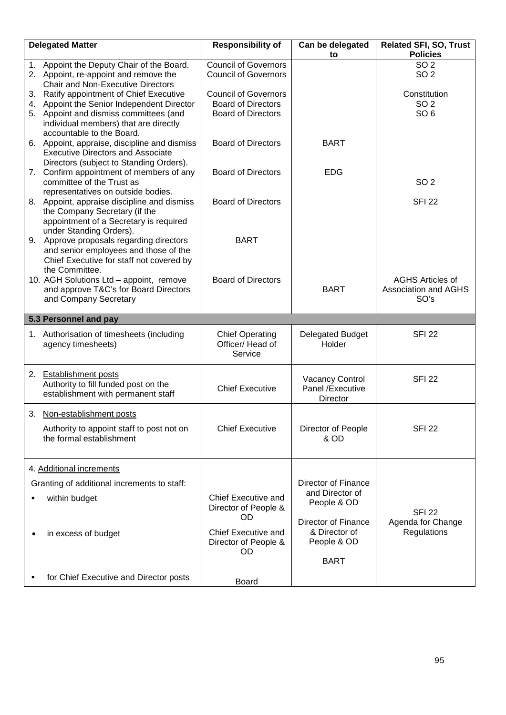| <b>Delegated Matter</b>                                                                                                                                                   | <b>Responsibility of</b>                                                              | Can be delegated<br>to                                                    | <b>Related SFI, SO, Trust</b><br><b>Policies</b>               |
|---------------------------------------------------------------------------------------------------------------------------------------------------------------------------|---------------------------------------------------------------------------------------|---------------------------------------------------------------------------|----------------------------------------------------------------|
| 1. Appoint the Deputy Chair of the Board.<br>2. Appoint, re-appoint and remove the<br><b>Chair and Non-Executive Directors</b>                                            | <b>Council of Governors</b><br><b>Council of Governors</b>                            |                                                                           | SO <sub>2</sub><br>SO <sub>2</sub>                             |
| 3. Ratify appointment of Chief Executive<br>4. Appoint the Senior Independent Director<br>5. Appoint and dismiss committees (and<br>individual members) that are directly | <b>Council of Governors</b><br><b>Board of Directors</b><br><b>Board of Directors</b> |                                                                           | Constitution<br>SO <sub>2</sub><br>SO <sub>6</sub>             |
| accountable to the Board.<br>6. Appoint, appraise, discipline and dismiss<br><b>Executive Directors and Associate</b><br>Directors (subject to Standing Orders).          | <b>Board of Directors</b>                                                             | <b>BART</b>                                                               |                                                                |
| 7. Confirm appointment of members of any<br>committee of the Trust as<br>representatives on outside bodies.                                                               | <b>Board of Directors</b>                                                             | <b>EDG</b>                                                                | SO <sub>2</sub>                                                |
| 8. Appoint, appraise discipline and dismiss<br>the Company Secretary (if the<br>appointment of a Secretary is required<br>under Standing Orders).                         | <b>Board of Directors</b>                                                             |                                                                           | <b>SFI 22</b>                                                  |
| 9. Approve proposals regarding directors<br>and senior employees and those of the<br>Chief Executive for staff not covered by<br>the Committee.                           | <b>BART</b>                                                                           |                                                                           |                                                                |
| 10. AGH Solutions Ltd - appoint, remove<br>and approve T&C's for Board Directors<br>and Company Secretary                                                                 | <b>Board of Directors</b>                                                             | <b>BART</b>                                                               | <b>AGHS Articles of</b><br><b>Association and AGHS</b><br>SO's |
| 5.3 Personnel and pay                                                                                                                                                     |                                                                                       |                                                                           |                                                                |
| 1. Authorisation of timesheets (including<br>agency timesheets)                                                                                                           | <b>Chief Operating</b><br>Officer/ Head of<br>Service                                 | <b>Delegated Budget</b><br>Holder                                         | <b>SFI 22</b>                                                  |
| 2. Establishment posts<br>Authority to fill funded post on the<br>establishment with permanent staff                                                                      | <b>Chief Executive</b>                                                                | <b>Vacancy Control</b><br>Panel /Executive<br>Director                    | <b>SFI 22</b>                                                  |
| 3. Non-establishment posts                                                                                                                                                |                                                                                       |                                                                           |                                                                |
| Authority to appoint staff to post not on<br>the formal establishment                                                                                                     | <b>Chief Executive</b>                                                                | Director of People<br>& OD                                                | <b>SFI 22</b>                                                  |
| 4. Additional increments                                                                                                                                                  |                                                                                       |                                                                           |                                                                |
| Granting of additional increments to staff:                                                                                                                               |                                                                                       | <b>Director of Finance</b>                                                |                                                                |
| within budget                                                                                                                                                             | <b>Chief Executive and</b><br>Director of People &<br><b>OD</b>                       | and Director of<br>People & OD                                            | <b>SFI 22</b>                                                  |
| in excess of budget                                                                                                                                                       | <b>Chief Executive and</b><br>Director of People &<br><b>OD</b>                       | <b>Director of Finance</b><br>& Director of<br>People & OD<br><b>BART</b> | Agenda for Change<br>Regulations                               |
| for Chief Executive and Director posts                                                                                                                                    | Board                                                                                 |                                                                           |                                                                |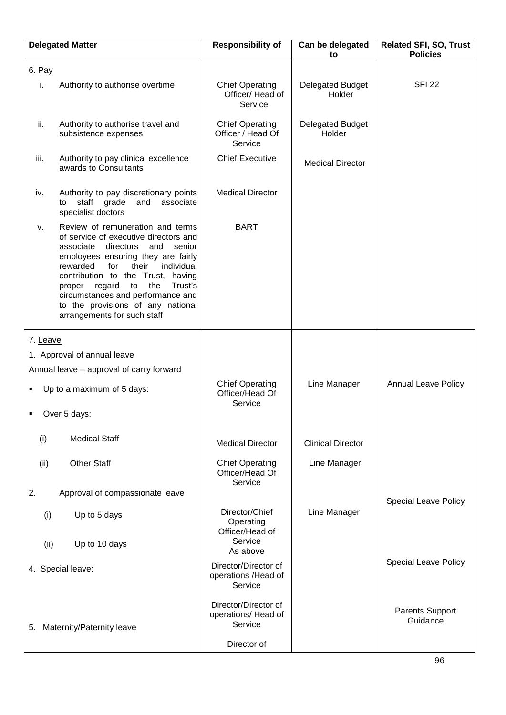|          | <b>Delegated Matter</b>                                                                                                                                                                                                                                                                                                                                                                        | <b>Responsibility of</b>                                              | Can be delegated<br>to            | <b>Related SFI, SO, Trust</b><br><b>Policies</b> |
|----------|------------------------------------------------------------------------------------------------------------------------------------------------------------------------------------------------------------------------------------------------------------------------------------------------------------------------------------------------------------------------------------------------|-----------------------------------------------------------------------|-----------------------------------|--------------------------------------------------|
| 6. Pay   |                                                                                                                                                                                                                                                                                                                                                                                                |                                                                       |                                   |                                                  |
| i.       | Authority to authorise overtime                                                                                                                                                                                                                                                                                                                                                                | <b>Chief Operating</b><br>Officer/ Head of<br>Service                 | <b>Delegated Budget</b><br>Holder | <b>SFI 22</b>                                    |
| ii.      | Authority to authorise travel and<br>subsistence expenses                                                                                                                                                                                                                                                                                                                                      | <b>Chief Operating</b><br>Officer / Head Of<br>Service                | Delegated Budget<br>Holder        |                                                  |
| iii.     | Authority to pay clinical excellence<br>awards to Consultants                                                                                                                                                                                                                                                                                                                                  | <b>Chief Executive</b>                                                | <b>Medical Director</b>           |                                                  |
| iv.      | Authority to pay discretionary points<br>associate<br>staff<br>grade<br>and<br>to<br>specialist doctors                                                                                                                                                                                                                                                                                        | <b>Medical Director</b>                                               |                                   |                                                  |
| v.       | Review of remuneration and terms<br>of service of executive directors and<br>directors<br>associate<br>and<br>senior<br>employees ensuring they are fairly<br>rewarded<br>for<br>their<br>individual<br>contribution to the Trust, having<br>the<br>Trust's<br>regard<br>to<br>proper<br>circumstances and performance and<br>to the provisions of any national<br>arrangements for such staff | <b>BART</b>                                                           |                                   |                                                  |
| 7. Leave |                                                                                                                                                                                                                                                                                                                                                                                                |                                                                       |                                   |                                                  |
|          | 1. Approval of annual leave                                                                                                                                                                                                                                                                                                                                                                    |                                                                       |                                   |                                                  |
|          | Annual leave - approval of carry forward                                                                                                                                                                                                                                                                                                                                                       |                                                                       |                                   |                                                  |
|          | Up to a maximum of 5 days:                                                                                                                                                                                                                                                                                                                                                                     | <b>Chief Operating</b><br>Officer/Head Of<br>Service                  | Line Manager                      | <b>Annual Leave Policy</b>                       |
|          | Over 5 days:                                                                                                                                                                                                                                                                                                                                                                                   |                                                                       |                                   |                                                  |
| (i)      | <b>Medical Staff</b>                                                                                                                                                                                                                                                                                                                                                                           | <b>Medical Director</b>                                               | <b>Clinical Director</b>          |                                                  |
| (ii)     | <b>Other Staff</b>                                                                                                                                                                                                                                                                                                                                                                             | <b>Chief Operating</b><br>Officer/Head Of<br>Service                  | Line Manager                      |                                                  |
| 2.       | Approval of compassionate leave                                                                                                                                                                                                                                                                                                                                                                |                                                                       |                                   |                                                  |
| (i)      | Up to 5 days                                                                                                                                                                                                                                                                                                                                                                                   | Director/Chief<br>Operating<br>Officer/Head of                        | Line Manager                      | <b>Special Leave Policy</b>                      |
| (ii)     | Up to 10 days                                                                                                                                                                                                                                                                                                                                                                                  | Service<br>As above                                                   |                                   |                                                  |
|          | 4. Special leave:                                                                                                                                                                                                                                                                                                                                                                              | Director/Director of<br>operations /Head of<br>Service                |                                   | <b>Special Leave Policy</b>                      |
| 5.       | Maternity/Paternity leave                                                                                                                                                                                                                                                                                                                                                                      | Director/Director of<br>operations/ Head of<br>Service<br>Director of |                                   | <b>Parents Support</b><br>Guidance               |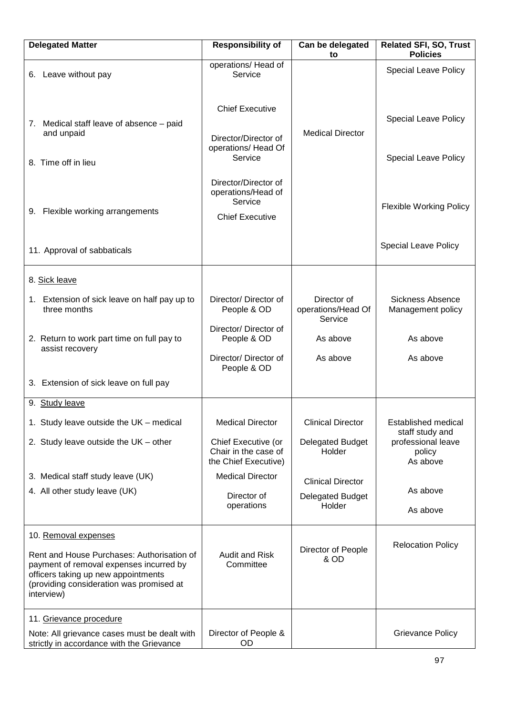| <b>Delegated Matter</b>                                                                                                                                                                | <b>Responsibility of</b>                                                        | Can be delegated<br>to                       | <b>Related SFI, SO, Trust</b><br><b>Policies</b> |
|----------------------------------------------------------------------------------------------------------------------------------------------------------------------------------------|---------------------------------------------------------------------------------|----------------------------------------------|--------------------------------------------------|
| 6. Leave without pay                                                                                                                                                                   | operations/ Head of<br>Service                                                  |                                              | <b>Special Leave Policy</b>                      |
| 7. Medical staff leave of absence - paid<br>and unpaid                                                                                                                                 | <b>Chief Executive</b><br>Director/Director of<br>operations/ Head Of           | <b>Medical Director</b>                      | <b>Special Leave Policy</b>                      |
| 8. Time off in lieu                                                                                                                                                                    | Service                                                                         |                                              | <b>Special Leave Policy</b>                      |
| 9. Flexible working arrangements                                                                                                                                                       | Director/Director of<br>operations/Head of<br>Service<br><b>Chief Executive</b> |                                              | <b>Flexible Working Policy</b>                   |
| 11. Approval of sabbaticals                                                                                                                                                            |                                                                                 |                                              | <b>Special Leave Policy</b>                      |
| 8. Sick leave                                                                                                                                                                          |                                                                                 |                                              |                                                  |
| 1. Extension of sick leave on half pay up to<br>three months                                                                                                                           | Director/ Director of<br>People & OD                                            | Director of<br>operations/Head Of<br>Service | Sickness Absence<br>Management policy            |
| 2. Return to work part time on full pay to<br>assist recovery                                                                                                                          | Director/ Director of<br>People & OD                                            | As above                                     | As above                                         |
|                                                                                                                                                                                        | Director/ Director of<br>People & OD                                            | As above                                     | As above                                         |
| 3. Extension of sick leave on full pay                                                                                                                                                 |                                                                                 |                                              |                                                  |
| 9. Study leave                                                                                                                                                                         |                                                                                 |                                              |                                                  |
| 1. Study leave outside the UK - medical                                                                                                                                                | <b>Medical Director</b>                                                         | <b>Clinical Director</b>                     | <b>Established medical</b><br>staff study and    |
| 2. Study leave outside the UK - other                                                                                                                                                  | Chief Executive (or<br>Chair in the case of<br>the Chief Executive)             | Delegated Budget<br>Holder                   | professional leave<br>policy<br>As above         |
| 3. Medical staff study leave (UK)                                                                                                                                                      | <b>Medical Director</b>                                                         | <b>Clinical Director</b>                     |                                                  |
| 4. All other study leave (UK)                                                                                                                                                          | Director of<br>operations                                                       | <b>Delegated Budget</b><br>Holder            | As above<br>As above                             |
| 10. Removal expenses                                                                                                                                                                   |                                                                                 |                                              |                                                  |
| Rent and House Purchases: Authorisation of<br>payment of removal expenses incurred by<br>officers taking up new appointments<br>(providing consideration was promised at<br>interview) | <b>Audit and Risk</b><br>Committee                                              | Director of People<br>& OD                   | <b>Relocation Policy</b>                         |
| 11. Grievance procedure                                                                                                                                                                |                                                                                 |                                              |                                                  |
| Note: All grievance cases must be dealt with<br>strictly in accordance with the Grievance                                                                                              | Director of People &<br>OD                                                      |                                              | <b>Grievance Policy</b>                          |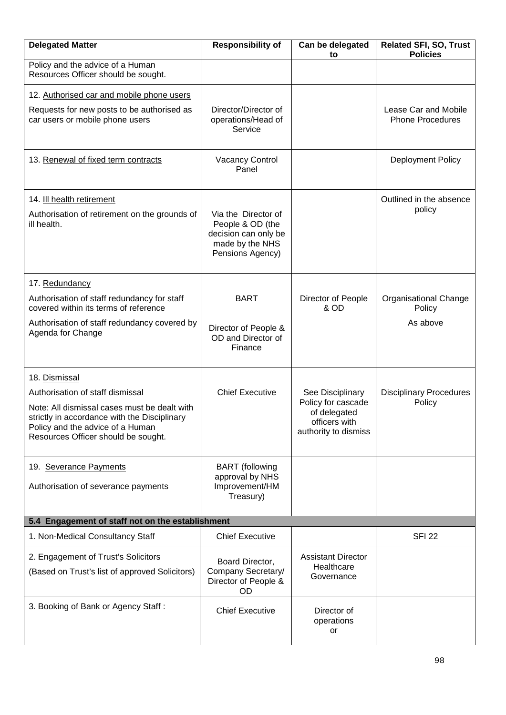| <b>Delegated Matter</b>                                                                                                                                                 | <b>Responsibility of</b>                                                                               | Can be delegated<br>to                                                      | <b>Related SFI, SO, Trust</b><br><b>Policies</b> |
|-------------------------------------------------------------------------------------------------------------------------------------------------------------------------|--------------------------------------------------------------------------------------------------------|-----------------------------------------------------------------------------|--------------------------------------------------|
| Policy and the advice of a Human<br>Resources Officer should be sought.                                                                                                 |                                                                                                        |                                                                             |                                                  |
| 12. Authorised car and mobile phone users                                                                                                                               |                                                                                                        |                                                                             |                                                  |
| Requests for new posts to be authorised as<br>car users or mobile phone users                                                                                           | Director/Director of<br>operations/Head of<br>Service                                                  |                                                                             | Lease Car and Mobile<br><b>Phone Procedures</b>  |
| 13. Renewal of fixed term contracts                                                                                                                                     | <b>Vacancy Control</b><br>Panel                                                                        |                                                                             | Deployment Policy                                |
| 14. Ill health retirement                                                                                                                                               |                                                                                                        |                                                                             | Outlined in the absence                          |
| Authorisation of retirement on the grounds of<br>ill health.                                                                                                            | Via the Director of<br>People & OD (the<br>decision can only be<br>made by the NHS<br>Pensions Agency) |                                                                             | policy                                           |
| 17. Redundancy                                                                                                                                                          |                                                                                                        |                                                                             |                                                  |
| Authorisation of staff redundancy for staff<br>covered within its terms of reference                                                                                    | <b>BART</b>                                                                                            | Director of People<br>& OD                                                  | <b>Organisational Change</b><br>Policy           |
| Authorisation of staff redundancy covered by<br>Agenda for Change                                                                                                       | Director of People &<br>OD and Director of<br>Finance                                                  |                                                                             | As above                                         |
| 18. Dismissal                                                                                                                                                           |                                                                                                        |                                                                             |                                                  |
| Authorisation of staff dismissal                                                                                                                                        | <b>Chief Executive</b>                                                                                 | See Disciplinary                                                            | <b>Disciplinary Procedures</b>                   |
| Note: All dismissal cases must be dealt with<br>strictly in accordance with the Disciplinary<br>Policy and the advice of a Human<br>Resources Officer should be sought. |                                                                                                        | Policy for cascade<br>of delegated<br>officers with<br>authority to dismiss | Policy                                           |
| 19. Severance Payments                                                                                                                                                  | <b>BART</b> (following                                                                                 |                                                                             |                                                  |
| Authorisation of severance payments                                                                                                                                     | approval by NHS<br>Improvement/HM<br>Treasury)                                                         |                                                                             |                                                  |
| 5.4 Engagement of staff not on the establishment                                                                                                                        |                                                                                                        |                                                                             |                                                  |
| 1. Non-Medical Consultancy Staff                                                                                                                                        | <b>Chief Executive</b>                                                                                 |                                                                             | <b>SFI 22</b>                                    |
| 2. Engagement of Trust's Solicitors                                                                                                                                     | Board Director,                                                                                        | <b>Assistant Director</b>                                                   |                                                  |
| (Based on Trust's list of approved Solicitors)                                                                                                                          | Company Secretary/<br>Director of People &<br>OD                                                       | Healthcare<br>Governance                                                    |                                                  |
| 3. Booking of Bank or Agency Staff:                                                                                                                                     | <b>Chief Executive</b>                                                                                 | Director of<br>operations<br>or                                             |                                                  |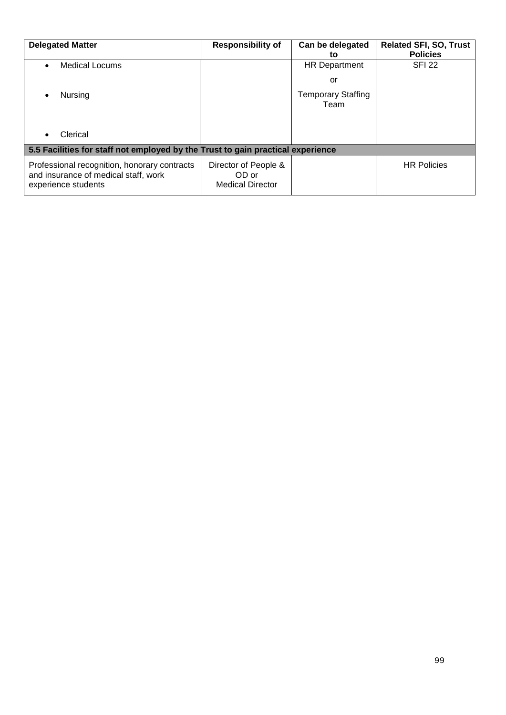| <b>Delegated Matter</b>                                                                                     | <b>Responsibility of</b>                                 | Can be delegated<br>to            | <b>Related SFI, SO, Trust</b><br><b>Policies</b> |
|-------------------------------------------------------------------------------------------------------------|----------------------------------------------------------|-----------------------------------|--------------------------------------------------|
| Medical Locums                                                                                              |                                                          | <b>HR Department</b>              | <b>SFI 22</b>                                    |
|                                                                                                             |                                                          | or                                |                                                  |
| Nursing                                                                                                     |                                                          | <b>Temporary Staffing</b><br>Team |                                                  |
| Clerical                                                                                                    |                                                          |                                   |                                                  |
| 5.5 Facilities for staff not employed by the Trust to gain practical experience                             |                                                          |                                   |                                                  |
| Professional recognition, honorary contracts<br>and insurance of medical staff, work<br>experience students | Director of People &<br>OD or<br><b>Medical Director</b> |                                   | <b>HR Policies</b>                               |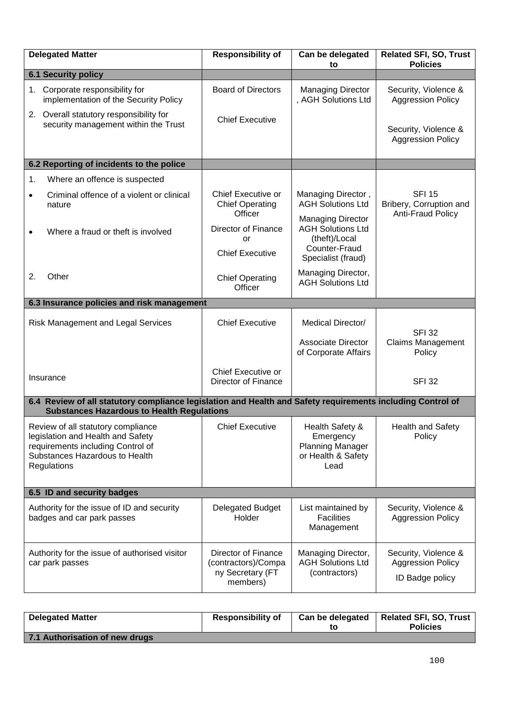| <b>Delegated Matter</b>                                                                                                                                         | <b>Responsibility of</b>                                                   | Can be delegated<br>to                                                                                       | <b>Related SFI, SO, Trust</b><br><b>Policies</b>                    |  |
|-----------------------------------------------------------------------------------------------------------------------------------------------------------------|----------------------------------------------------------------------------|--------------------------------------------------------------------------------------------------------------|---------------------------------------------------------------------|--|
| <b>6.1 Security policy</b>                                                                                                                                      |                                                                            |                                                                                                              |                                                                     |  |
| 1. Corporate responsibility for<br>implementation of the Security Policy                                                                                        | <b>Board of Directors</b>                                                  | <b>Managing Director</b><br>, AGH Solutions Ltd                                                              | Security, Violence &<br><b>Aggression Policy</b>                    |  |
| Overall statutory responsibility for<br>2.<br>security management within the Trust                                                                              | <b>Chief Executive</b>                                                     |                                                                                                              | Security, Violence &<br><b>Aggression Policy</b>                    |  |
| 6.2 Reporting of incidents to the police                                                                                                                        |                                                                            |                                                                                                              |                                                                     |  |
| Where an offence is suspected<br>1.                                                                                                                             |                                                                            |                                                                                                              |                                                                     |  |
| Criminal offence of a violent or clinical<br>$\bullet$<br>nature                                                                                                | Chief Executive or<br><b>Chief Operating</b>                               | Managing Director,<br><b>AGH Solutions Ltd</b>                                                               | <b>SFI 15</b><br>Bribery, Corruption and                            |  |
| Where a fraud or theft is involved<br>$\bullet$                                                                                                                 | Officer<br><b>Director of Finance</b><br>or<br><b>Chief Executive</b>      | <b>Managing Director</b><br><b>AGH Solutions Ltd</b><br>(theft)/Local<br>Counter-Fraud<br>Specialist (fraud) | <b>Anti-Fraud Policy</b>                                            |  |
| Other<br>2.                                                                                                                                                     | <b>Chief Operating</b><br>Officer                                          | Managing Director,<br><b>AGH Solutions Ltd</b>                                                               |                                                                     |  |
| 6.3 Insurance policies and risk management                                                                                                                      |                                                                            |                                                                                                              |                                                                     |  |
| <b>Risk Management and Legal Services</b>                                                                                                                       | <b>Chief Executive</b>                                                     | Medical Director/<br><b>Associate Director</b><br>of Corporate Affairs                                       | <b>SFI 32</b><br><b>Claims Management</b><br>Policy                 |  |
| Insurance                                                                                                                                                       | Chief Executive or<br><b>Director of Finance</b>                           |                                                                                                              | <b>SFI 32</b>                                                       |  |
| 6.4 Review of all statutory compliance legislation and Health and Safety requirements including Control of<br><b>Substances Hazardous to Health Regulations</b> |                                                                            |                                                                                                              |                                                                     |  |
| Review of all statutory compliance<br>legislation and Health and Safety<br>requirements including Control of<br>Substances Hazardous to Health<br>Regulations   | <b>Chief Executive</b>                                                     | Health Safety &<br>Emergency<br><b>Planning Manager</b><br>or Health & Safety<br>Lead                        | <b>Health and Safety</b><br>Policy                                  |  |
| 6.5 ID and security badges                                                                                                                                      |                                                                            |                                                                                                              |                                                                     |  |
| Authority for the issue of ID and security<br>badges and car park passes                                                                                        | <b>Delegated Budget</b><br>Holder                                          | List maintained by<br><b>Facilities</b><br>Management                                                        | Security, Violence &<br><b>Aggression Policy</b>                    |  |
| Authority for the issue of authorised visitor<br>car park passes                                                                                                | Director of Finance<br>(contractors)/Compa<br>ny Secretary (FT<br>members) |                                                                                                              | Security, Violence &<br><b>Aggression Policy</b><br>ID Badge policy |  |

| <b>Delegated Matter</b>        | <b>Responsibility of</b> | Can be delegated | <b>Related SFI, SO, Trust</b><br><b>Policies</b> |
|--------------------------------|--------------------------|------------------|--------------------------------------------------|
| 7.1 Authorisation of new drugs |                          |                  |                                                  |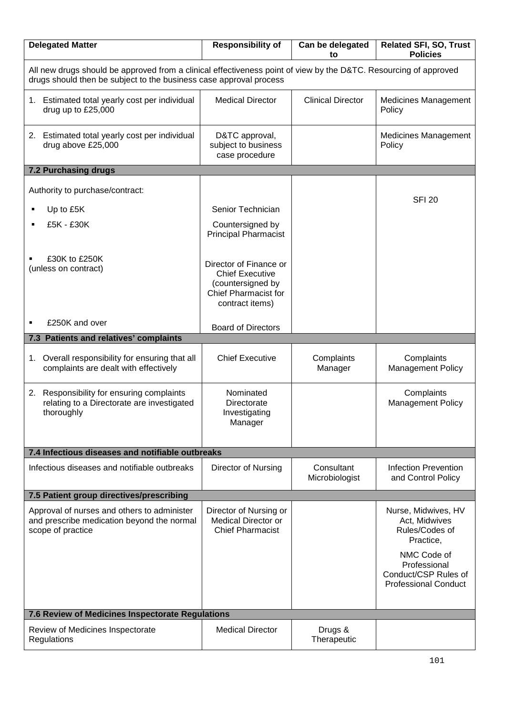| <b>Delegated Matter</b>                                                                                                                                                                | <b>Responsibility of</b>                                                                                         | Can be delegated<br>to       | <b>Related SFI, SO, Trust</b><br><b>Policies</b>                                   |  |
|----------------------------------------------------------------------------------------------------------------------------------------------------------------------------------------|------------------------------------------------------------------------------------------------------------------|------------------------------|------------------------------------------------------------------------------------|--|
| All new drugs should be approved from a clinical effectiveness point of view by the D&TC. Resourcing of approved<br>drugs should then be subject to the business case approval process |                                                                                                                  |                              |                                                                                    |  |
| 1. Estimated total yearly cost per individual<br>drug up to £25,000                                                                                                                    | <b>Medical Director</b>                                                                                          | <b>Clinical Director</b>     | <b>Medicines Management</b><br>Policy                                              |  |
| 2. Estimated total yearly cost per individual<br>drug above £25,000                                                                                                                    | D&TC approval,<br>subject to business<br>case procedure                                                          |                              | <b>Medicines Management</b><br>Policy                                              |  |
| <b>7.2 Purchasing drugs</b>                                                                                                                                                            |                                                                                                                  |                              |                                                                                    |  |
| Authority to purchase/contract:                                                                                                                                                        |                                                                                                                  |                              | <b>SFI 20</b>                                                                      |  |
| Up to £5K                                                                                                                                                                              | Senior Technician                                                                                                |                              |                                                                                    |  |
| £5K - £30K                                                                                                                                                                             | Countersigned by<br><b>Principal Pharmacist</b>                                                                  |                              |                                                                                    |  |
| £30K to £250K<br>(unless on contract)                                                                                                                                                  | Director of Finance or<br><b>Chief Executive</b><br>(countersigned by<br>Chief Pharmacist for<br>contract items) |                              |                                                                                    |  |
| £250K and over                                                                                                                                                                         | <b>Board of Directors</b>                                                                                        |                              |                                                                                    |  |
| 7.3 Patients and relatives' complaints                                                                                                                                                 |                                                                                                                  |                              |                                                                                    |  |
| Overall responsibility for ensuring that all<br>1.<br>complaints are dealt with effectively                                                                                            | <b>Chief Executive</b>                                                                                           | Complaints<br>Manager        | Complaints<br><b>Management Policy</b>                                             |  |
| 2. Responsibility for ensuring complaints<br>relating to a Directorate are investigated<br>thoroughly                                                                                  | Nominated<br>Directorate<br>Investigating<br>Manager                                                             |                              | Complaints<br><b>Management Policy</b>                                             |  |
|                                                                                                                                                                                        |                                                                                                                  |                              |                                                                                    |  |
| 7.4 Infectious diseases and notifiable outbreaks                                                                                                                                       |                                                                                                                  |                              |                                                                                    |  |
| Infectious diseases and notifiable outbreaks                                                                                                                                           | Director of Nursing                                                                                              | Consultant<br>Microbiologist | <b>Infection Prevention</b><br>and Control Policy                                  |  |
| 7.5 Patient group directives/prescribing                                                                                                                                               |                                                                                                                  |                              |                                                                                    |  |
| Approval of nurses and others to administer<br>and prescribe medication beyond the normal<br>scope of practice                                                                         | Director of Nursing or<br>Medical Director or<br><b>Chief Pharmacist</b>                                         |                              | Nurse, Midwives, HV<br>Act, Midwives<br>Rules/Codes of<br>Practice,                |  |
|                                                                                                                                                                                        |                                                                                                                  |                              | NMC Code of<br>Professional<br>Conduct/CSP Rules of<br><b>Professional Conduct</b> |  |
| 7.6 Review of Medicines Inspectorate Regulations                                                                                                                                       |                                                                                                                  |                              |                                                                                    |  |
| Review of Medicines Inspectorate<br>Regulations                                                                                                                                        | <b>Medical Director</b>                                                                                          | Drugs &<br>Therapeutic       |                                                                                    |  |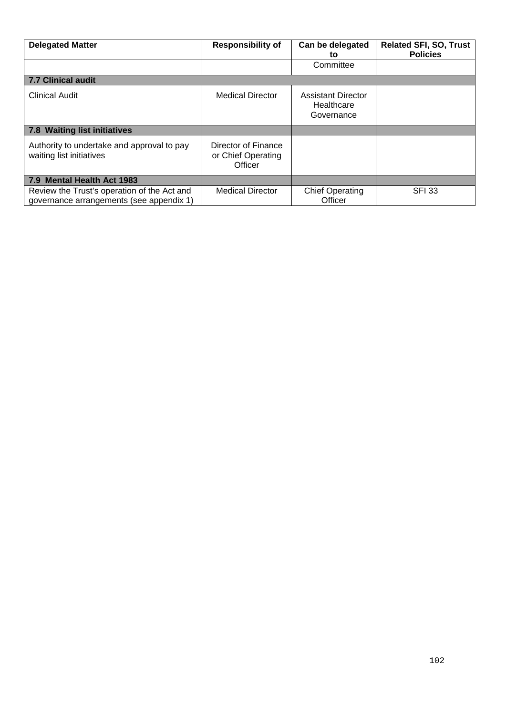| <b>Delegated Matter</b>                                                                 | <b>Responsibility of</b>                             | Can be delegated<br>to                         | <b>Related SFI, SO, Trust</b><br><b>Policies</b> |  |
|-----------------------------------------------------------------------------------------|------------------------------------------------------|------------------------------------------------|--------------------------------------------------|--|
|                                                                                         |                                                      | Committee                                      |                                                  |  |
| <b>7.7 Clinical audit</b>                                                               |                                                      |                                                |                                                  |  |
| Clinical Audit                                                                          | <b>Medical Director</b>                              | Assistant Director<br>Healthcare<br>Governance |                                                  |  |
| 7.8 Waiting list initiatives                                                            |                                                      |                                                |                                                  |  |
| Authority to undertake and approval to pay<br>waiting list initiatives                  | Director of Finance<br>or Chief Operating<br>Officer |                                                |                                                  |  |
| 7.9 Mental Health Act 1983                                                              |                                                      |                                                |                                                  |  |
| Review the Trust's operation of the Act and<br>governance arrangements (see appendix 1) | <b>Medical Director</b>                              | <b>Chief Operating</b><br>Officer              | <b>SFI 33</b>                                    |  |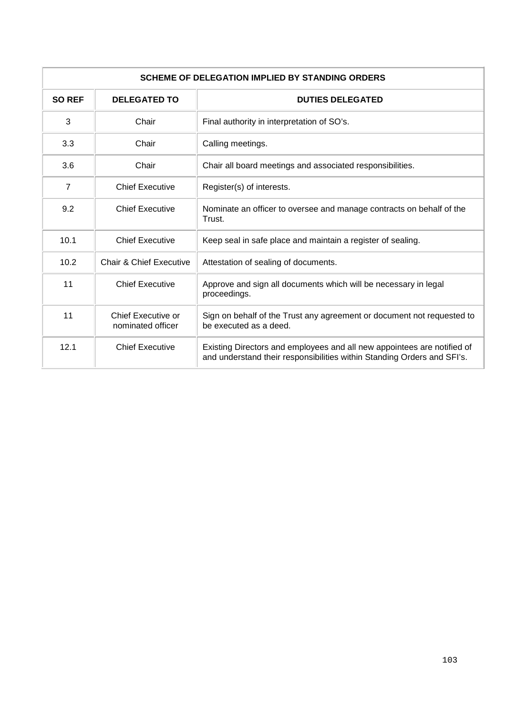| <b>SCHEME OF DELEGATION IMPLIED BY STANDING ORDERS</b> |                                         |                                                                                                                                                    |  |  |
|--------------------------------------------------------|-----------------------------------------|----------------------------------------------------------------------------------------------------------------------------------------------------|--|--|
| <b>SO REF</b>                                          | <b>DELEGATED TO</b>                     | <b>DUTIES DELEGATED</b>                                                                                                                            |  |  |
| 3                                                      | Chair                                   | Final authority in interpretation of SO's.                                                                                                         |  |  |
| 3.3                                                    | Chair                                   | Calling meetings.                                                                                                                                  |  |  |
| 3.6                                                    | Chair                                   | Chair all board meetings and associated responsibilities.                                                                                          |  |  |
| $\overline{7}$                                         | <b>Chief Executive</b>                  | Register(s) of interests.                                                                                                                          |  |  |
| 9.2                                                    | <b>Chief Executive</b>                  | Nominate an officer to oversee and manage contracts on behalf of the<br>Trust.                                                                     |  |  |
| 10.1                                                   | <b>Chief Executive</b>                  | Keep seal in safe place and maintain a register of sealing.                                                                                        |  |  |
| 10.2                                                   | Chair & Chief Executive                 | Attestation of sealing of documents.                                                                                                               |  |  |
| 11                                                     | <b>Chief Executive</b>                  | Approve and sign all documents which will be necessary in legal<br>proceedings.                                                                    |  |  |
| 11                                                     | Chief Executive or<br>nominated officer | Sign on behalf of the Trust any agreement or document not requested to<br>be executed as a deed.                                                   |  |  |
| 12.1                                                   | <b>Chief Executive</b>                  | Existing Directors and employees and all new appointees are notified of<br>and understand their responsibilities within Standing Orders and SFI's. |  |  |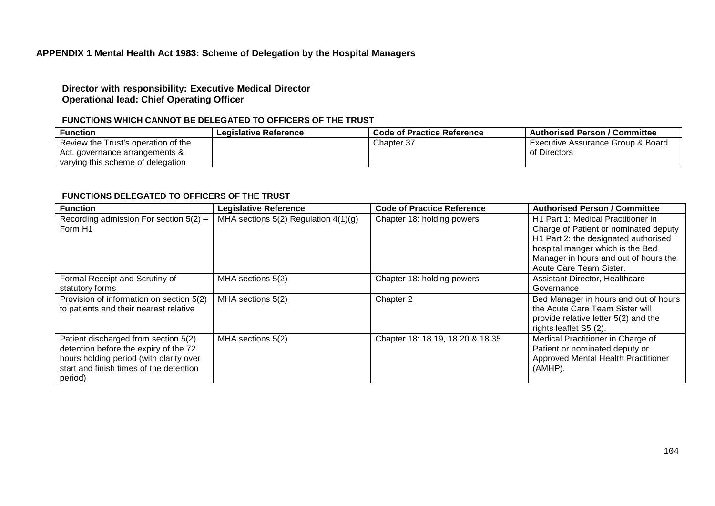# **APPENDIX 1 Mental Health Act 1983: Scheme of Delegation by the Hospital Managers**

## **Director with responsibility: Executive Medical Director Operational lead: Chief Operating Officer**

# **FUNCTIONS WHICH CANNOT BE DELEGATED TO OFFICERS OF THE TRUST**

| <b>Function</b>                     | <b>Legislative Reference</b> | Code of Practice Reference | <b>Authorised Person / Committee</b> |
|-------------------------------------|------------------------------|----------------------------|--------------------------------------|
| Review the Trust's operation of the |                              | Chapter 37                 | Executive Assurance Group & Board    |
| Act, governance arrangements &      |                              |                            | of Directors                         |
| varying this scheme of delegation   |                              |                            |                                      |

#### **FUNCTIONS DELEGATED TO OFFICERS OF THE TRUST**

| <b>Function</b>                                                                                                                                                                | <b>Legislative Reference</b>             | <b>Code of Practice Reference</b> | <b>Authorised Person / Committee</b>                                                                                                                                                                                        |
|--------------------------------------------------------------------------------------------------------------------------------------------------------------------------------|------------------------------------------|-----------------------------------|-----------------------------------------------------------------------------------------------------------------------------------------------------------------------------------------------------------------------------|
| Recording admission For section $5(2)$ –<br>Form H1                                                                                                                            | MHA sections $5(2)$ Regulation $4(1)(g)$ | Chapter 18: holding powers        | H1 Part 1: Medical Practitioner in<br>Charge of Patient or nominated deputy<br>H1 Part 2: the designated authorised<br>hospital manger which is the Bed<br>Manager in hours and out of hours the<br>Acute Care Team Sister. |
| Formal Receipt and Scrutiny of<br>statutory forms                                                                                                                              | MHA sections 5(2)                        | Chapter 18: holding powers        | <b>Assistant Director, Healthcare</b><br>Governance                                                                                                                                                                         |
| Provision of information on section 5(2)<br>to patients and their nearest relative                                                                                             | MHA sections 5(2)                        | Chapter 2                         | Bed Manager in hours and out of hours<br>the Acute Care Team Sister will<br>provide relative letter 5(2) and the<br>rights leaflet S5 (2).                                                                                  |
| Patient discharged from section 5(2)<br>detention before the expiry of the 72<br>hours holding period (with clarity over<br>start and finish times of the detention<br>period) | MHA sections 5(2)                        | Chapter 18: 18.19, 18.20 & 18.35  | Medical Practitioner in Charge of<br>Patient or nominated deputy or<br>Approved Mental Health Practitioner<br>(AMHP).                                                                                                       |